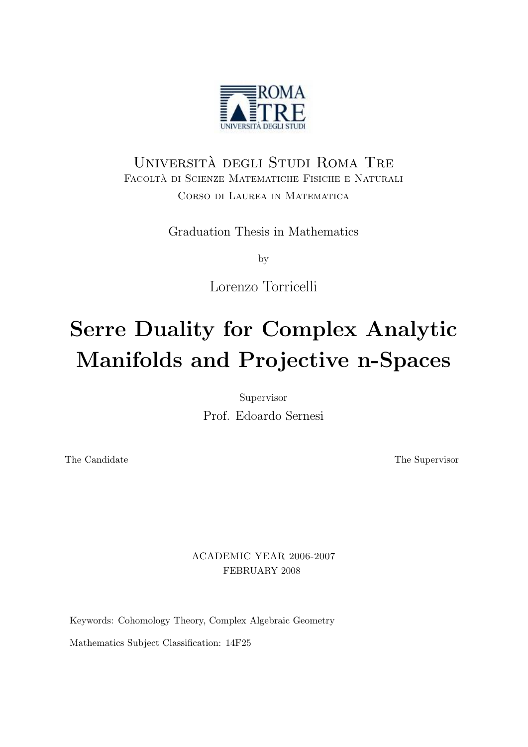

### Universita degli Studi Roma Tre ` Facolta di Scienze Matematiche Fisiche e Naturali ` Corso di Laurea in Matematica

Graduation Thesis in Mathematics

by

Lorenzo Torricelli

# Serre Duality for Complex Analytic Manifolds and Projective n-Spaces

Supervisor

Prof. Edoardo Sernesi

The Candidate The Supervisor

ACADEMIC YEAR 2006-2007 FEBRUARY 2008

Keywords: Cohomology Theory, Complex Algebraic Geometry

Mathematics Subject Classification: 14F25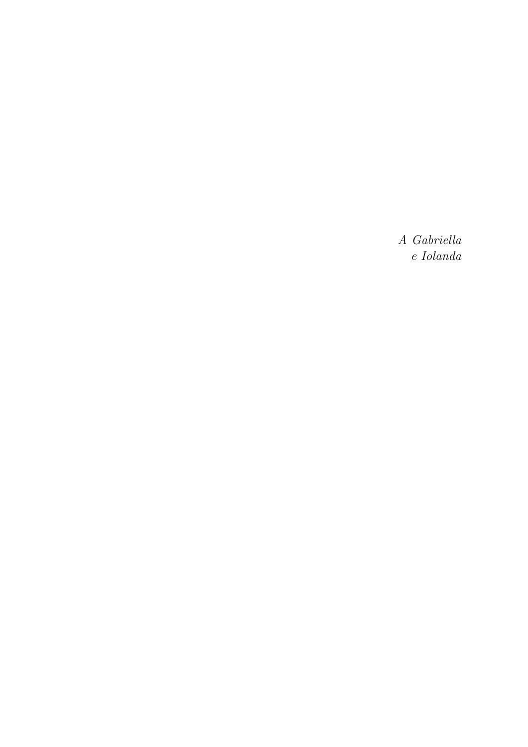A Gabriella e Iolanda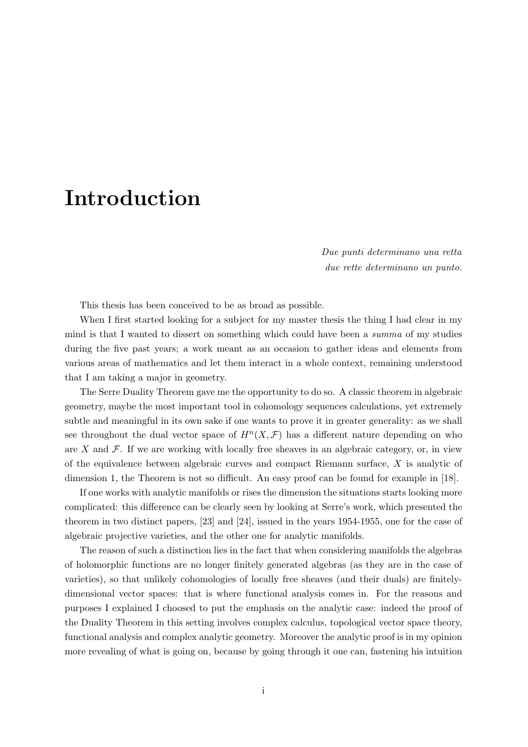## Introduction

Due punti determinano una retta due rette determinano un punto.

This thesis has been conceived to be as broad as possible.

When I first started looking for a subject for my master thesis the thing I had clear in my mind is that I wanted to dissert on something which could have been a summa of my studies during the five past years; a work meant as an occasion to gather ideas and elements from various areas of mathematics and let them interact in a whole context, remaining understood that I am taking a major in geometry.

The Serre Duality Theorem gave me the opportunity to do so. A classic theorem in algebraic geometry, maybe the most important tool in cohomology sequences calculations, yet extremely subtle and meaningful in its own sake if one wants to prove it in greater generality: as we shall see throughout the dual vector space of  $H<sup>n</sup>(X,\mathcal{F})$  has a different nature depending on who are X and  $\mathcal F$ . If we are working with locally free sheaves in an algebraic category, or, in view of the equivalence between algebraic curves and compact Riemann surface, X is analytic of dimension 1, the Theorem is not so difficult. An easy proof can be found for example in [18].

If one works with analytic manifolds or rises the dimension the situations starts looking more complicated: this difference can be clearly seen by looking at Serre's work, which presented the theorem in two distinct papers, [23] and [24], issued in the years 1954-1955, one for the case of algebraic projective varieties, and the other one for analytic manifolds.

The reason of such a distinction lies in the fact that when considering manifolds the algebras of holomorphic functions are no longer finitely generated algebras (as they are in the case of varieties), so that unlikely cohomologies of locally free sheaves (and their duals) are finitelydimensional vector spaces: that is where functional analysis comes in. For the reasons and purposes I explained I choosed to put the emphasis on the analytic case: indeed the proof of the Duality Theorem in this setting involves complex calculus, topological vector space theory, functional analysis and complex analytic geometry. Moreover the analytic proof is in my opinion more revealing of what is going on, because by going through it one can, fastening his intuition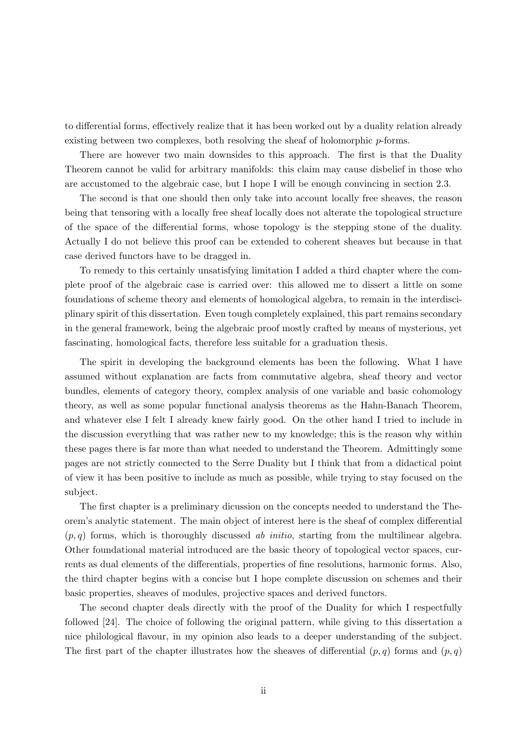to differential forms, effectively realize that it has been worked out by a duality relation already existing between two complexes, both resolving the sheaf of holomorphic p-forms.

There are however two main downsides to this approach. The first is that the Duality Theorem cannot be valid for arbitrary manifolds: this claim may cause disbelief in those who are accustomed to the algebraic case, but I hope I will be enough convincing in section 2.3.

The second is that one should then only take into account locally free sheaves, the reason being that tensoring with a locally free sheaf locally does not alterate the topological structure of the space of the differential forms, whose topology is the stepping stone of the duality. Actually I do not believe this proof can be extended to coherent sheaves but because in that case derived functors have to be dragged in.

To remedy to this certainly unsatisfying limitation I added a third chapter where the complete proof of the algebraic case is carried over: this allowed me to dissert a little on some foundations of scheme theory and elements of homological algebra, to remain in the interdisciplinary spirit of this dissertation. Even tough completely explained, this part remains secondary in the general framework, being the algebraic proof mostly crafted by means of mysterious, yet fascinating, homological facts, therefore less suitable for a graduation thesis.

The spirit in developing the background elements has been the following. What I have assumed without explanation are facts from commutative algebra, sheaf theory and vector bundles, elements of category theory, complex analysis of one variable and basic cohomology theory, as well as some popular functional analysis theorems as the Hahn-Banach Theorem, and whatever else I felt I already knew fairly good. On the other hand I tried to include in the discussion everything that was rather new to my knowledge; this is the reason why within these pages there is far more than what needed to understand the Theorem. Admittingly some pages are not strictly connected to the Serre Duality but I think that from a didactical point of view it has been positive to include as much as possible, while trying to stay focused on the subject.

The first chapter is a preliminary dicussion on the concepts needed to understand the Theorem's analytic statement. The main object of interest here is the sheaf of complex differential  $(p, q)$  forms, which is thoroughly discussed ab *initio*, starting from the multilinear algebra. Other foundational material introduced are the basic theory of topological vector spaces, currents as dual elements of the differentials, properties of fine resolutions, harmonic forms. Also, the third chapter begins with a concise but I hope complete discussion on schemes and their basic properties, sheaves of modules, projective spaces and derived functors.

The second chapter deals directly with the proof of the Duality for which I respectfully followed [24]. The choice of following the original pattern, while giving to this dissertation a nice philological flavour, in my opinion also leads to a deeper understanding of the subject. The first part of the chapter illustrates how the sheaves of differential  $(p, q)$  forms and  $(p, q)$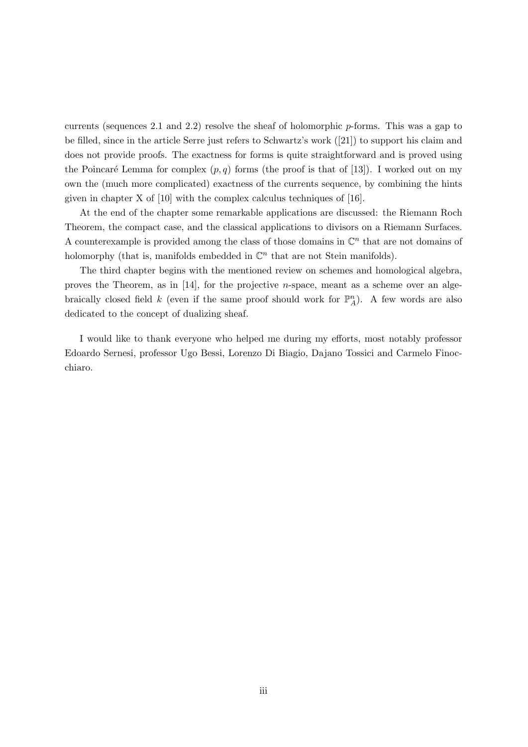currents (sequences 2.1 and 2.2) resolve the sheaf of holomorphic  $p$ -forms. This was a gap to be filled, since in the article Serre just refers to Schwartz's work ([21]) to support his claim and does not provide proofs. The exactness for forms is quite straightforward and is proved using the Poincaré Lemma for complex  $(p, q)$  forms (the proof is that of [13]). I worked out on my own the (much more complicated) exactness of the currents sequence, by combining the hints given in chapter X of [10] with the complex calculus techniques of [16].

At the end of the chapter some remarkable applications are discussed: the Riemann Roch Theorem, the compact case, and the classical applications to divisors on a Riemann Surfaces. A counterexample is provided among the class of those domains in  $\mathbb{C}^n$  that are not domains of holomorphy (that is, manifolds embedded in  $\mathbb{C}^n$  that are not Stein manifolds).

The third chapter begins with the mentioned review on schemes and homological algebra, proves the Theorem, as in  $[14]$ , for the projective *n*-space, meant as a scheme over an algebraically closed field k (even if the same proof should work for  $\mathbb{P}_{A}^{n}$ ). A few words are also dedicated to the concept of dualizing sheaf.

I would like to thank everyone who helped me during my efforts, most notably professor Edoardo Sernesi, professor Ugo Bessi, Lorenzo Di Biagio, Dajano Tossici and Carmelo Finocchiaro.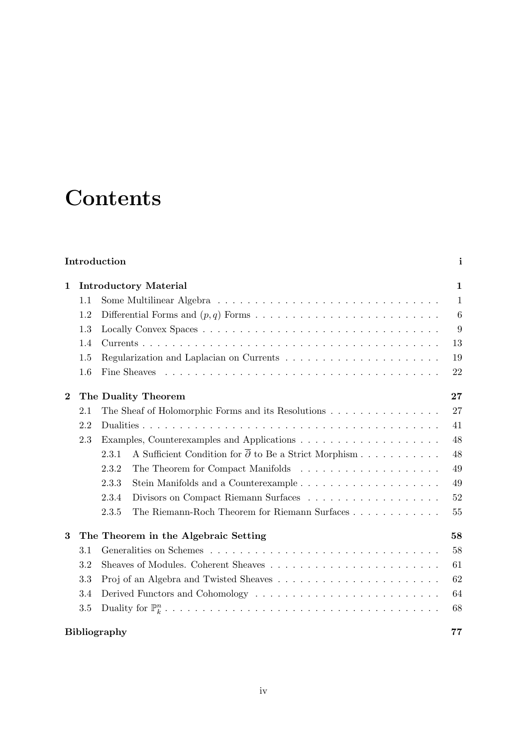## **Contents**

#### Introduction i

| 1        |                     | <b>Introductory Material</b>                                                                | $\mathbf{1}$ |
|----------|---------------------|---------------------------------------------------------------------------------------------|--------------|
|          | 1.1                 |                                                                                             | $\mathbf{1}$ |
|          | 1.2                 |                                                                                             | 6            |
|          | 1.3                 |                                                                                             | 9            |
|          | 1.4                 |                                                                                             | 13           |
|          | 1.5                 | Regularization and Laplacian on Currents $\ldots \ldots \ldots \ldots \ldots \ldots \ldots$ | 19           |
|          | 1.6                 |                                                                                             | 22           |
| $\bf{2}$ |                     | The Duality Theorem                                                                         | 27           |
|          | 2.1                 | The Sheaf of Holomorphic Forms and its Resolutions                                          | 27           |
|          | 2.2                 |                                                                                             | 41           |
|          | 2.3                 |                                                                                             | 48           |
|          |                     | A Sufficient Condition for $\overline{\partial}$ to Be a Strict Morphism<br>2.3.1           | 48           |
|          |                     | 2.3.2                                                                                       | 49           |
|          |                     | 2.3.3                                                                                       | 49           |
|          |                     | 2.3.4                                                                                       | 52           |
|          |                     | 2.3.5                                                                                       | 55           |
| 3        |                     | The Theorem in the Algebraic Setting                                                        | 58           |
|          | 3.1                 |                                                                                             | 58           |
|          | 3.2                 |                                                                                             | 61           |
|          | 3.3                 |                                                                                             | 62           |
|          | 3.4                 |                                                                                             | 64           |
|          | 3.5                 |                                                                                             | 68           |
|          | <b>Bibliography</b> |                                                                                             |              |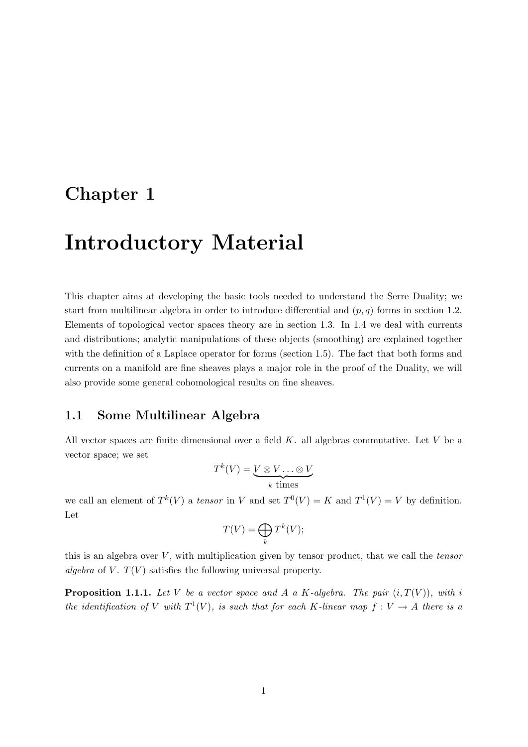### Chapter 1

### Introductory Material

This chapter aims at developing the basic tools needed to understand the Serre Duality; we start from multilinear algebra in order to introduce differential and  $(p, q)$  forms in section 1.2. Elements of topological vector spaces theory are in section 1.3. In 1.4 we deal with currents and distributions; analytic manipulations of these objects (smoothing) are explained together with the definition of a Laplace operator for forms (section 1.5). The fact that both forms and currents on a manifold are fine sheaves plays a major role in the proof of the Duality, we will also provide some general cohomological results on fine sheaves.

#### 1.1 Some Multilinear Algebra

All vector spaces are finite dimensional over a field  $K$ . all algebras commutative. Let  $V$  be a vector space; we set

$$
T^k(V) = \underbrace{V \otimes V \dots \otimes V}_{k \text{ times}}
$$

we call an element of  $T^k(V)$  a tensor in V and set  $T^0(V) = K$  and  $T^1(V) = V$  by definition. Let

$$
T(V) = \bigoplus_{k} T^{k}(V);
$$

this is an algebra over  $V$ , with multiplication given by tensor product, that we call the tensor algebra of V.  $T(V)$  satisfies the following universal property.

**Proposition 1.1.1.** Let V be a vector space and A a K-algebra. The pair  $(i, T(V))$ , with i the identification of V with  $T^1(V)$ , is such that for each K-linear map  $f: V \to A$  there is a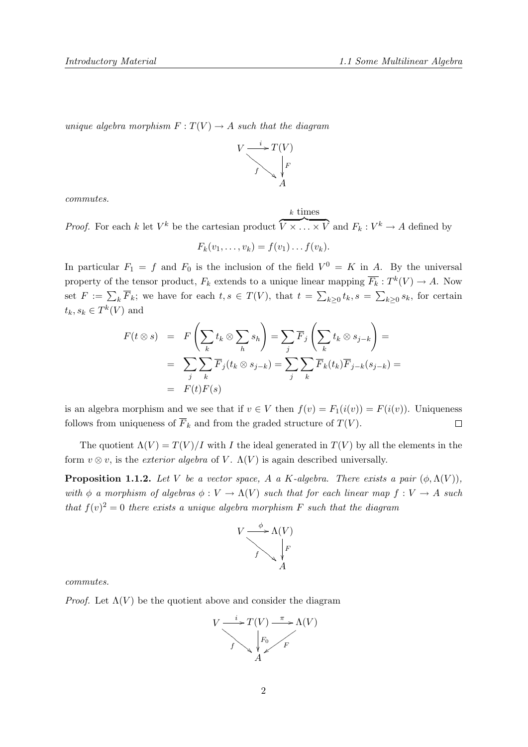unique algebra morphism  $F: T(V) \to A$  such that the diagram



k times

commutes.

*Proof.* For each k let  $V^k$  be the cartesian product  $\overline{V} \times \ldots \times \overline{V}$  and  $F_k : V^k \to A$  defined by

$$
F_k(v_1,\ldots,v_k)=f(v_1)\ldots f(v_k).
$$

In particular  $F_1 = f$  and  $F_0$  is the inclusion of the field  $V^0 = K$  in A. By the universal property of the tensor product,  $F_k$  extends to a unique linear mapping  $\overline{F_k}: T^k(V) \to A$ . Now set  $F := \sum_{k} \overline{F}_k$ ; we have for each  $t, s \in T(V)$ , that  $t = \sum_{k\geq 0} t_k$ ,  $s = \sum_{k\geq 0} s_k$ , for certain  $t_k, s_k \in T^k(V)$  and

$$
F(t \otimes s) = F\left(\sum_{k} t_{k} \otimes \sum_{h} s_{h}\right) = \sum_{j} \overline{F}_{j}\left(\sum_{k} t_{k} \otimes s_{j-k}\right) =
$$
  
= 
$$
\sum_{j} \sum_{k} \overline{F}_{j}(t_{k} \otimes s_{j-k}) = \sum_{j} \sum_{k} \overline{F}_{k}(t_{k}) \overline{F}_{j-k}(s_{j-k}) =
$$
  
= 
$$
F(t)F(s)
$$

is an algebra morphism and we see that if  $v \in V$  then  $f(v) = F_1(i(v)) = F(i(v))$ . Uniqueness follows from uniqueness of  $\overline{F}_k$  and from the graded structure of  $T(V)$ .  $\Box$ 

The quotient  $\Lambda(V) = T(V)/I$  with I the ideal generated in  $T(V)$  by all the elements in the form  $v \otimes v$ , is the *exterior algebra* of V.  $\Lambda(V)$  is again described universally.

**Proposition 1.1.2.** Let V be a vector space, A a K-algebra. There exists a pair  $(\phi, \Lambda(V))$ , with  $\phi$  a morphism of algebras  $\phi: V \to \Lambda(V)$  such that for each linear map  $f: V \to A$  such that  $f(v)^2 = 0$  there exists a unique algebra morphism F such that the diagram



commutes.

*Proof.* Let  $\Lambda(V)$  be the quotient above and consider the diagram

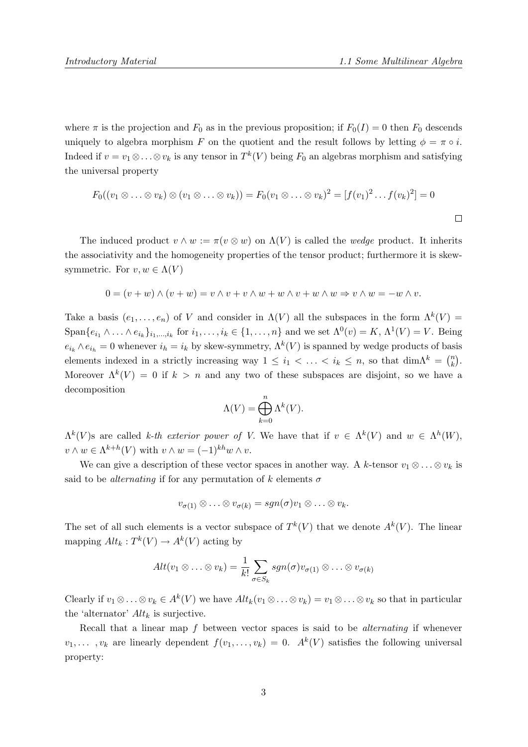where  $\pi$  is the projection and  $F_0$  as in the previous proposition; if  $F_0(I) = 0$  then  $F_0$  descends uniquely to algebra morphism F on the quotient and the result follows by letting  $\phi = \pi \circ i$ . Indeed if  $v = v_1 \otimes \ldots \otimes v_k$  is any tensor in  $T^k(V)$  being  $F_0$  an algebras morphism and satisfying the universal property

$$
F_0((v_1 \otimes \ldots \otimes v_k) \otimes (v_1 \otimes \ldots \otimes v_k)) = F_0(v_1 \otimes \ldots \otimes v_k)^2 = [f(v_1)^2 \ldots f(v_k)^2] = 0
$$

The induced product  $v \wedge w := \pi(v \otimes w)$  on  $\Lambda(V)$  is called the *wedge* product. It inherits the associativity and the homogeneity properties of the tensor product; furthermore it is skewsymmetric. For  $v, w \in \Lambda(V)$ 

$$
0 = (v + w) \wedge (v + w) = v \wedge v + v \wedge w + w \wedge v + w \wedge w \Rightarrow v \wedge w = -w \wedge v.
$$

Take a basis  $(e_1, \ldots, e_n)$  of V and consider in  $\Lambda(V)$  all the subspaces in the form  $\Lambda^k(V)$  =  $\text{Span}\{e_{i_1}\wedge\ldots\wedge e_{i_k}\}_{i_1,\ldots,i_k}$  for  $i_1,\ldots,i_k\in\{1,\ldots,n\}$  and we set  $\Lambda^0(v)=K, \Lambda^1(V)=V$ . Being  $e_{i_k} \wedge e_{i_k} = 0$  whenever  $i_h = i_k$  by skew-symmetry,  $\Lambda^k(V)$  is spanned by wedge products of basis elements indexed in a strictly increasing way  $1 \leq i_1 < \ldots < i_k \leq n$ , so that  $\dim \Lambda^k = \binom{n}{k}$  $\binom{n}{k}$ . Moreover  $\Lambda^k(V) = 0$  if  $k > n$  and any two of these subspaces are disjoint, so we have a decomposition

$$
\Lambda(V) = \bigoplus_{k=0}^{n} \Lambda^{k}(V).
$$

 $\Lambda^k(V)$ s are called k-th exterior power of V. We have that if  $v \in \Lambda^k(V)$  and  $w \in \Lambda^h(W)$ ,  $v \wedge w \in \Lambda^{k+h}(V)$  with  $v \wedge w = (-1)^{kh} w \wedge v$ .

We can give a description of these vector spaces in another way. A k-tensor  $v_1 \otimes \ldots \otimes v_k$  is said to be *alternating* if for any permutation of k elements  $\sigma$ 

$$
v_{\sigma(1)} \otimes \ldots \otimes v_{\sigma(k)} = sgn(\sigma)v_1 \otimes \ldots \otimes v_k.
$$

The set of all such elements is a vector subspace of  $T^k(V)$  that we denote  $A^k(V)$ . The linear mapping  $Alt_k: T^k(V) \to A^k(V)$  acting by

$$
Alt(v_1 \otimes \ldots \otimes v_k) = \frac{1}{k!} \sum_{\sigma \in S_k} sgn(\sigma) v_{\sigma(1)} \otimes \ldots \otimes v_{\sigma(k)}
$$

Clearly if  $v_1 \otimes \ldots \otimes v_k \in A^k(V)$  we have  $Alt_k(v_1 \otimes \ldots \otimes v_k) = v_1 \otimes \ldots \otimes v_k$  so that in particular the 'alternator'  $Alt_k$  is surjective.

Recall that a linear map  $f$  between vector spaces is said to be *alternating* if whenever  $v_1, \ldots, v_k$  are linearly dependent  $f(v_1, \ldots, v_k) = 0$ .  $A^k(V)$  satisfies the following universal property: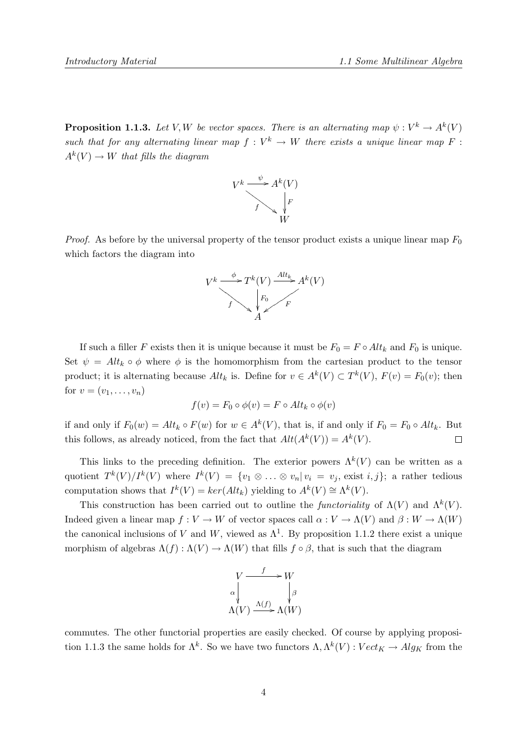**Proposition 1.1.3.** Let V, W be vector spaces. There is an alternating map  $\psi: V^k \to A^k(V)$ such that for any alternating linear map  $f: V^k \to W$  there exists a unique linear map F:  $A^k(V) \to W$  that fills the diagram



*Proof.* As before by the universal property of the tensor product exists a unique linear map  $F_0$ which factors the diagram into



If such a filler F exists then it is unique because it must be  $F_0 = F \circ Alt_k$  and  $F_0$  is unique. Set  $\psi = Alt_k \circ \phi$  where  $\phi$  is the homomorphism from the cartesian product to the tensor product; it is alternating because  $Alt_k$  is. Define for  $v \in A^k(V) \subset T^k(V)$ ,  $F(v) = F_0(v)$ ; then for  $v = (v_1, ..., v_n)$ 

$$
f(v) = F_0 \circ \phi(v) = F \circ Alt_k \circ \phi(v)
$$

if and only if  $F_0(w) = Alt_k \circ F(w)$  for  $w \in A^k(V)$ , that is, if and only if  $F_0 = F_0 \circ Alt_k$ . But this follows, as already noticed, from the fact that  $Alt(A^k(V)) = A^k(V)$ .  $\Box$ 

This links to the preceding definition. The exterior powers  $\Lambda^k(V)$  can be written as a quotient  $T^k(V)/I^k(V)$  where  $I^k(V) = \{v_1 \otimes \ldots \otimes v_n | v_i = v_j, \text{ exist } i, j\};$  a rather tedious computation shows that  $I^k(V) = \ker(Alt_k)$  yielding to  $A^k(V) \cong \Lambda^k(V)$ .

This construction has been carried out to outline the *functoriality* of  $\Lambda(V)$  and  $\Lambda^k(V)$ . Indeed given a linear map  $f: V \to W$  of vector spaces call  $\alpha: V \to \Lambda(V)$  and  $\beta: W \to \Lambda(W)$ the canonical inclusions of V and W, viewed as  $\Lambda^1$ . By proposition 1.1.2 there exist a unique morphism of algebras  $\Lambda(f): \Lambda(V) \to \Lambda(W)$  that fills  $f \circ \beta$ , that is such that the diagram



commutes. The other functorial properties are easily checked. Of course by applying proposition 1.1.3 the same holds for  $\Lambda^k$ . So we have two functors  $\Lambda, \Lambda^k(V) : Vect_K \to Alg_K$  from the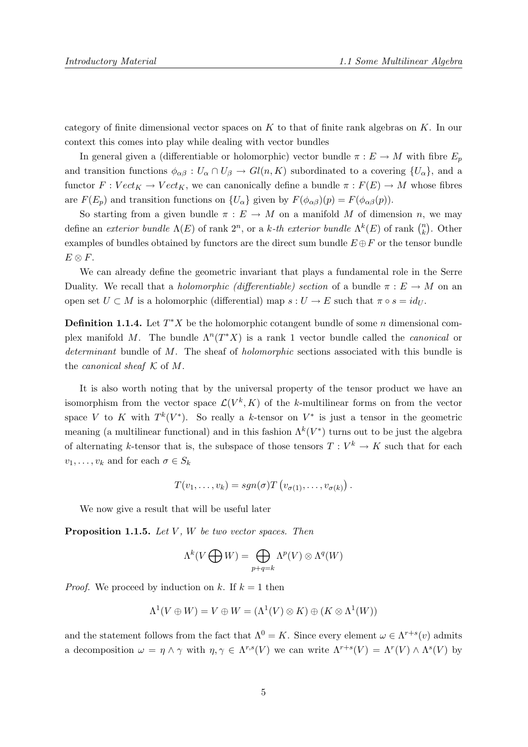category of finite dimensional vector spaces on  $K$  to that of finite rank algebras on  $K$ . In our context this comes into play while dealing with vector bundles

In general given a (differentiable or holomorphic) vector bundle  $\pi : E \to M$  with fibre  $E_p$ and transition functions  $\phi_{\alpha\beta}: U_{\alpha} \cap U_{\beta} \to Gl(n,K)$  subordinated to a covering  $\{U_{\alpha}\}\$ , and a functor  $F : Vect_K \to Vect_K$ , we can canonically define a bundle  $\pi : F(E) \to M$  whose fibres are  $F(E_p)$  and transition functions on  $\{U_\alpha\}$  given by  $F(\phi_{\alpha\beta})(p) = F(\phi_{\alpha\beta}(p)).$ 

So starting from a given bundle  $\pi : E \to M$  on a manifold M of dimension n, we may define an *exterior bundle*  $\Lambda(E)$  of rank  $2^n$ , or a k-th exterior bundle  $\Lambda^k(E)$  of rank  $\binom{n}{k}$  $\binom{n}{k}$ . Other examples of bundles obtained by functors are the direct sum bundle  $E \oplus F$  or the tensor bundle  $E \otimes F$ .

We can already define the geometric invariant that plays a fundamental role in the Serre Duality. We recall that a *holomorphic (differentiable)* section of a bundle  $\pi : E \to M$  on an open set  $U \subset M$  is a holomorphic (differential) map  $s : U \to E$  such that  $\pi \circ s = id_U$ .

**Definition 1.1.4.** Let  $T^*X$  be the holomorphic cotangent bundle of some n dimensional complex manifold M. The bundle  $\Lambda^n(T^*X)$  is a rank 1 vector bundle called the *canonical* or determinant bundle of M. The sheaf of *holomorphic* sections associated with this bundle is the *canonical sheaf*  $K$  of  $M$ .

It is also worth noting that by the universal property of the tensor product we have an isomorphism from the vector space  $\mathcal{L}(V^k, K)$  of the k-multilinear forms on from the vector space V to K with  $T^k(V^*)$ . So really a k-tensor on  $V^*$  is just a tensor in the geometric meaning (a multilinear functional) and in this fashion  $\Lambda^k(V^*)$  turns out to be just the algebra of alternating k-tensor that is, the subspace of those tensors  $T: V^k \to K$  such that for each  $v_1, \ldots, v_k$  and for each  $\sigma \in S_k$ 

$$
T(v_1,\ldots,v_k)=sgn(\sigma)T\left(v_{\sigma(1)},\ldots,v_{\sigma(k)}\right).
$$

We now give a result that will be useful later

**Proposition 1.1.5.** Let  $V$ ,  $W$  be two vector spaces. Then

$$
\Lambda^k(V\bigoplus W)=\bigoplus_{p+q=k}\Lambda^p(V)\otimes\Lambda^q(W)
$$

*Proof.* We proceed by induction on k. If  $k = 1$  then

$$
\Lambda^1(V \oplus W) = V \oplus W = (\Lambda^1(V) \otimes K) \oplus (K \otimes \Lambda^1(W))
$$

and the statement follows from the fact that  $\Lambda^0 = K$ . Since every element  $\omega \in \Lambda^{r+s}(v)$  admits a decomposition  $\omega = \eta \wedge \gamma$  with  $\eta, \gamma \in \Lambda^{r,s}(V)$  we can write  $\Lambda^{r+s}(V) = \Lambda^r(V) \wedge \Lambda^s(V)$  by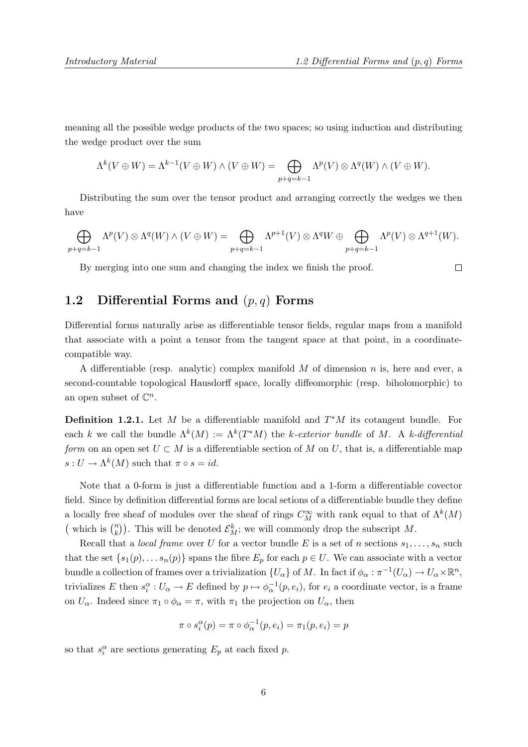$\Box$ 

meaning all the possible wedge products of the two spaces; so using induction and distributing the wedge product over the sum

$$
\Lambda^k(V\oplus W)=\Lambda^{k-1}(V\oplus W)\wedge (V\oplus W)=\bigoplus_{p+q=k-1}\Lambda^p(V)\otimes \Lambda^q(W)\wedge (V\oplus W).
$$

Distributing the sum over the tensor product and arranging correctly the wedges we then have

$$
\bigoplus_{p+q=k-1} \Lambda^p(V) \otimes \Lambda^q(W) \wedge (V \oplus W) = \bigoplus_{p+q=k-1} \Lambda^{p+1}(V) \otimes \Lambda^q W \oplus \bigoplus_{p+q=k-1} \Lambda^p(V) \otimes \Lambda^{q+1}(W).
$$

By merging into one sum and changing the index we finish the proof.

#### 1.2 Differential Forms and  $(p, q)$  Forms

Differential forms naturally arise as differentiable tensor fields, regular maps from a manifold that associate with a point a tensor from the tangent space at that point, in a coordinatecompatible way.

A differentiable (resp. analytic) complex manifold  $M$  of dimension  $n$  is, here and ever, a second-countable topological Hausdorff space, locally diffeomorphic (resp. biholomorphic) to an open subset of  $\mathbb{C}^n$ .

**Definition 1.2.1.** Let M be a differentiable manifold and  $T^*M$  its cotangent bundle. For each k we call the bundle  $\Lambda^k(M) := \Lambda^k(T^*M)$  the k-exterior bundle of M. A k-differential form on an open set  $U \subset M$  is a differentiable section of M on U, that is, a differentiable map  $s: U \to \Lambda^k(M)$  such that  $\pi \circ s = id$ .

Note that a 0-form is just a differentiable function and a 1-form a differentiable covector field. Since by definition differential forms are local setions of a differentiable bundle they define a locally free sheaf of modules over the sheaf of rings  $C_M^{\infty}$  with rank equal to that of  $\Lambda^k(M)$ (which is  $\binom{n}{k}$  $\binom{n}{k}$ ). This will be denoted  $\mathcal{E}_{M}^{k}$ ; we will commonly drop the subscript M.

Recall that a *local frame* over U for a vector bundle E is a set of n sections  $s_1, \ldots, s_n$  such that the set  $\{s_1(p), \ldots s_n(p)\}\$  spans the fibre  $E_p$  for each  $p \in U$ . We can associate with a vector bundle a collection of frames over a trivialization  $\{U_\alpha\}$  of M. In fact if  $\phi_\alpha : \pi^{-1}(U_\alpha) \to U_\alpha \times \mathbb{R}^n$ , trivializes E then  $s_i^{\alpha}: U_{\alpha} \to E$  defined by  $p \mapsto \phi_{\alpha}^{-1}(p, e_i)$ , for  $e_i$  a coordinate vector, is a frame on  $U_{\alpha}$ . Indeed since  $\pi_1 \circ \phi_{\alpha} = \pi$ , with  $\pi_1$  the projection on  $U_{\alpha}$ , then

$$
\pi \circ s_i^{\alpha}(p) = \pi \circ \phi_{\alpha}^{-1}(p, e_i) = \pi_1(p, e_i) = p
$$

so that  $s_i^{\alpha}$  are sections generating  $E_p$  at each fixed p.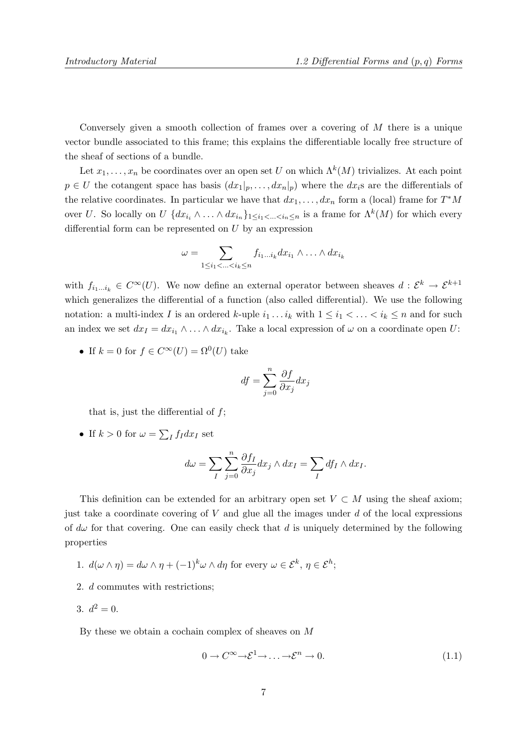Conversely given a smooth collection of frames over a covering of M there is a unique vector bundle associated to this frame; this explains the differentiable locally free structure of the sheaf of sections of a bundle.

Let  $x_1, \ldots, x_n$  be coordinates over an open set U on which  $\Lambda^k(M)$  trivializes. At each point  $p \in U$  the cotangent space has basis  $(dx_1|_p, \ldots, dx_n|_p)$  where the dx<sub>i</sub>s are the differentials of the relative coordinates. In particular we have that  $dx_1, \ldots, dx_n$  form a (local) frame for  $T^*M$ over U. So locally on  $U$   $\{dx_{i_1} \wedge \ldots \wedge dx_{i_n}\}_{1 \leq i_1 < \ldots < i_n \leq n}$  is a frame for  $\Lambda^k(M)$  for which every differential form can be represented on U by an expression

$$
\omega = \sum_{1 \leq i_1 < \ldots < i_k \leq n} f_{i_1 \ldots i_k} dx_{i_1} \wedge \ldots \wedge dx_{i_k}
$$

with  $f_{i_1...i_k} \in C^{\infty}(U)$ . We now define an external operator between sheaves  $d: \mathcal{E}^k \to \mathcal{E}^{k+1}$ which generalizes the differential of a function (also called differential). We use the following notation: a multi-index I is an ordered k-uple  $i_1 \tldots i_k$  with  $1 \leq i_1 < \ldots < i_k \leq n$  and for such an index we set  $dx_I = dx_{i_1} \wedge \ldots \wedge dx_{i_k}$ . Take a local expression of  $\omega$  on a coordinate open U:

• If  $k = 0$  for  $f \in C^{\infty}(U) = \Omega^{0}(U)$  take

$$
df = \sum_{j=0}^{n} \frac{\partial f}{\partial x_j} dx_j
$$

that is, just the differential of  $f$ ;

• If  $k > 0$  for  $\omega = \sum_I f_I dx_I$  set

$$
d\omega = \sum_{I} \sum_{j=0}^{n} \frac{\partial f_I}{\partial x_j} dx_j \wedge dx_I = \sum_{I} df_I \wedge dx_I.
$$

This definition can be extended for an arbitrary open set  $V \subset M$  using the sheaf axiom; just take a coordinate covering of  $V$  and glue all the images under  $d$  of the local expressions of  $d\omega$  for that covering. One can easily check that d is uniquely determined by the following properties

- 1.  $d(\omega \wedge \eta) = d\omega \wedge \eta + (-1)^k \omega \wedge d\eta$  for every  $\omega \in \mathcal{E}^k$ ,  $\eta \in \mathcal{E}^h$ ;
- 2. d commutes with restrictions;
- 3.  $d^2 = 0$ .

By these we obtain a cochain complex of sheaves on M

$$
0 \to C^{\infty} \to \mathcal{E}^{1} \to \dots \to \mathcal{E}^{n} \to 0. \tag{1.1}
$$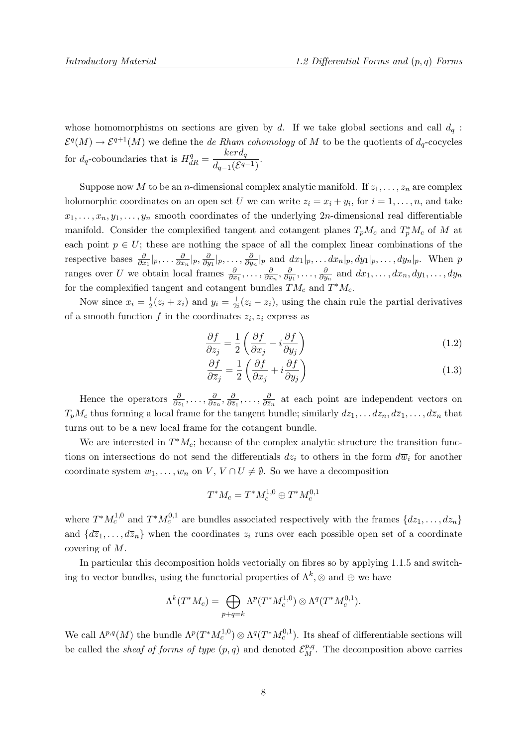whose homomorphisms on sections are given by d. If we take global sections and call  $d_q$ :  $\mathcal{E}^q(M) \to \mathcal{E}^{q+1}(M)$  we define the *de Rham cohomology* of M to be the quotients of  $d_q$ -cocycles for  $d_q$ -coboundaries that is  $H_{dR}^q = \frac{ker d_q}{d_q}$  $\frac{d_{q-1}(\mathcal{E}^{q-1})}{d_{q-1}(\mathcal{E}^{q-1})}.$ 

Suppose now M to be an n-dimensional complex analytic manifold. If  $z_1, \ldots, z_n$  are complex holomorphic coordinates on an open set U we can write  $z_i = x_i + y_i$ , for  $i = 1, ..., n$ , and take  $x_1, \ldots, x_n, y_1, \ldots, y_n$  smooth coordinates of the underlying 2n-dimensional real differentiable manifold. Consider the complexified tangent and cotangent planes  $T_pM_c$  and  $T_p^*M_c$  of M at each point  $p \in U$ ; these are nothing the space of all the complex linear combinations of the respective bases  $\frac{\partial}{\partial x_1}|_p, \ldots \frac{\partial}{\partial x_n}$  $\frac{\partial}{\partial x_n}|_p, \frac{\partial}{\partial y}$  $\frac{\partial}{\partial y_1}|_p,\ldots,\frac{\partial}{\partial y}$  $\frac{\partial}{\partial y_n}|_p$  and  $dx_1|_p, \ldots dx_n|_p, dy_1|_p, \ldots, dy_n|_p$ . When p ranges over U we obtain local frames  $\frac{\partial}{\partial x_1}, \ldots, \frac{\partial}{\partial x_n}$  $\frac{\partial}{\partial x_n}, \frac{\partial}{\partial y}$  $\frac{\partial}{\partial y_1},\ldots,\frac{\partial}{\partial y_n}$  $\frac{\partial}{\partial y_n}$  and  $dx_1, \ldots, dx_n, dy_1, \ldots, dy_n$ for the complexified tangent and cotangent bundles  $TM_c$  and  $T^*M_c$ .

Now since  $x_i = \frac{1}{2}$  $\frac{1}{2}(z_i + \overline{z}_i)$  and  $y_i = \frac{1}{2i}$  $\frac{1}{2i}(z_i - \overline{z}_i)$ , using the chain rule the partial derivatives of a smooth function f in the coordinates  $z_i$ ,  $\overline{z}_i$  express as

$$
\frac{\partial f}{\partial z_j} = \frac{1}{2} \left( \frac{\partial f}{\partial x_j} - i \frac{\partial f}{\partial y_j} \right) \tag{1.2}
$$

$$
\frac{\partial f}{\partial \overline{z}_j} = \frac{1}{2} \left( \frac{\partial f}{\partial x_j} + i \frac{\partial f}{\partial y_j} \right) \tag{1.3}
$$

Hence the operators  $\frac{\partial}{\partial z_1}, \ldots, \frac{\partial}{\partial z_n}$  $\frac{\partial}{\partial z_n}, \frac{\partial}{\partial \overline{z}}$  $\frac{\partial}{\partial \overline{z}_1}, \ldots, \frac{\partial}{\partial \overline{z}_n}$  $\frac{\partial}{\partial \bar{z}_n}$  at each point are independent vectors on  $T_pM_c$  thus forming a local frame for the tangent bundle; similarly  $dz_1, \ldots dz_n, d\overline{z}_1, \ldots, d\overline{z}_n$  that turns out to be a new local frame for the cotangent bundle.

We are interested in  $T^*M_c$ ; because of the complex analytic structure the transition functions on intersections do not send the differentials  $dz_i$  to others in the form  $d\overline{w}_i$  for another coordinate system  $w_1, \ldots, w_n$  on  $V, V \cap U \neq \emptyset$ . So we have a decomposition

$$
T^*M_c = T^*M_c^{1,0} \oplus T^*M_c^{0,1}
$$

where  $T^* M_c^{1,0}$  and  $T^* M_c^{0,1}$  are bundles associated respectively with the frames  $\{dz_1, \ldots, dz_n\}$ and  $\{d\overline{z}_1,\ldots,d\overline{z}_n\}$  when the coordinates  $z_i$  runs over each possible open set of a coordinate covering of M.

In particular this decomposition holds vectorially on fibres so by applying 1.1.5 and switching to vector bundles, using the functorial properties of  $\Lambda^k$ ,  $\otimes$  and  $\oplus$  we have

$$
\Lambda^k(T^*M_c) = \bigoplus_{p+q=k} \Lambda^p(T^*M_c^{1,0}) \otimes \Lambda^q(T^*M_c^{0,1}).
$$

We call  $\Lambda^{p,q}(M)$  the bundle  $\Lambda^p(T^*M_c^{1,0}) \otimes \Lambda^q(T^*M_c^{0,1})$ . Its sheaf of differentiable sections will be called the *sheaf of forms of type*  $(p, q)$  and denoted  $\mathcal{E}_{M}^{p,q}$ . The decomposition above carries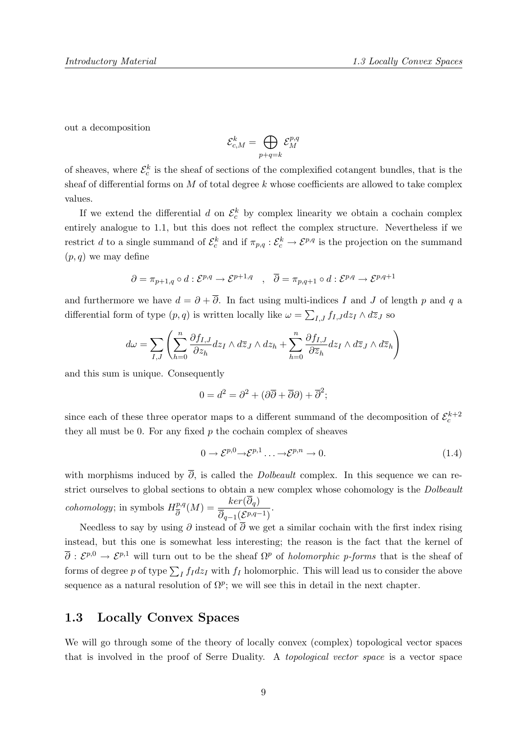out a decomposition

$$
\mathcal{E}^k_{c,M} = \bigoplus_{p+q=k} \mathcal{E}^{p,q}_M
$$

of sheaves, where  $\mathcal{E}_c^k$  is the sheaf of sections of the complexified cotangent bundles, that is the sheaf of differential forms on  $M$  of total degree  $k$  whose coefficients are allowed to take complex values.

If we extend the differential d on  $\mathcal{E}_c^k$  by complex linearity we obtain a cochain complex entirely analogue to 1.1, but this does not reflect the complex structure. Nevertheless if we restrict d to a single summand of  $\mathcal{E}_c^k$  and if  $\pi_{p,q}: \mathcal{E}_c^k \to \mathcal{E}^{p,q}$  is the projection on the summand  $(p, q)$  we may define

$$
\partial = \pi_{p+1,q} \circ d : \mathcal{E}^{p,q} \to \mathcal{E}^{p+1,q} \quad , \quad \overline{\partial} = \pi_{p,q+1} \circ d : \mathcal{E}^{p,q} \to \mathcal{E}^{p,q+1}
$$

and furthermore we have  $d = \partial + \overline{\partial}$ . In fact using multi-indices I and J of length p and q a differential form of type  $(p, q)$  is written locally like  $\omega = \sum_{I,J} f_{I,J} dz_I \wedge d\overline{z}_J$  so

$$
d\omega = \sum_{I,J} \left( \sum_{h=0}^n \frac{\partial f_{I,J}}{\partial z_h} dz_I \wedge d\overline{z}_J \wedge dz_h + \sum_{h=0}^n \frac{\partial f_{I,J}}{\partial \overline{z}_h} dz_I \wedge d\overline{z}_J \wedge d\overline{z}_h \right)
$$

and this sum is unique. Consequently

$$
0 = d^2 = \partial^2 + (\partial \overline{\partial} + \overline{\partial} \partial) + \overline{\partial}^2;
$$

since each of these three operator maps to a different summand of the decomposition of  $\mathcal{E}_c^{k+2}$ they all must be 0. For any fixed  $p$  the cochain complex of sheaves

$$
0 \to \mathcal{E}^{p,0} \to \mathcal{E}^{p,1} \dots \to \mathcal{E}^{p,n} \to 0. \tag{1.4}
$$

with morphisms induced by  $\overline{\partial}$ , is called the *Dolbeault* complex. In this sequence we can restrict ourselves to global sections to obtain a new complex whose cohomology is the *Dolbeault cohomology*; in symbols  $H_{\overline{a}}^{p,q}$  $\frac{p,q}{\overline{\partial}}(M) = \frac{ker(\partial_q)}{\overline{\partial}_{q-1}(\mathcal{S}^{p,q-1})}$  $\frac{\overline{p}_{q-1}(\mathcal{E}^{p,q-1})}{\overline{\partial}_{q-1}(\mathcal{E}^{p,q-1})}.$ 

Needless to say by using  $\partial$  instead of  $\overline{\partial}$  we get a similar cochain with the first index rising instead, but this one is somewhat less interesting; the reason is the fact that the kernel of  $\overline{\partial}: \mathcal{E}^{p,0} \to \mathcal{E}^{p,1}$  will turn out to be the sheaf  $\Omega^p$  of *holomorphic p-forms* that is the sheaf of forms of degree p of type  $\sum_I f_I dz_I$  with  $f_I$  holomorphic. This will lead us to consider the above sequence as a natural resolution of  $\Omega^p$ ; we will see this in detail in the next chapter.

#### 1.3 Locally Convex Spaces

We will go through some of the theory of locally convex (complex) topological vector spaces that is involved in the proof of Serre Duality. A topological vector space is a vector space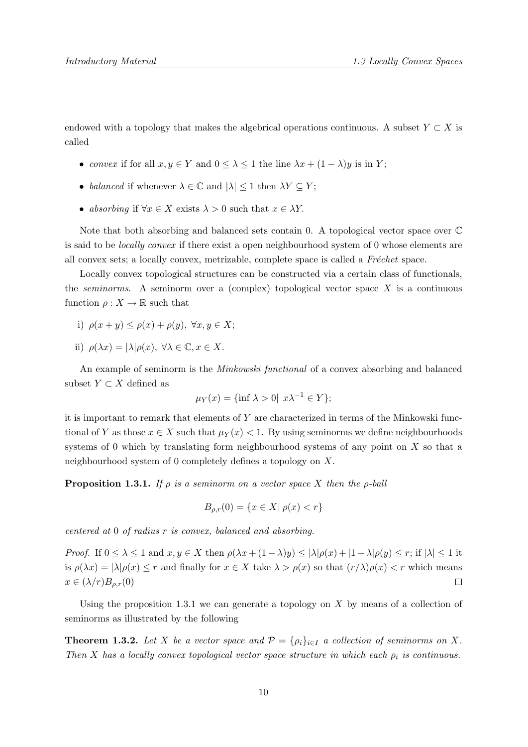endowed with a topology that makes the algebrical operations continuous. A subset  $Y \subset X$  is called

- convex if for all  $x, y \in Y$  and  $0 \leq \lambda \leq 1$  the line  $\lambda x + (1 \lambda)y$  is in Y;
- balanced if whenever  $\lambda \in \mathbb{C}$  and  $|\lambda| \leq 1$  then  $\lambda Y \subseteq Y$ ;
- absorbing if  $\forall x \in X$  exists  $\lambda > 0$  such that  $x \in \lambda Y$ .

Note that both absorbing and balanced sets contain 0. A topological vector space over C is said to be locally convex if there exist a open neighbourhood system of 0 whose elements are all convex sets; a locally convex, metrizable, complete space is called a  $Fréchet$  space.

Locally convex topological structures can be constructed via a certain class of functionals, the *seminorms*. A seminorm over a (complex) topological vector space  $X$  is a continuous function  $\rho: X \to \mathbb{R}$  such that

- i)  $\rho(x+y) \leq \rho(x) + \rho(y), \ \forall x, y \in X;$
- ii)  $\rho(\lambda x) = |\lambda| \rho(x), \ \forall \lambda \in \mathbb{C}, x \in X.$

An example of seminorm is the Minkowski functional of a convex absorbing and balanced subset  $Y \subset X$  defined as

$$
\mu_Y(x) = \{ \inf \lambda > 0 \mid x\lambda^{-1} \in Y \};
$$

it is important to remark that elements of Y are characterized in terms of the Minkowski functional of Y as those  $x \in X$  such that  $\mu_Y(x) < 1$ . By using seminorms we define neighbourhoods systems of 0 which by translating form neighbourhood systems of any point on X so that a neighbourhood system of 0 completely defines a topology on X.

**Proposition 1.3.1.** If  $\rho$  is a seminorm on a vector space X then the  $\rho$ -ball

$$
B_{\rho,r}(0) = \{ x \in X | \rho(x) < r \}
$$

centered at 0 of radius r is convex, balanced and absorbing.

*Proof.* If  $0 \leq \lambda \leq 1$  and  $x, y \in X$  then  $\rho(\lambda x + (1 - \lambda)y) \leq |\lambda|\rho(x) + |1 - \lambda|\rho(y) \leq r$ ; if  $|\lambda| \leq 1$  it is  $\rho(\lambda x) = |\lambda| \rho(x) \le r$  and finally for  $x \in X$  take  $\lambda > \rho(x)$  so that  $(r/\lambda) \rho(x) < r$  which means  $x \in (\lambda/r)B_{\rho,r}(0)$  $\Box$ 

Using the proposition 1.3.1 we can generate a topology on  $X$  by means of a collection of seminorms as illustrated by the following

**Theorem 1.3.2.** Let X be a vector space and  $\mathcal{P} = \{\rho_i\}_{i\in I}$  a collection of seminorms on X. Then X has a locally convex topological vector space structure in which each  $\rho_i$  is continuous.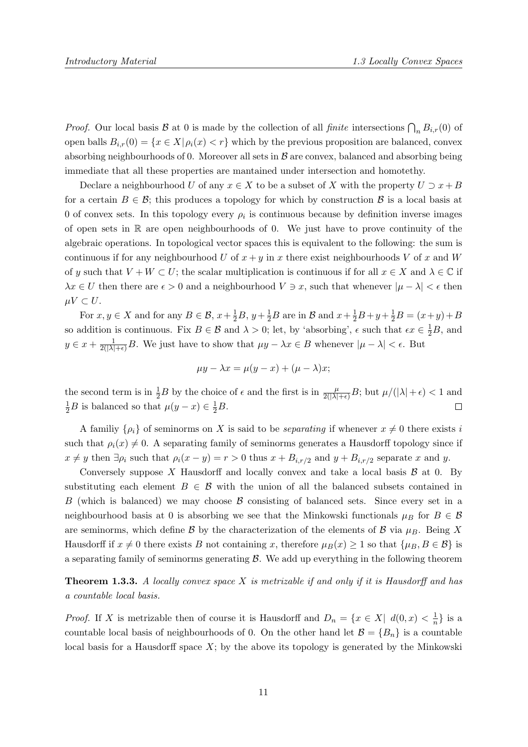*Proof.* Our local basis  $\mathcal{B}$  at 0 is made by the collection of all *finite* intersections  $\bigcap_n B_{i,r}(0)$  of open balls  $B_{i,r}(0) = \{x \in X | \rho_i(x) < r\}$  which by the previous proposition are balanced, convex absorbing neighbourhoods of 0. Moreover all sets in  $\beta$  are convex, balanced and absorbing being immediate that all these properties are mantained under intersection and homotethy.

Declare a neighbourhood U of any  $x \in X$  to be a subset of X with the property  $U \supset x + B$ for a certain  $B \in \mathcal{B}$ ; this produces a topology for which by construction  $\mathcal{B}$  is a local basis at 0 of convex sets. In this topology every  $\rho_i$  is continuous because by definition inverse images of open sets in  $\mathbb R$  are open neighbourhoods of 0. We just have to prove continuity of the algebraic operations. In topological vector spaces this is equivalent to the following: the sum is continuous if for any neighbourhood U of  $x + y$  in x there exist neighbourhoods V of x and W of y such that  $V + W \subset U$ ; the scalar multiplication is continuous if for all  $x \in X$  and  $\lambda \in \mathbb{C}$  if  $\lambda x \in U$  then there are  $\epsilon > 0$  and a neighbourhood  $V \ni x$ , such that whenever  $|\mu - \lambda| < \epsilon$  then  $\mu V \subset U$ .

For  $x, y \in X$  and for any  $B \in \mathcal{B}$ ,  $x + \frac{1}{2}B$ ,  $y + \frac{1}{2}B$  are in  $\mathcal{B}$  and  $x + \frac{1}{2}B + y + \frac{1}{2}B = (x + y) + B$ so addition is continuous. Fix  $B \in \mathcal{B}$  and  $\lambda > 0$ ; let, by 'absorbing',  $\epsilon$  such that  $\epsilon x \in \frac{1}{2}B$ , and  $y \in x + \frac{1}{2(|\lambda|+\epsilon)}B$ . We just have to show that  $\mu y - \lambda x \in B$  whenever  $|\mu - \lambda| < \epsilon$ . But

$$
\mu y - \lambda x = \mu (y - x) + (\mu - \lambda)x;
$$

the second term is in  $\frac{1}{2}B$  by the choice of  $\epsilon$  and the first is in  $\frac{\mu}{2(|\lambda|+\epsilon)}B$ ; but  $\mu/(|\lambda|+\epsilon) < 1$  and  $\frac{1}{2}B$  is balanced so that  $\mu(y-x) \in \frac{1}{2}B$ .  $\Box$ 

A familiy  $\{\rho_i\}$  of seminorms on X is said to be *separating* if whenever  $x \neq 0$  there exists i such that  $\rho_i(x) \neq 0$ . A separating family of seminorms generates a Hausdorff topology since if  $x \neq y$  then  $\exists \rho_i$  such that  $\rho_i(x - y) = r > 0$  thus  $x + B_{i,r/2}$  and  $y + B_{i,r/2}$  separate x and y.

Conversely suppose X Hausdorff and locally convex and take a local basis  $\beta$  at 0. By substituting each element  $B \in \mathcal{B}$  with the union of all the balanced subsets contained in B (which is balanced) we may choose  $\beta$  consisting of balanced sets. Since every set in a neighbourhood basis at 0 is absorbing we see that the Minkowski functionals  $\mu_B$  for  $B \in \mathcal{B}$ are seminorms, which define  $\beta$  by the characterization of the elements of  $\beta$  via  $\mu_B$ . Being X Hausdorff if  $x \neq 0$  there exists B not containing x, therefore  $\mu_B(x) \geq 1$  so that  $\{\mu_B, B \in \mathcal{B}\}\$ is a separating family of seminorms generating  $\beta$ . We add up everything in the following theorem

**Theorem 1.3.3.** A locally convex space X is metrizable if and only if it is Hausdorff and has a countable local basis.

*Proof.* If X is metrizable then of course it is Hausdorff and  $D_n = \{x \in X | d(0, x) < \frac{1}{n}\}$  $\frac{1}{n}$  is a countable local basis of neighbourhoods of 0. On the other hand let  $\mathcal{B} = \{B_n\}$  is a countable local basis for a Hausdorff space  $X$ ; by the above its topology is generated by the Minkowski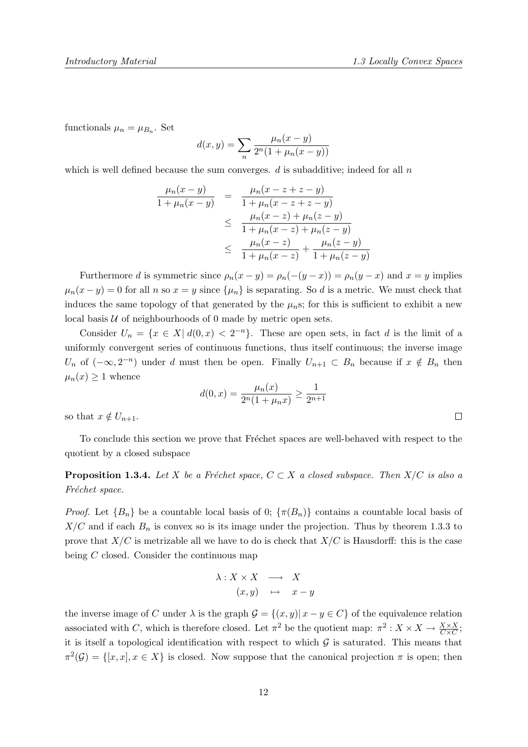functionals  $\mu_n = \mu_{B_n}$ . Set

$$
d(x, y) = \sum_{n} \frac{\mu_n(x - y)}{2^n (1 + \mu_n(x - y))}
$$

which is well defined because the sum converges.  $d$  is subadditive; indeed for all  $n$ 

$$
\frac{\mu_n(x-y)}{1+\mu_n(x-y)} = \frac{\mu_n(x-z+z-y)}{1+\mu_n(x-z+z-y)} \n\leq \frac{\mu_n(x-z)+\mu_n(z-y)}{1+\mu_n(x-z)+\mu_n(z-y)} \n\leq \frac{\mu_n(x-z)}{1+\mu_n(x-z)} + \frac{\mu_n(z-y)}{1+\mu_n(z-y)}
$$

Furthermore d is symmetric since  $\rho_n(x-y) = \rho_n(-(y-x)) = \rho_n(y-x)$  and  $x = y$  implies  $\mu_n(x-y) = 0$  for all n so  $x = y$  since  $\{\mu_n\}$  is separating. So d is a metric. We must check that induces the same topology of that generated by the  $\mu_n$ s; for this is sufficient to exhibit a new local basis  $U$  of neighbourhoods of 0 made by metric open sets.

Consider  $U_n = \{x \in X | d(0, x) < 2^{-n}\}\.$  These are open sets, in fact d is the limit of a uniformly convergent series of continuous functions, thus itself continuous; the inverse image  $U_n$  of  $(-\infty, 2^{-n})$  under d must then be open. Finally  $U_{n+1} \subset B_n$  because if  $x \notin B_n$  then  $\mu_n(x) \geq 1$  whence

$$
d(0, x) = \frac{\mu_n(x)}{2^n(1 + \mu_n x)} \ge \frac{1}{2^{n+1}}
$$

so that  $x \notin U_{n+1}$ .

To conclude this section we prove that Fréchet spaces are well-behaved with respect to the quotient by a closed subspace

**Proposition 1.3.4.** Let X be a Fréchet space,  $C \subset X$  a closed subspace. Then  $X/C$  is also a Fréchet space.

*Proof.* Let  ${B_n}$  be a countable local basis of 0;  ${\pi(B_n)}$  contains a countable local basis of  $X/C$  and if each  $B_n$  is convex so is its image under the projection. Thus by theorem 1.3.3 to prove that  $X/C$  is metrizable all we have to do is check that  $X/C$  is Hausdorff: this is the case being C closed. Consider the continuous map

$$
\begin{array}{rcl}\n\lambda: X \times X & \longrightarrow & X \\
(x, y) & \mapsto & x - y\n\end{array}
$$

the inverse image of C under  $\lambda$  is the graph  $\mathcal{G} = \{(x, y) | x - y \in C\}$  of the equivalence relation associated with C, which is therefore closed. Let  $\pi^2$  be the quotient map:  $\pi^2$ :  $X \times X \to \frac{X \times X}{C \times C}$ ; it is itself a topological identification with respect to which  $G$  is saturated. This means that  $\pi^2(\mathcal{G}) = \{[x, x], x \in X\}$  is closed. Now suppose that the canonical projection  $\pi$  is open; then

 $\Box$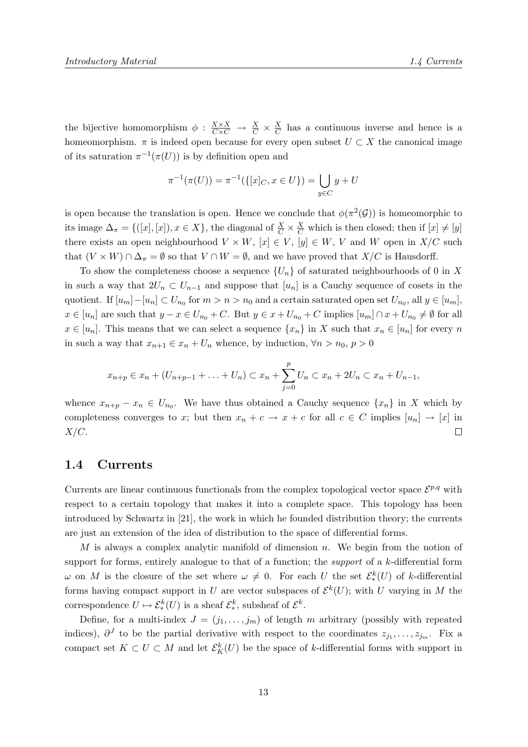the bijective homomorphism  $\phi : \frac{X \times X}{C \times C} \to \frac{X}{C} \times \frac{X}{C}$  $\frac{X}{C}$  has a continuous inverse and hence is a homeomorphism.  $\pi$  is indeed open because for every open subset  $U \subset X$  the canonical image of its saturation  $\pi^{-1}(\pi(U))$  is by definition open and

$$
\pi^{-1}(\pi(U)) = \pi^{-1}(\{ [x]_C, x \in U \}) = \bigcup_{y \in C} y + U
$$

is open because the translation is open. Hence we conclude that  $\phi(\pi^2(\mathcal{G}))$  is homeomorphic to its image  $\Delta_{\pi} = \{([x], [x]), x \in X\}$ , the diagonal of  $\frac{X}{C} \times \frac{X}{C}$  which is then closed; then if  $[x] \neq [y]$ there exists an open neighbourhood  $V \times W$ ,  $[x] \in V$ ,  $[y] \in W$ , V and W open in  $X/C$  such that  $(V \times W) \cap \Delta_{\pi} = \emptyset$  so that  $V \cap W = \emptyset$ , and we have proved that  $X/C$  is Hausdorff.

To show the completeness choose a sequence  $\{U_n\}$  of saturated neighbourhoods of 0 in X in such a way that  $2U_n \subset U_{n-1}$  and suppose that  $[u_n]$  is a Cauchy sequence of cosets in the quotient. If  $[u_m] - [u_n] \subset U_{n_0}$  for  $m > n > n_0$  and a certain saturated open set  $U_{n_0}$ , all  $y \in [u_m]$ ,  $x \in [u_n]$  are such that  $y - x \in U_{n_0} + C$ . But  $y \in x + U_{n_0} + C$  implies  $[u_m] \cap x + U_{n_0} \neq \emptyset$  for all  $x \in [u_n]$ . This means that we can select a sequence  $\{x_n\}$  in X such that  $x_n \in [u_n]$  for every n in such a way that  $x_{n+1} \in x_n + U_n$  whence, by induction,  $\forall n > n_0, p > 0$ 

$$
x_{n+p} \in x_n + (U_{n+p-1} + \ldots + U_n) \subset x_n + \sum_{j=0}^p U_n \subset x_n + 2U_n \subset x_n + U_{n-1},
$$

whence  $x_{n+p} - x_n \in U_{n_0}$ . We have thus obtained a Cauchy sequence  $\{x_n\}$  in X which by completeness converges to x; but then  $x_n + c \to x + c$  for all  $c \in C$  implies  $[u_n] \to [x]$  in  $X/C$ .  $\Box$ 

#### 1.4 Currents

Currents are linear continuous functionals from the complex topological vector space  $\mathcal{E}^{p,q}$  with respect to a certain topology that makes it into a complete space. This topology has been introduced by Schwartz in [21], the work in which he founded distribution theory; the currents are just an extension of the idea of distribution to the space of differential forms.

M is always a complex analytic manifold of dimension  $n$ . We begin from the notion of support for forms, entirely analogue to that of a function; the *support* of a k-differential form  $ω$  on M is the closure of the set where  $ω ≠ 0$ . For each U the set  $\mathcal{E}^k_*(U)$  of k-differential forms having compact support in U are vector subspaces of  $\mathcal{E}^{k}(U)$ ; with U varying in M the correspondence  $U \mapsto \mathcal{E}^k_*(U)$  is a sheaf  $\mathcal{E}^k_*$ , subsheaf of  $\mathcal{E}^k$ .

Define, for a multi-index  $J = (j_1, \ldots, j_m)$  of length m arbitrary (possibly with repeated indices),  $\partial^J$  to be the partial derivative with respect to the coordinates  $z_{j_1}, \ldots, z_{j_m}$ . Fix a compact set  $K \subset U \subset M$  and let  $\mathcal{E}_K^k(U)$  be the space of k-differential forms with support in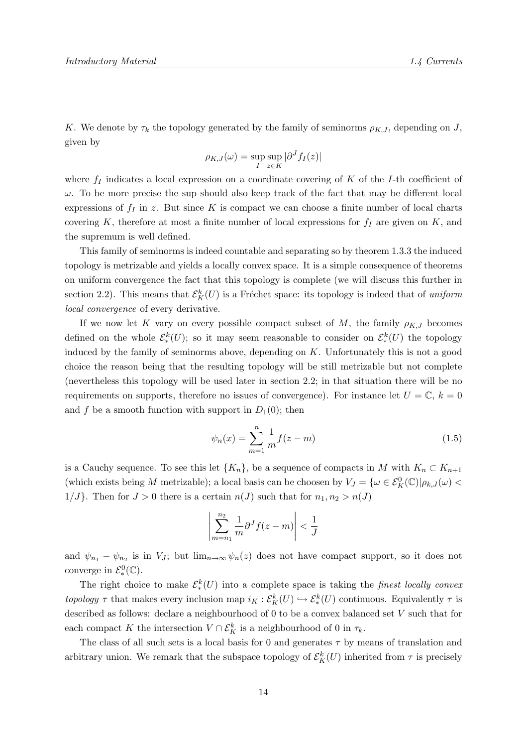K. We denote by  $\tau_k$  the topology generated by the family of seminorms  $\rho_{K,J}$ , depending on J, given by

$$
\rho_{K,J}(\omega) = \sup_I \sup_{z \in K} |\partial^J f_I(z)|
$$

where  $f_I$  indicates a local expression on a coordinate covering of K of the I-th coefficient of  $\omega$ . To be more precise the sup should also keep track of the fact that may be different local expressions of  $f_I$  in z. But since K is compact we can choose a finite number of local charts covering K, therefore at most a finite number of local expressions for  $f_I$  are given on K, and the supremum is well defined.

This family of seminorms is indeed countable and separating so by theorem 1.3.3 the induced topology is metrizable and yields a locally convex space. It is a simple consequence of theorems on uniform convergence the fact that this topology is complete (we will discuss this further in section 2.2). This means that  $\mathcal{E}_K^k(U)$  is a Fréchet space: its topology is indeed that of uniform local convergence of every derivative.

If we now let K vary on every possible compact subset of M, the family  $\rho_{K,J}$  becomes defined on the whole  $\mathcal{E}^k_*(U)$ ; so it may seem reasonable to consider on  $\mathcal{E}^k_*(U)$  the topology induced by the family of seminorms above, depending on  $K$ . Unfortunately this is not a good choice the reason being that the resulting topology will be still metrizable but not complete (nevertheless this topology will be used later in section 2.2; in that situation there will be no requirements on supports, therefore no issues of convergence). For instance let  $U = \mathbb{C}$ ,  $k = 0$ and f be a smooth function with support in  $D_1(0)$ ; then

$$
\psi_n(x) = \sum_{m=1}^n \frac{1}{m} f(z - m)
$$
\n(1.5)

is a Cauchy sequence. To see this let  $\{K_n\}$ , be a sequence of compacts in M with  $K_n \subset K_{n+1}$ (which exists being M metrizable); a local basis can be choosen by  $V_J = \{ \omega \in \mathcal{E}_K^0(\mathbb{C}) | \rho_{k,J}(\omega)$  $1/J$ . Then for  $J > 0$  there is a certain  $n(J)$  such that for  $n_1, n_2 > n(J)$ 

$$
\left|\sum_{m=n_1}^{n_2} \frac{1}{m} \partial^J f(z-m)\right| < \frac{1}{J}
$$

and  $\psi_{n_1} - \psi_{n_2}$  is in  $V_J$ ; but  $\lim_{n\to\infty} \psi_n(z)$  does not have compact support, so it does not converge in  $\mathcal{E}^0_*(\mathbb{C})$ .

The right choice to make  $\mathcal{E}_{*}^{k}(U)$  into a complete space is taking the *finest locally convex* topology  $\tau$  that makes every inclusion map  $i_K : \mathcal{E}_K^k(U) \hookrightarrow \mathcal{E}_*^k(U)$  continuous. Equivalently  $\tau$  is described as follows: declare a neighbourhood of 0 to be a convex balanced set V such that for each compact K the intersection  $V \cap \mathcal{E}_K^k$  is a neighbourhood of 0 in  $\tau_k$ .

The class of all such sets is a local basis for 0 and generates  $\tau$  by means of translation and arbitrary union. We remark that the subspace topology of  $\mathcal{E}_K^k(U)$  inherited from  $\tau$  is precisely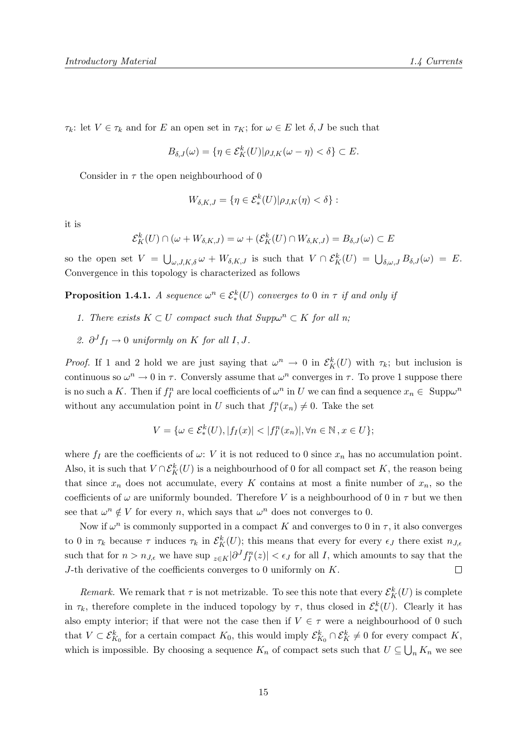$\tau_k$ : let  $V \in \tau_k$  and for E an open set in  $\tau_K$ ; for  $\omega \in E$  let  $\delta, J$  be such that

$$
B_{\delta,J}(\omega) = \{ \eta \in \mathcal{E}_K^k(U) | \rho_{J,K}(\omega - \eta) < \delta \} \subset E.
$$

Consider in  $\tau$  the open neighbourhood of 0

$$
W_{\delta,K,J} = \{ \eta \in \mathcal{E}_*^k(U) | \rho_{J,K}(\eta) < \delta \} :
$$

it is

$$
\mathcal{E}_K^k(U) \cap (\omega + W_{\delta,K,J}) = \omega + (\mathcal{E}_K^k(U) \cap W_{\delta,K,J}) = B_{\delta,J}(\omega) \subset E
$$

so the open set  $V = \bigcup_{\omega, J, K, \delta} \omega + W_{\delta, K, J}$  is such that  $V \cap \mathcal{E}_K^k(U) = \bigcup_{\delta, \omega, J} B_{\delta, J}(\omega) = E$ . Convergence in this topology is characterized as follows

**Proposition 1.4.1.** A sequence  $\omega^n \in \mathcal{E}^k_*(U)$  converges to 0 in  $\tau$  if and only if

- 1. There exists  $K \subset U$  compact such that  $Supp\omega^n \subset K$  for all n;
- 2.  $\partial^J f_I \to 0$  uniformly on K for all I, J.

*Proof.* If 1 and 2 hold we are just saying that  $\omega^n \to 0$  in  $\mathcal{E}_K^k(U)$  with  $\tau_k$ ; but inclusion is continuous so  $\omega^n \to 0$  in  $\tau$ . Conversly assume that  $\omega^n$  converges in  $\tau$ . To prove 1 suppose there is no such a K. Then if  $f_I^n$  are local coefficients of  $\omega^n$  in U we can find a sequence  $x_n \in \text{Supp}\omega^n$ without any accumulation point in U such that  $f_I^n(x_n) \neq 0$ . Take the set

$$
V = \{ \omega \in \mathcal{E}_*^k(U), |f_I(x)| < |f_I^n(x_n)|, \forall n \in \mathbb{N}, x \in U \};
$$

where  $f_I$  are the coefficients of  $\omega$ : V it is not reduced to 0 since  $x_n$  has no accumulation point. Also, it is such that  $V \cap \mathcal{E}_K^k(U)$  is a neighbourhood of 0 for all compact set K, the reason being that since  $x_n$  does not accumulate, every K contains at most a finite number of  $x_n$ , so the coefficients of  $\omega$  are uniformly bounded. Therefore V is a neighbourhood of 0 in  $\tau$  but we then see that  $\omega^n \notin V$  for every n, which says that  $\omega^n$  does not converges to 0.

Now if  $\omega^n$  is commonly supported in a compact K and converges to 0 in  $\tau$ , it also converges to 0 in  $\tau_k$  because  $\tau$  induces  $\tau_k$  in  $\mathcal{E}_K^k(U)$ ; this means that every for every  $\epsilon_J$  there exist  $n_{J,\epsilon}$ such that for  $n > n_{J,\epsilon}$  we have sup  $_{z \in K}$  $|\partial^J f_I^n(z)| < \epsilon_J$  for all I, which amounts to say that the J-th derivative of the coefficients converges to 0 uniformly on  $K$ .  $\Box$ 

Remark. We remark that  $\tau$  is not metrizable. To see this note that every  $\mathcal{E}_K^k(U)$  is complete in  $\tau_k$ , therefore complete in the induced topology by  $\tau$ , thus closed in  $\mathcal{E}^k_*(U)$ . Clearly it has also empty interior; if that were not the case then if  $V \in \tau$  were a neighbourhood of 0 such that  $V \subset \mathcal{E}_{K_0}^k$  for a certain compact  $K_0$ , this would imply  $\mathcal{E}_{K_0}^k \cap \mathcal{E}_{K}^k \neq 0$  for every compact  $K$ , which is impossible. By choosing a sequence  $K_n$  of compact sets such that  $U \subseteq \bigcup_n K_n$  we see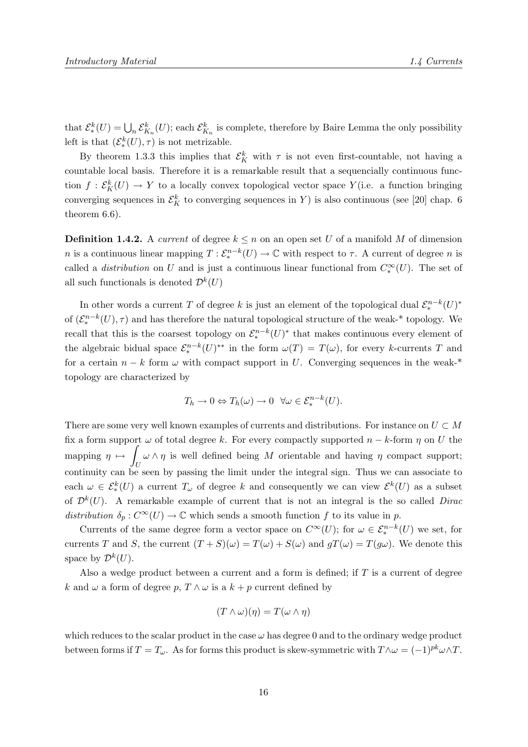that  $\mathcal{E}_{*}^{k}(U) = \bigcup_{n} \mathcal{E}_{K_n}^{k}(U)$ ; each  $\mathcal{E}_{K_n}^{k}$  is complete, therefore by Baire Lemma the only possibility left is that  $(\mathcal{E}_{*}^{k}(U), \tau)$  is not metrizable.

By theorem 1.3.3 this implies that  $\mathcal{E}_K^k$  with  $\tau$  is not even first-countable, not having a countable local basis. Therefore it is a remarkable result that a sequencially continuous function  $f: \mathcal{E}_K^k(U) \to Y$  to a locally convex topological vector space  $Y$  (i.e. a function bringing converging sequences in  $\mathcal{E}_K^k$  to converging sequences in Y) is also continuous (see [20] chap. 6 theorem 6.6).

**Definition 1.4.2.** A current of degree  $k \leq n$  on an open set U of a manifold M of dimension *n* is a continuous linear mapping  $T: \mathcal{E}_*^{n-k}(U) \to \mathbb{C}$  with respect to  $\tau$ . A current of degree *n* is called a *distribution* on U and is just a continuous linear functional from  $C_*^{\infty}(U)$ . The set of all such functionals is denoted  $\mathcal{D}^k(U)$ 

In other words a current T of degree k is just an element of the topological dual  $\mathcal{E}^{n-k}_*(U)^*$ of  $(\mathcal{E}_{*}^{n-k}(U), \tau)$  and has therefore the natural topological structure of the weak-\* topology. We recall that this is the coarsest topology on  $\mathcal{E}_*^{n-k}(U)^*$  that makes continuous every element of the algebraic bidual space  $\mathcal{E}^{n-k}_*(U)^{**}$  in the form  $\omega(T) = T(\omega)$ , for every k-currents T and for a certain  $n - k$  form  $\omega$  with compact support in U. Converging sequences in the weak-\* topology are characterized by

$$
T_h \to 0 \Leftrightarrow T_h(\omega) \to 0 \quad \forall \omega \in \mathcal{E}^{n-k}_*(U).
$$

There are some very well known examples of currents and distributions. For instance on  $U \subset M$ fix a form support  $\omega$  of total degree k. For every compactly supported  $n - k$ -form  $\eta$  on U the mapping  $\eta \mapsto \int \omega \wedge \eta$  is well defined being M orientable and having  $\eta$  compact support;  $U$ <br>continuity can be seen by passing the limit under the integral sign. Thus we can associate to each  $\omega \in \mathcal{E}_{*}^{k}(U)$  a current  $T_{\omega}$  of degree k and consequently we can view  $\mathcal{E}^{k}(U)$  as a subset of  $\mathcal{D}^k(U)$ . A remarkable example of current that is not an integral is the so called Dirac distribution  $\delta_p: C^{\infty}(U) \to \mathbb{C}$  which sends a smooth function f to its value in p.

Currents of the same degree form a vector space on  $C^{\infty}(U)$ ; for  $\omega \in \mathcal{E}_{*}^{n-k}(U)$  we set, for currents T and S, the current  $(T + S)(\omega) = T(\omega) + S(\omega)$  and  $gT(\omega) = T(g\omega)$ . We denote this space by  $\mathcal{D}^k(U)$ .

Also a wedge product between a current and a form is defined; if  $T$  is a current of degree k and  $\omega$  a form of degree p,  $T \wedge \omega$  is a  $k + p$  current defined by

$$
(T \wedge \omega)(\eta) = T(\omega \wedge \eta)
$$

which reduces to the scalar product in the case  $\omega$  has degree 0 and to the ordinary wedge product between forms if  $T = T_{\omega}$ . As for forms this product is skew-symmetric with  $T \wedge \omega = (-1)^{pk} \omega \wedge T$ .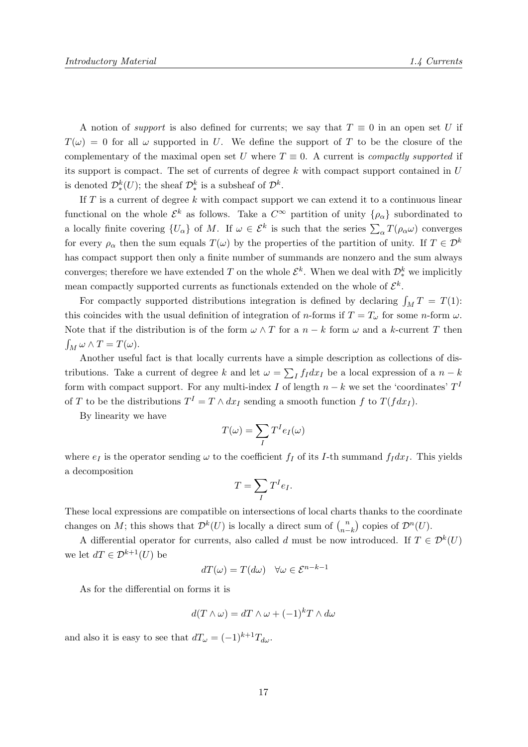A notion of *support* is also defined for currents; we say that  $T \equiv 0$  in an open set U if  $T(\omega) = 0$  for all  $\omega$  supported in U. We define the support of T to be the closure of the complementary of the maximal open set U where  $T \equiv 0$ . A current is *compactly supported* if its support is compact. The set of currents of degree  $k$  with compact support contained in  $U$ is denoted  $\mathcal{D}_{*}^{k}(U)$ ; the sheaf  $\mathcal{D}_{*}^{k}$  is a subsheaf of  $\mathcal{D}_{*}^{k}$ .

If  $T$  is a current of degree k with compact support we can extend it to a continuous linear functional on the whole  $\mathcal{E}^k$  as follows. Take a  $C^{\infty}$  partition of unity  $\{\rho_{\alpha}\}\$  subordinated to a locally finite covering  $\{U_{\alpha}\}\$  of M. If  $\omega \in \mathcal{E}^{k}$  is such that the series  $\sum_{\alpha} T(\rho_{\alpha}\omega)$  converges for every  $\rho_{\alpha}$  then the sum equals  $T(\omega)$  by the properties of the partition of unity. If  $T \in \mathcal{D}^k$ has compact support then only a finite number of summands are nonzero and the sum always converges; therefore we have extended T on the whole  $\mathcal{E}^k$ . When we deal with  $\mathcal{D}^k_*$  we implicitly mean compactly supported currents as functionals extended on the whole of  $\mathcal{E}^k$ .

For compactly supported distributions integration is defined by declaring  $\int_M T = T(1)$ : this coincides with the usual definition of integration of n-forms if  $T = T_{\omega}$  for some n-form  $\omega$ . Note that if the distribution is of the form  $\omega \wedge T$  for a  $n - k$  form  $\omega$  and a k-current T then  $\int_M \omega \wedge T = T(\omega).$ 

Another useful fact is that locally currents have a simple description as collections of distributions. Take a current of degree k and let  $\omega = \sum_I f_I dx_I$  be a local expression of a  $n - k$ form with compact support. For any multi-index I of length  $n - k$  we set the 'coordinates'  $T<sup>1</sup>$ of T to be the distributions  $T^I = T \wedge dx_I$  sending a smooth function f to  $T(f dx_I)$ .

By linearity we have

$$
T(\omega)=\sum_I T^I e_I(\omega)
$$

where  $e_I$  is the operator sending  $\omega$  to the coefficient  $f_I$  of its I-th summand  $f_I dx_I$ . This yields a decomposition

$$
T=\sum_I T^I e_I.
$$

These local expressions are compatible on intersections of local charts thanks to the coordinate changes on M; this shows that  $\mathcal{D}^k(U)$  is locally a direct sum of  $\binom{n}{n-1}$  $\binom{n}{n-k}$  copies of  $\mathcal{D}^n(U)$ .

A differential operator for currents, also called d must be now introduced. If  $T \in \mathcal{D}^k(U)$ we let  $dT \in \mathcal{D}^{k+1}(U)$  be

$$
dT(\omega) = T(d\omega) \quad \forall \omega \in \mathcal{E}^{n-k-1}
$$

As for the differential on forms it is

$$
d(T \wedge \omega) = dT \wedge \omega + (-1)^k T \wedge d\omega
$$

and also it is easy to see that  $dT_{\omega} = (-1)^{k+1}T_{d\omega}$ .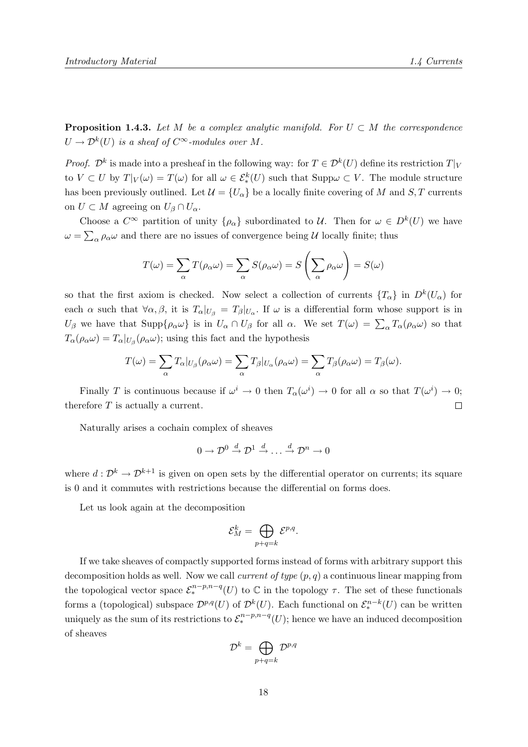**Proposition 1.4.3.** Let M be a complex analytic manifold. For  $U \subset M$  the correspondence  $U \to \mathcal{D}^k(U)$  is a sheaf of  $C^{\infty}$ -modules over M.

*Proof.*  $\mathcal{D}^k$  is made into a presheaf in the following way: for  $T \in \mathcal{D}^k(U)$  define its restriction  $T|_V$ to  $V \subset U$  by  $T|_V(\omega) = T(\omega)$  for all  $\omega \in \mathcal{E}_*^k(U)$  such that  $\text{Supp}\omega \subset V$ . The module structure has been previously outlined. Let  $\mathcal{U} = \{U_{\alpha}\}\$ be a locally finite covering of M and S, T currents on  $U \subset M$  agreeing on  $U_{\beta} \cap U_{\alpha}$ .

Choose a  $C^{\infty}$  partition of unity  $\{\rho_{\alpha}\}\$  subordinated to U. Then for  $\omega \in D^{k}(U)$  we have  $\omega = \sum_{\alpha} \rho_{\alpha} \omega$  and there are no issues of convergence being U locally finite; thus

$$
T(\omega) = \sum_{\alpha} T(\rho_{\alpha}\omega) = \sum_{\alpha} S(\rho_{\alpha}\omega) = S\left(\sum_{\alpha} \rho_{\alpha}\omega\right) = S(\omega)
$$

so that the first axiom is checked. Now select a collection of currents  $\{T_{\alpha}\}\$ in  $D^{k}(U_{\alpha})$  for each  $\alpha$  such that  $\forall \alpha, \beta$ , it is  $T_{\alpha}|_{U_{\beta}} = T_{\beta}|_{U_{\alpha}}$ . If  $\omega$  is a differential form whose support is in  $U_{\beta}$  we have that  $\text{Supp}\{\rho_{\alpha}\omega\}$  is in  $U_{\alpha}\cap U_{\beta}$  for all  $\alpha$ . We set  $T(\omega) = \sum_{\alpha} T_{\alpha}(\rho_{\alpha}\omega)$  so that  $T_{\alpha}(\rho_{\alpha}\omega) = T_{\alpha}|_{U_{\beta}}(\rho_{\alpha}\omega)$ ; using this fact and the hypothesis

$$
T(\omega) = \sum_{\alpha} T_{\alpha}|_{U_{\beta}}(\rho_{\alpha}\omega) = \sum_{\alpha} T_{\beta}|_{U_{\alpha}}(\rho_{\alpha}\omega) = \sum_{\alpha} T_{\beta}(\rho_{\alpha}\omega) = T_{\beta}(\omega).
$$

Finally T is continuous because if  $\omega^i \to 0$  then  $T_\alpha(\omega^i) \to 0$  for all  $\alpha$  so that  $T(\omega^i) \to 0$ ; therefore  $T$  is actually a current.  $\Box$ 

Naturally arises a cochain complex of sheaves

$$
0 \to \mathcal{D}^0 \stackrel{d}{\to} \mathcal{D}^1 \stackrel{d}{\to} \dots \stackrel{d}{\to} \mathcal{D}^n \to 0
$$

where  $d: \mathcal{D}^k \to \mathcal{D}^{k+1}$  is given on open sets by the differential operator on currents; its square is 0 and it commutes with restrictions because the differential on forms does.

Let us look again at the decomposition

$$
\mathcal{E}_M^k = \bigoplus_{p+q=k} \mathcal{E}^{p,q}.
$$

If we take sheaves of compactly supported forms instead of forms with arbitrary support this decomposition holds as well. Now we call *current of type*  $(p, q)$  a continuous linear mapping from the topological vector space  $\mathcal{E}^{n-p,n-q}_{*}(U)$  to  $\mathbb C$  in the topology  $\tau$ . The set of these functionals forms a (topological) subspace  $\mathcal{D}^{p,q}(U)$  of  $\mathcal{D}^k(U)$ . Each functional on  $\mathcal{E}^{n-k}_*(U)$  can be written uniquely as the sum of its restrictions to  $\mathcal{E}_{*}^{n-p,n-q}(U)$ ; hence we have an induced decomposition of sheaves

$$
\mathcal{D}^k = \bigoplus_{p+q=k} \mathcal{D}^{p,q}
$$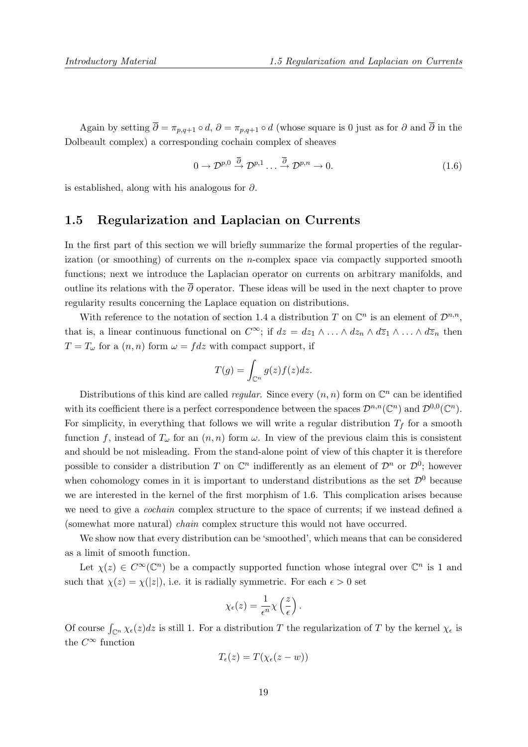Again by setting  $\overline{\partial} = \pi_{p,q+1} \circ d$ ,  $\partial = \pi_{p,q+1} \circ d$  (whose square is 0 just as for  $\partial$  and  $\overline{\partial}$  in the Dolbeault complex) a corresponding cochain complex of sheaves

$$
0 \to \mathcal{D}^{p,0} \stackrel{\overline{\partial}}{\to} \mathcal{D}^{p,1} \dots \stackrel{\overline{\partial}}{\to} \mathcal{D}^{p,n} \to 0. \tag{1.6}
$$

is established, along with his analogous for ∂.

#### 1.5 Regularization and Laplacian on Currents

In the first part of this section we will briefly summarize the formal properties of the regularization (or smoothing) of currents on the n-complex space via compactly supported smooth functions; next we introduce the Laplacian operator on currents on arbitrary manifolds, and outline its relations with the  $\bar{\partial}$  operator. These ideas will be used in the next chapter to prove regularity results concerning the Laplace equation on distributions.

With reference to the notation of section 1.4 a distribution T on  $\mathbb{C}^n$  is an element of  $\mathcal{D}^{n,n}$ , that is, a linear continuous functional on  $C^{\infty}$ ; if  $dz = dz_1 \wedge \ldots \wedge dz_n \wedge d\overline{z}_1 \wedge \ldots \wedge d\overline{z}_n$  then  $T = T_{\omega}$  for a  $(n, n)$  form  $\omega = f dz$  with compact support, if

$$
T(g) = \int_{\mathbb{C}^n} g(z)f(z)dz.
$$

Distributions of this kind are called *regular*. Since every  $(n, n)$  form on  $\mathbb{C}^n$  can be identified with its coefficient there is a perfect correspondence between the spaces  $\mathcal{D}^{n,n}(\mathbb{C}^n)$  and  $\mathcal{D}^{0,0}(\mathbb{C}^n)$ . For simplicity, in everything that follows we will write a regular distribution  $T_f$  for a smooth function f, instead of  $T_{\omega}$  for an  $(n, n)$  form  $\omega$ . In view of the previous claim this is consistent and should be not misleading. From the stand-alone point of view of this chapter it is therefore possible to consider a distribution T on  $\mathbb{C}^n$  indifferently as an element of  $\mathcal{D}^n$  or  $\mathcal{D}^0$ ; however when cohomology comes in it is important to understand distributions as the set  $\mathcal{D}^0$  because we are interested in the kernel of the first morphism of 1.6. This complication arises because we need to give a *cochain* complex structure to the space of currents; if we instead defined a (somewhat more natural) chain complex structure this would not have occurred.

We show now that every distribution can be 'smoothed', which means that can be considered as a limit of smooth function.

Let  $\chi(z) \in C^{\infty}(\mathbb{C}^n)$  be a compactly supported function whose integral over  $\mathbb{C}^n$  is 1 and such that  $\chi(z) = \chi(|z|)$ , i.e. it is radially symmetric. For each  $\epsilon > 0$  set

$$
\chi_{\epsilon}(z) = \frac{1}{\epsilon^n} \chi\left(\frac{z}{\epsilon}\right).
$$

Of course  $\int_{\mathbb{C}^n} \chi_{\epsilon}(z) dz$  is still 1. For a distribution T the regularization of T by the kernel  $\chi_{\epsilon}$  is the  $C^{\infty}$  function

$$
T_{\epsilon}(z) = T(\chi_{\epsilon}(z - w))
$$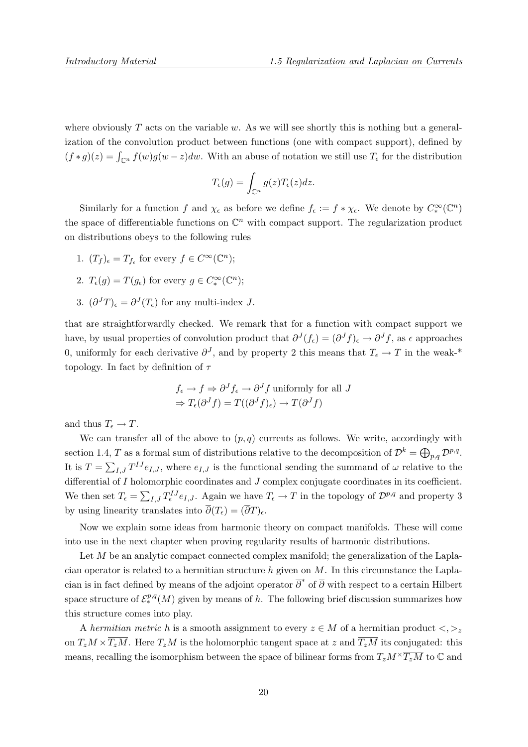where obviously  $T$  acts on the variable  $w$ . As we will see shortly this is nothing but a generalization of the convolution product between functions (one with compact support), defined by  $(f * g)(z) = \int_{\mathbb{C}^n} f(w)g(w - z)dw$ . With an abuse of notation we still use  $T_{\epsilon}$  for the distribution

$$
T_{\epsilon}(g) = \int_{\mathbb{C}^n} g(z) T_{\epsilon}(z) dz.
$$

Similarly for a function f and  $\chi_{\epsilon}$  as before we define  $f_{\epsilon} := f * \chi_{\epsilon}$ . We denote by  $C_*^{\infty}(\mathbb{C}^n)$ the space of differentiable functions on  $\mathbb{C}^n$  with compact support. The regularization product on distributions obeys to the following rules

- 1.  $(T_f)_\epsilon = T_{f_\epsilon}$  for every  $f \in C^\infty(\mathbb{C}^n)$ ;
- 2.  $T_{\epsilon}(g) = T(g_{\epsilon})$  for every  $g \in C_{*}^{\infty}(\mathbb{C}^{n})$ ;
- 3.  $(\partial^J T)_\epsilon = \partial^J (T_\epsilon)$  for any multi-index J.

that are straightforwardly checked. We remark that for a function with compact support we have, by usual properties of convolution product that  $\partial^J(f_\epsilon) = (\partial^J f)_\epsilon \to \partial^J f$ , as  $\epsilon$  approaches 0, uniformly for each derivative  $\partial^J$ , and by property 2 this means that  $T_{\epsilon} \to T$  in the weak-\* topology. In fact by definition of  $\tau$ 

$$
f_{\epsilon} \to f \Rightarrow \partial^{J} f_{\epsilon} \to \partial^{J} f
$$
 uniformly for all  $J$   

$$
\Rightarrow T_{\epsilon}(\partial^{J} f) = T((\partial^{J} f)_{\epsilon}) \to T(\partial^{J} f)
$$

and thus  $T_{\epsilon} \to T$ .

We can transfer all of the above to  $(p, q)$  currents as follows. We write, accordingly with section 1.4, T as a formal sum of distributions relative to the decomposition of  $\mathcal{D}^k = \bigoplus_{p,q} \mathcal{D}^{p,q}$ . It is  $T = \sum_{I,J} T^{IJ} e_{I,J}$ , where  $e_{I,J}$  is the functional sending the summand of  $\omega$  relative to the differential of I holomorphic coordinates and J complex conjugate coordinates in its coefficient. We then set  $T_{\epsilon} = \sum_{I,J} T_{\epsilon}^{IJ} e_{I,J}$ . Again we have  $T_{\epsilon} \to T$  in the topology of  $\mathcal{D}^{p,q}$  and property 3 by using linearity translates into  $\overline{\partial}(T_{\epsilon}) = (\overline{\partial}T)_{\epsilon}$ .

Now we explain some ideas from harmonic theory on compact manifolds. These will come into use in the next chapter when proving regularity results of harmonic distributions.

Let M be an analytic compact connected complex manifold; the generalization of the Laplacian operator is related to a hermitian structure  $h$  given on  $M$ . In this circumstance the Laplacian is in fact defined by means of the adjoint operator  $\overline{\partial}^*$  of  $\overline{\partial}$  with respect to a certain Hilbert space structure of  $\mathcal{E}_{*}^{p,q}(M)$  given by means of h. The following brief discussion summarizes how this structure comes into play.

A hermitian metric h is a smooth assignment to every  $z \in M$  of a hermitian product  $\langle , \rangle_z$ on  $T_zM \times \overline{T_zM}$ . Here  $T_zM$  is the holomorphic tangent space at z and  $\overline{T_zM}$  its conjugated: this means, recalling the isomorphism between the space of bilinear forms from  $T_zM^{\times}T_z\overline{M}$  to  $\mathbb C$  and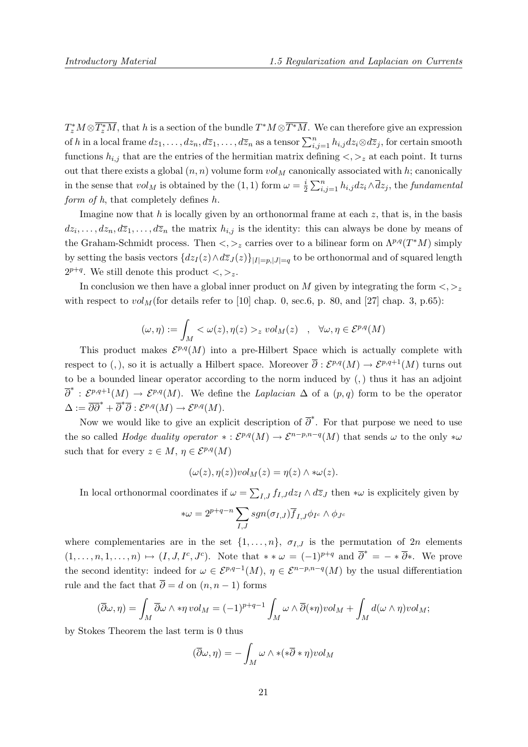$T_z^*M\otimes \overline{T_z^*M}$ , that h is a section of the bundle  $T^*M\otimes \overline{T^*M}$ . We can therefore give an expression of h in a local frame  $dz_1, \ldots, dz_n, d\overline{z}_1, \ldots, d\overline{z}_n$  as a tensor  $\sum_{i,j=1}^n h_{i,j} dz_i \otimes d\overline{z}_j$ , for certain smooth functions  $h_{i,j}$  that are the entries of the hermitian matrix defining  $\langle , \rangle_z$  at each point. It turns out that there exists a global  $(n, n)$  volume form  $vol<sub>M</sub>$  canonically associated with h; canonically in the sense that  $vol_M$  is obtained by the (1, 1) form  $\omega = \frac{i}{2}$  $\frac{i}{2}\sum_{i,j=1}^n h_{i,j}dz_i\wedge \overline{d}z_j,$  the fundamental form of  $h$ , that completely defines  $h$ .

Imagine now that h is locally given by an orthonormal frame at each  $z$ , that is, in the basis  $dz_i, \ldots, dz_n, d\overline{z}_1, \ldots, d\overline{z}_n$  the matrix  $h_{i,j}$  is the identity: this can always be done by means of the Graham-Schmidt process. Then  $\langle \cdot, \cdot \rangle_z$  carries over to a bilinear form on  $\Lambda^{p,q}(T^*M)$  simply by setting the basis vectors  ${dz_I(z) \wedge d\overline{z}_J(z) }_{|I|=p,|J|=q}$  to be orthonormal and of squared length  $2^{p+q}$ . We still denote this product  $\lt, \gt_z$ .

In conclusion we then have a global inner product on M given by integrating the form  $\langle , \rangle_z$ with respect to  $vol_M$  (for details refer to [10] chap. 0, sec.6, p. 80, and [27] chap. 3, p.65):

$$
(\omega, \eta) := \int_M < \omega(z), \eta(z) >_z vol_M(z) \quad , \quad \forall \omega, \eta \in \mathcal{E}^{p,q}(M)
$$

This product makes  $\mathcal{E}^{p,q}(M)$  into a pre-Hilbert Space which is actually complete with respect to (,), so it is actually a Hilbert space. Moreover  $\overline{\partial}: \mathcal{E}^{p,q}(M) \to \mathcal{E}^{p,q+1}(M)$  turns out to be a bounded linear operator according to the norm induced by (,) thus it has an adjoint  $\overline{\partial}^* : \mathcal{E}^{p,q+1}(M) \to \mathcal{E}^{p,q}(M)$ . We define the Laplacian  $\Delta$  of a  $(p,q)$  form to be the operator  $\Delta := \overline{\partial} \overline{\partial}^* + \overline{\partial}^* \overline{\partial} : \mathcal{E}^{p,q}(M) \to \mathcal{E}^{p,q}(M).$ 

Now we would like to give an explicit description of  $\overline{\partial}^*$ . For that purpose we need to use the so called *Hodge duality operator*  $*: \mathcal{E}^{p,q}(M) \to \mathcal{E}^{n-p,n-q}(M)$  that sends  $\omega$  to the only  $*\omega$ such that for every  $z \in M$ ,  $\eta \in \mathcal{E}^{p,q}(M)$ 

$$
(\omega(z), \eta(z))vol_M(z) = \eta(z) \wedge * \omega(z).
$$

In local orthonormal coordinates if  $\omega = \sum_{I,J} f_{I,J} dz_I \wedge d\overline{z}_J$  then  $*\omega$  is explicitely given by

$$
*\omega = 2^{p+q-n} \sum_{I,J} sgn(\sigma_{I,J}) \overline{f}_{I,J} \phi_{I^c} \wedge \phi_{J^c}
$$

where complementaries are in the set  $\{1,\ldots,n\}$ ,  $\sigma_{I,J}$  is the permutation of  $2n$  elements  $(1,\ldots,n,1,\ldots,n)\mapsto (I,J,I^c,J^c)$ . Note that  $*\,\ast\,\omega\,=\,(-1)^{p+q}$  and  $\overline{\partial}^* = -*\,\overline{\partial}^*$ . We prove the second identity: indeed for  $\omega \in \mathcal{E}^{p,q-1}(M)$ ,  $\eta \in \mathcal{E}^{n-p,n-q}(M)$  by the usual differentiation rule and the fact that  $\overline{\partial} = d$  on  $(n, n-1)$  forms

$$
(\overline{\partial}\omega,\eta) = \int_M \overline{\partial}\omega \wedge *\eta \, vol_M = (-1)^{p+q-1} \int_M \omega \wedge \overline{\partial}(*\eta) \, vol_M + \int_M d(\omega \wedge \eta) \, vol_M;
$$

by Stokes Theorem the last term is 0 thus

$$
(\overline{\partial}\omega,\eta) = -\int_M \omega \wedge *(*\overline{\partial}*\eta) \nu ol_M
$$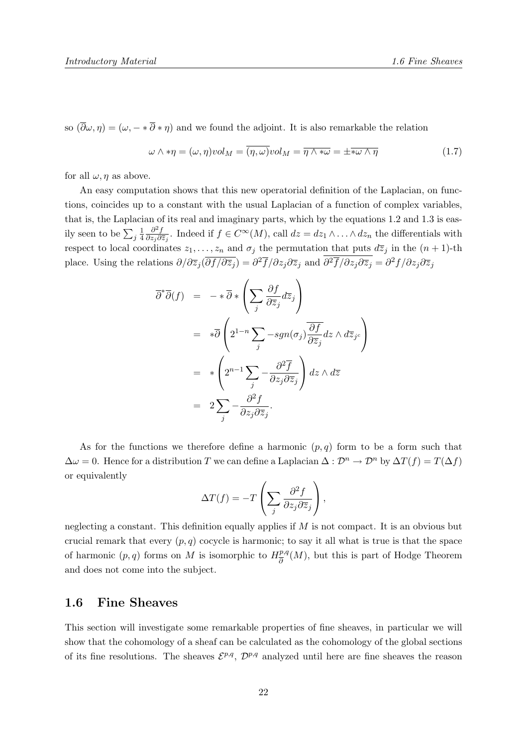so  $(\overline{\partial}\omega, \eta) = (\omega, -\ast \overline{\partial} \ast \eta)$  and we found the adjoint. It is also remarkable the relation

$$
\omega \wedge * \eta = (\omega, \eta) \text{vol}_M = \overline{(\eta, \omega)} \text{vol}_M = \overline{\eta \wedge * \omega} = \pm \overline{*\omega \wedge \eta}
$$
(1.7)

for all  $\omega$ ,  $\eta$  as above.

An easy computation shows that this new operatorial definition of the Laplacian, on functions, coincides up to a constant with the usual Laplacian of a function of complex variables, that is, the Laplacian of its real and imaginary parts, which by the equations 1.2 and 1.3 is easily seen to be  $\sum_j \frac{1}{4}$ 4  $\partial^2 f$  $\frac{\partial^2 f}{\partial z_j \partial \bar{z}_j}$ . Indeed if  $f \in C^{\infty}(M)$ , call  $dz = dz_1 \wedge \ldots \wedge dz_n$  the differentials with respect to local coordinates  $z_1, \ldots, z_n$  and  $\sigma_j$  the permutation that puts  $d\overline{z}_j$  in the  $(n + 1)$ -th place. Using the relations  $\partial/\partial \overline{z}_j(\overline{\partial f/\partial \overline{z}_j}) = \partial^2 \overline{f}/\partial z_j \partial \overline{z}_j$  and  $\partial^2 \overline{f}/\partial z_j \partial \overline{z}_j = \partial^2 f/\partial z_j \partial \overline{z}_j$ 

$$
\overline{\partial}^*\overline{\partial}(f) = -*\overline{\partial} * \left(\sum_j \frac{\partial f}{\partial \overline{z}_j} d\overline{z}_j\right)
$$
  
\n
$$
= * \overline{\partial} \left(2^{1-n} \sum_j -sgn(\sigma_j) \frac{\overline{\partial f}}{\partial \overline{z}_j} dz \wedge d\overline{z}_{j^c}\right)
$$
  
\n
$$
= * \left(2^{n-1} \sum_j -\frac{\partial^2 \overline{f}}{\partial z_j \partial \overline{z}_j}\right) dz \wedge d\overline{z}
$$
  
\n
$$
= 2 \sum_j -\frac{\partial^2 f}{\partial z_j \partial \overline{z}_j}.
$$

As for the functions we therefore define a harmonic  $(p, q)$  form to be a form such that  $\Delta \omega = 0$ . Hence for a distribution T we can define a Laplacian  $\Delta : \mathcal{D}^n \to \mathcal{D}^n$  by  $\Delta T(f) = T(\Delta f)$ or equivalently

$$
\Delta T(f) = -T\left(\sum_j \frac{\partial^2 f}{\partial z_j \partial \overline{z}_j}\right),\,
$$

neglecting a constant. This definition equally applies if  $M$  is not compact. It is an obvious but crucial remark that every  $(p, q)$  cocycle is harmonic; to say it all what is true is that the space of harmonic  $(p, q)$  forms on M is isomorphic to  $H_{\overline{\mathfrak{p}}}^{p,q}$  $\frac{p,q}{\partial}(M)$ , but this is part of Hodge Theorem and does not come into the subject.

#### 1.6 Fine Sheaves

This section will investigate some remarkable properties of fine sheaves, in particular we will show that the cohomology of a sheaf can be calculated as the cohomology of the global sections of its fine resolutions. The sheaves  $\mathcal{E}^{p,q}$ ,  $\mathcal{D}^{p,q}$  analyzed until here are fine sheaves the reason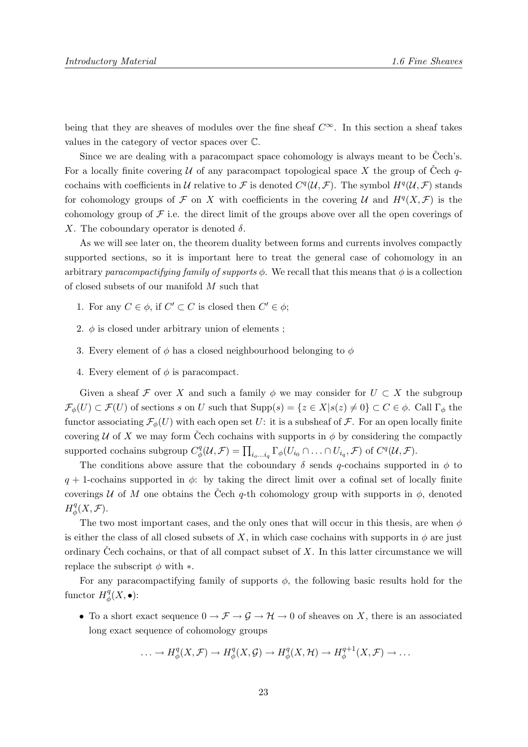being that they are sheaves of modules over the fine sheaf  $C^{\infty}$ . In this section a sheaf takes values in the category of vector spaces over C.

Since we are dealing with a paracompact space cohomology is always meant to be Cech's. For a locally finite covering U of any paracompact topological space X the group of Čech  $q$ cochains with coefficients in U relative to F is denoted  $C^q(\mathcal{U},\mathcal{F})$ . The symbol  $H^q(\mathcal{U},\mathcal{F})$  stands for cohomology groups of F on X with coefficients in the covering U and  $H^q(X, \mathcal{F})$  is the cohomology group of  $\mathcal F$  i.e. the direct limit of the groups above over all the open coverings of X. The coboundary operator is denoted  $\delta$ .

As we will see later on, the theorem duality between forms and currents involves compactly supported sections, so it is important here to treat the general case of cohomology in an arbitrary paracompactifying family of supports  $\phi$ . We recall that this means that  $\phi$  is a collection of closed subsets of our manifold  $M$  such that

- 1. For any  $C \in \phi$ , if  $C' \subset C$  is closed then  $C' \in \phi$ ;
- 2.  $\phi$  is closed under arbitrary union of elements ;
- 3. Every element of  $\phi$  has a closed neighbourhood belonging to  $\phi$
- 4. Every element of  $\phi$  is paracompact.

Given a sheaf F over X and such a family  $\phi$  we may consider for  $U \subset X$  the subgroup  $\mathcal{F}_{\phi}(U) \subset \mathcal{F}(U)$  of sections s on U such that  $\text{Supp}(s) = \{z \in X | s(z) \neq 0\} \subset C \in \phi$ . Call  $\Gamma_{\phi}$  the functor associating  $\mathcal{F}_{\phi}(U)$  with each open set U: it is a subsheaf of  $\mathcal{F}$ . For an open locally finite covering U of X we may form Čech cochains with supports in  $\phi$  by considering the compactly supported cochains subgroup  $C^q_d$  $\psi^q_\phi(\mathcal{U}, \mathcal{F}) = \prod_{i_o \dots i_q} \Gamma_\phi(U_{i_0} \cap \dots \cap U_{i_q}, \mathcal{F}) \text{ of } C^q(\mathcal{U}, \mathcal{F}).$ 

The conditions above assure that the coboundary  $\delta$  sends q-cochains supported in  $\phi$  to  $q + 1$ -cochains supported in  $\phi$ : by taking the direct limit over a cofinal set of locally finite coverings U of M one obtains the Čech q-th cohomology group with supports in  $\phi$ , denoted  $H^q_{\phi}$  $_{\phi}^{q}(X,\mathcal{F}).$ 

The two most important cases, and the only ones that will occur in this thesis, are when  $\phi$ is either the class of all closed subsets of X, in which case cochains with supports in  $\phi$  are just ordinary Cech cochains, or that of all compact subset of  $X$ . In this latter circumstance we will replace the subscript  $\phi$  with  $*$ .

For any paracompactifying family of supports  $\phi$ , the following basic results hold for the functor  $H^q_{\phi}$  $_\phi^q(X, \bullet)$ :

• To a short exact sequence  $0 \to \mathcal{F} \to \mathcal{G} \to \mathcal{H} \to 0$  of sheaves on X, there is an associated long exact sequence of cohomology groups

$$
\ldots \to H^q_{\phi}(X,\mathcal{F}) \to H^q_{\phi}(X,\mathcal{G}) \to H^q_{\phi}(X,\mathcal{H}) \to H^{q+1}_{\phi}(X,\mathcal{F}) \to \ldots
$$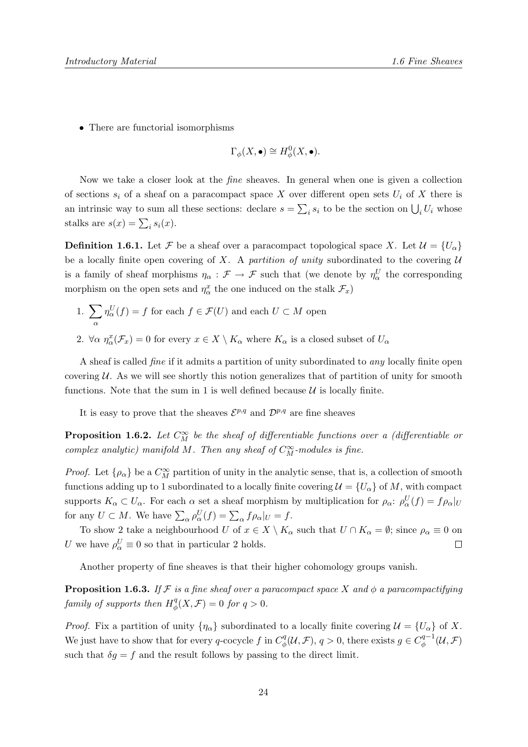• There are functorial isomorphisms

$$
\Gamma_{\phi}(X,\bullet) \cong H_{\phi}^{0}(X,\bullet).
$$

Now we take a closer look at the fine sheaves. In general when one is given a collection of sections  $s_i$  of a sheaf on a paracompact space X over different open sets  $U_i$  of X there is an intrinsic way to sum all these sections: declare  $s = \sum_i s_i$  to be the section on  $\bigcup_i U_i$  whose stalks are  $s(x) = \sum_i s_i(x)$ .

**Definition 1.6.1.** Let F be a sheaf over a paracompact topological space X. Let  $\mathcal{U} = \{U_{\alpha}\}\$ be a locally finite open covering of X. A partition of unity subordinated to the covering  $U$ is a family of sheaf morphisms  $\eta_{\alpha} : \mathcal{F} \to \mathcal{F}$  such that (we denote by  $\eta_{\alpha}^U$  the corresponding morphism on the open sets and  $\eta^x_\alpha$  the one induced on the stalk  $\mathcal{F}_x$ )

- 1.  $\sum$ α  $\eta_\alpha^U(f) = f$  for each  $f \in \mathcal{F}(U)$  and each  $U \subset M$  open
- 2.  $\forall \alpha \, \eta^x_\alpha(\mathcal{F}_x) = 0$  for every  $x \in X \setminus K_\alpha$  where  $K_\alpha$  is a closed subset of  $U_\alpha$

A sheaf is called fine if it admits a partition of unity subordinated to any locally finite open covering  $U$ . As we will see shortly this notion generalizes that of partition of unity for smooth functions. Note that the sum in 1 is well defined because  $\mathcal U$  is locally finite.

It is easy to prove that the sheaves  $\mathcal{E}^{p,q}$  and  $\mathcal{D}^{p,q}$  are fine sheaves

**Proposition 1.6.2.** Let  $C_M^{\infty}$  be the sheaf of differentiable functions over a (differentiable or complex analytic) manifold M. Then any sheaf of  $C_M^{\infty}$ -modules is fine.

*Proof.* Let  $\{\rho_{\alpha}\}\$ be a  $C^{\infty}_M$  partition of unity in the analytic sense, that is, a collection of smooth functions adding up to 1 subordinated to a locally finite covering  $\mathcal{U} = \{U_{\alpha}\}\$  of M, with compact supports  $K_{\alpha} \subset U_{\alpha}$ . For each  $\alpha$  set a sheaf morphism by multiplication for  $\rho_{\alpha}$ :  $\rho_{\alpha}^{U}(f) = f \rho_{\alpha}|_{U}$ for any  $U \subset M$ . We have  $\sum_{\alpha} \rho_{\alpha}^{U}(f) = \sum_{\alpha} f \rho_{\alpha}|_{U} = f$ .

To show 2 take a neighbourhood U of  $x \in X \setminus K_\alpha$  such that  $U \cap K_\alpha = \emptyset$ ; since  $\rho_\alpha \equiv 0$  on U we have  $\rho^U_\alpha \equiv 0$  so that in particular 2 holds.  $\Box$ 

Another property of fine sheaves is that their higher cohomology groups vanish.

**Proposition 1.6.3.** If F is a fine sheaf over a paracompact space X and  $\phi$  a paracompactifying family of supports then  $H^q_{\phi}$  $\mathcal{L}_{\phi}^{q}(X,\mathcal{F})=0$  for  $q>0$ .

*Proof.* Fix a partition of unity  $\{\eta_{\alpha}\}\$  subordinated to a locally finite covering  $\mathcal{U} = \{U_{\alpha}\}\$  of X. We just have to show that for every q-cocycle f in  $C_d^q$  $g^q_\phi(\mathcal{U}, \mathcal{F}), q > 0$ , there exists  $g \in C^{q-1}_\phi$  $\ ^{q-1}_{\phi}(\mathcal{U},\mathcal{F})$ such that  $\delta g = f$  and the result follows by passing to the direct limit.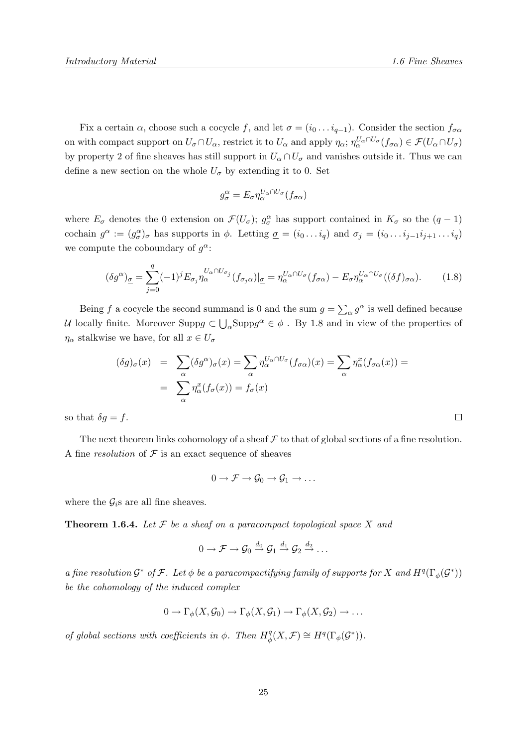$\Box$ 

Fix a certain  $\alpha$ , choose such a cocycle f, and let  $\sigma = (i_0 \dots i_{q-1})$ . Consider the section  $f_{\sigma \alpha}$ on with compact support on  $U_{\sigma} \cap U_{\alpha}$ , restrict it to  $U_{\alpha}$  and apply  $\eta_{\alpha}$ ;  $\eta_{\alpha}^{U_{\alpha} \cap U_{\sigma}}(f_{\sigma \alpha}) \in \mathcal{F}(U_{\alpha} \cap U_{\sigma})$ by property 2 of fine sheaves has still support in  $U_{\alpha} \cap U_{\sigma}$  and vanishes outside it. Thus we can define a new section on the whole  $U_{\sigma}$  by extending it to 0. Set

$$
g_{\sigma}^{\alpha} = E_{\sigma} \eta_{\alpha}^{U_{\alpha} \cap U_{\sigma}}(f_{\sigma \alpha})
$$

where  $E_{\sigma}$  denotes the 0 extension on  $\mathcal{F}(U_{\sigma})$ ;  $g_{\sigma}^{\alpha}$  has support contained in  $K_{\sigma}$  so the  $(q-1)$ cochain  $g^{\alpha} := (g^{\alpha}_{\sigma})_{\sigma}$  has supports in  $\phi$ . Letting  $\underline{\sigma} = (i_0 \dots i_q)$  and  $\sigma_j = (i_0 \dots i_{j-1} i_{j+1} \dots i_q)$ we compute the coboundary of  $g^{\alpha}$ :

$$
(\delta g^{\alpha})_{\underline{\sigma}} = \sum_{j=0}^{q} (-1)^{j} E_{\sigma_j} \eta_{\alpha}^{U_{\alpha} \cap U_{\sigma_j}} (f_{\sigma_j \alpha})|_{\underline{\sigma}} = \eta_{\alpha}^{U_{\alpha} \cap U_{\sigma}} (f_{\sigma \alpha}) - E_{\sigma} \eta_{\alpha}^{U_{\alpha} \cap U_{\sigma}} ((\delta f)_{\sigma \alpha}). \tag{1.8}
$$

Being f a cocycle the second summand is 0 and the sum  $g = \sum_{\alpha} g^{\alpha}$  is well defined because U locally finite. Moreover  $\text{Supp} g \subset \bigcup_{\alpha} \text{Supp} g^{\alpha} \in \phi$ . By 1.8 and in view of the properties of  $\eta_{\alpha}$  stalkwise we have, for all  $x \in U_{\sigma}$ 

$$
(\delta g)_{\sigma}(x) = \sum_{\alpha} (\delta g^{\alpha})_{\sigma}(x) = \sum_{\alpha} \eta_{\alpha}^{U_{\alpha} \cap U_{\sigma}} (f_{\sigma \alpha})(x) = \sum_{\alpha} \eta_{\alpha}^{x} (f_{\sigma \alpha}(x)) =
$$

$$
= \sum_{\alpha} \eta_{\alpha}^{x} (f_{\sigma}(x)) = f_{\sigma}(x)
$$

so that  $\delta g = f$ .

The next theorem links cohomology of a sheaf  $\mathcal F$  to that of global sections of a fine resolution. A fine *resolution* of  $\mathcal F$  is an exact sequence of sheaves

 $0 \to \mathcal{F} \to \mathcal{G}_0 \to \mathcal{G}_1 \to \ldots$ 

where the  $\mathcal{G}_i$ s are all fine sheaves.

**Theorem 1.6.4.** Let  $\mathcal F$  be a sheaf on a paracompact topological space  $X$  and

$$
0 \to \mathcal{F} \to \mathcal{G}_0 \stackrel{d_0}{\to} \mathcal{G}_1 \stackrel{d_1}{\to} \mathcal{G}_2 \stackrel{d_2}{\to} \ldots
$$

a fine resolution  $\mathcal{G}^*$  of  $\mathcal{F}$ . Let  $\phi$  be a paracompactifying family of supports for X and  $H^q(\Gamma_\phi(\mathcal{G}^*))$ be the cohomology of the induced complex

$$
0 \to \Gamma_{\phi}(X, \mathcal{G}_0) \to \Gamma_{\phi}(X, \mathcal{G}_1) \to \Gamma_{\phi}(X, \mathcal{G}_2) \to \dots
$$

of global sections with coefficients in  $\phi$ . Then  $H^q_\phi$  $\phi^q(X, \mathcal{F}) \cong H^q(\Gamma_\phi(\mathcal{G}^*)).$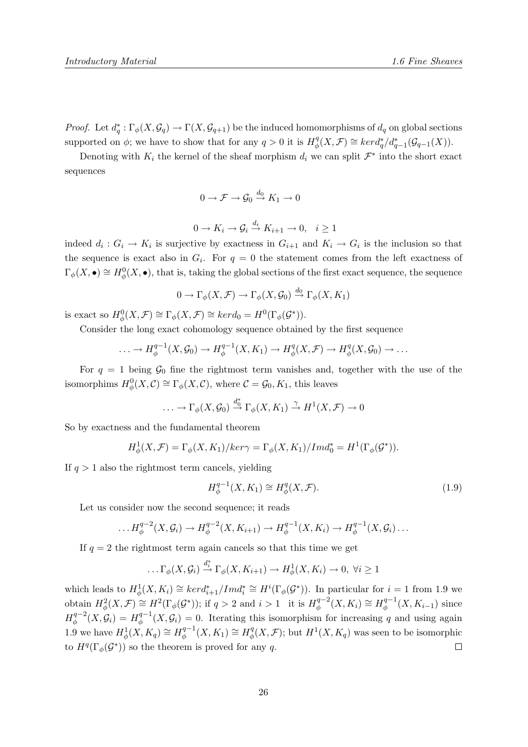*Proof.* Let  $d_q^*: \Gamma_\phi(X, \mathcal{G}_q) \to \Gamma(X, \mathcal{G}_{q+1})$  be the induced homomorphisms of  $d_q$  on global sections supported on  $\phi$ ; we have to show that for any  $q > 0$  it is  $H^q_{\phi}$  $\mathcal{L}_{\phi}^{q}(X,\mathcal{F}) \cong \text{ker}d_{q}^{*}/d_{q-1}^{*}(\mathcal{G}_{q-1}(X)).$ 

Denoting with  $K_i$  the kernel of the sheaf morphism  $d_i$  we can split  $\mathcal{F}^*$  into the short exact sequences

$$
0 \to \mathcal{F} \to \mathcal{G}_0 \stackrel{d_0}{\to} K_1 \to 0
$$

$$
0 \to K_i \to \mathcal{G}_i \stackrel{d_i}{\to} K_{i+1} \to 0, \quad i \ge 1
$$

indeed  $d_i: G_i \to K_i$  is surjective by exactness in  $G_{i+1}$  and  $K_i \to G_i$  is the inclusion so that the sequence is exact also in  $G_i$ . For  $q = 0$  the statement comes from the left exactness of  $\Gamma_{\phi}(X,\bullet) \cong H^0_{\phi}(X,\bullet)$ , that is, taking the global sections of the first exact sequence, the sequence

$$
0 \to \Gamma_{\phi}(X, \mathcal{F}) \to \Gamma_{\phi}(X, \mathcal{G}_0) \stackrel{d_0}{\to} \Gamma_{\phi}(X, K_1)
$$

is exact so  $H^0_\phi(X,\mathcal{F}) \cong \Gamma_\phi(X,\mathcal{F}) \cong ker d_0 = H^0(\Gamma_\phi(\mathcal{G}^*)).$ 

Consider the long exact cohomology sequence obtained by the first sequence

$$
\ldots \to H_{\phi}^{q-1}(X, \mathcal{G}_0) \to H_{\phi}^{q-1}(X, K_1) \to H_{\phi}^q(X, \mathcal{F}) \to H_{\phi}^q(X, \mathcal{G}_0) \to \ldots
$$

For  $q = 1$  being  $\mathcal{G}_0$  fine the rightmost term vanishes and, together with the use of the isomorphims  $H^0_\phi(X, \mathcal{C}) \cong \Gamma_\phi(X, \mathcal{C}),$  where  $\mathcal{C} = \mathcal{G}_0, K_1$ , this leaves

$$
\ldots \to \Gamma_{\phi}(X, \mathcal{G}_0) \stackrel{d_0^*}{\to} \Gamma_{\phi}(X, K_1) \stackrel{\gamma}{\to} H^1(X, \mathcal{F}) \to 0
$$

So by exactness and the fundamental theorem

$$
H_{\phi}^1(X,\mathcal{F}) = \Gamma_{\phi}(X,K_1)/ker\gamma = \Gamma_{\phi}(X,K_1)/Imd_0^* = H^1(\Gamma_{\phi}(\mathcal{G}^*)).
$$

If  $q > 1$  also the rightmost term cancels, yielding

$$
H_{\phi}^{q-1}(X, K_1) \cong H_{\phi}^q(X, \mathcal{F}).
$$
\n(1.9)

Let us consider now the second sequence; it reads

$$
\dots H_{\phi}^{q-2}(X,\mathcal{G}_i) \to H_{\phi}^{q-2}(X,K_{i+1}) \to H_{\phi}^{q-1}(X,K_i) \to H_{\phi}^{q-1}(X,\mathcal{G}_i) \dots
$$

If  $q = 2$  the rightmost term again cancels so that this time we get

$$
\ldots \Gamma_{\phi}(X, \mathcal{G}_i) \stackrel{d_i^*}{\to} \Gamma_{\phi}(X, K_{i+1}) \to H^1_{\phi}(X, K_i) \to 0, \ \forall i \geq 1
$$

which leads to  $H^1_\phi(X, K_i) \cong \text{ker}d^*_{i+1}/\text{Im}d_i^* \cong H^i(\Gamma_\phi(\mathcal{G}^*))$ . In particular for  $i = 1$  from 1.9 we obtain  $H^2_\phi(X,\mathcal{F}) \cong H^2(\Gamma_\phi(\mathcal{G}^*))$ ; if  $q > 2$  and  $i > 1$  it is  $H^{q-2}_\phi$  $\chi^{q-2}_\phi(X, K_i) \cong H^{q-1}_\phi$  $\phi^{\cdot q-1}(X, K_{i-1})$  since  $H^{q-2}_\phi$  $\phi^{q-2}(X, \mathcal{G}_i) = H^{q-1}_{\phi}$  $\phi_{\phi}^{q-1}(X,\mathcal{G}_i)=0.$  Iterating this isomorphism for increasing q and using again 1.9 we have  $H^1_\phi(X, K_q) \cong H^{q-1}_\phi$  $\phi_{\phi}^{q-1}(X,K_1) \cong H_{\phi}^q$  $\phi_q^q(X, \mathcal{F})$ ; but  $H^1(X, K_q)$  was seen to be isomorphic to  $H^q(\Gamma_\phi(\mathcal{G}^*))$  so the theorem is proved for any q.  $\Box$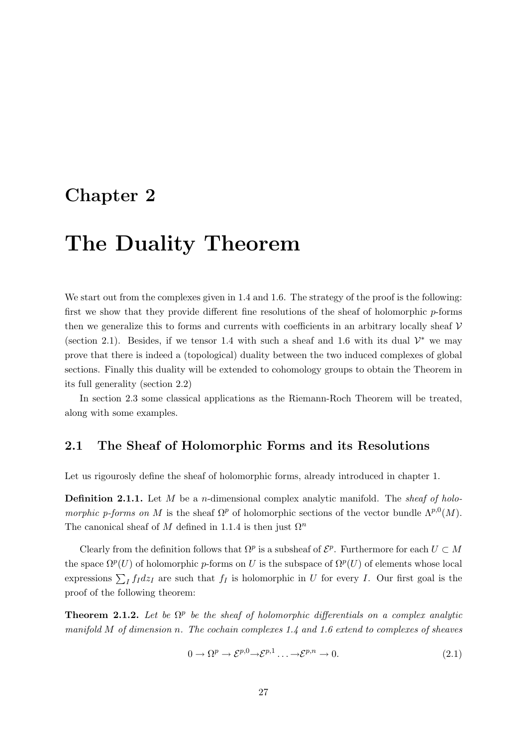### Chapter 2

## The Duality Theorem

We start out from the complexes given in 1.4 and 1.6. The strategy of the proof is the following: first we show that they provide different fine resolutions of the sheaf of holomorphic p-forms then we generalize this to forms and currents with coefficients in an arbitrary locally sheaf  $V$ (section 2.1). Besides, if we tensor 1.4 with such a sheaf and 1.6 with its dual  $\mathcal{V}^*$  we may prove that there is indeed a (topological) duality between the two induced complexes of global sections. Finally this duality will be extended to cohomology groups to obtain the Theorem in its full generality (section 2.2)

In section 2.3 some classical applications as the Riemann-Roch Theorem will be treated, along with some examples.

#### 2.1 The Sheaf of Holomorphic Forms and its Resolutions

Let us rigourosly define the sheaf of holomorphic forms, already introduced in chapter 1.

**Definition 2.1.1.** Let  $M$  be a *n*-dimensional complex analytic manifold. The sheaf of holomorphic p-forms on M is the sheaf  $\Omega^p$  of holomorphic sections of the vector bundle  $\Lambda^{p,0}(M)$ . The canonical sheaf of M defined in 1.1.4 is then just  $\Omega^n$ 

Clearly from the definition follows that  $\Omega^p$  is a subsheaf of  $\mathcal{E}^p$ . Furthermore for each  $U \subset M$ the space  $\Omega^p(U)$  of holomorphic p-forms on U is the subspace of  $\Omega^p(U)$  of elements whose local expressions  $\sum_I f_I dz_I$  are such that  $f_I$  is holomorphic in U for every I. Our first goal is the proof of the following theorem:

**Theorem 2.1.2.** Let be  $\Omega^p$  be the sheaf of holomorphic differentials on a complex analytic manifold M of dimension n. The cochain complexes  $1.4$  and  $1.6$  extend to complexes of sheaves

$$
0 \to \Omega^p \to \mathcal{E}^{p,0} \to \mathcal{E}^{p,1} \dots \to \mathcal{E}^{p,n} \to 0. \tag{2.1}
$$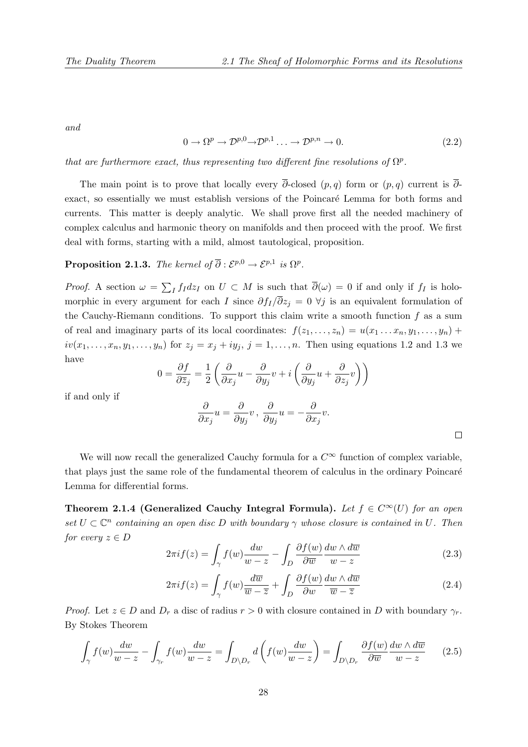and

$$
0 \to \Omega^p \to \mathcal{D}^{p,0} \to \mathcal{D}^{p,1} \dots \to \mathcal{D}^{p,n} \to 0. \tag{2.2}
$$

that are furthermore exact, thus representing two different fine resolutions of  $\Omega^p$ .

The main point is to prove that locally every  $\overline{\partial}$ -closed  $(p, q)$  form or  $(p, q)$  current is  $\overline{\partial}$ exact, so essentially we must establish versions of the Poincaré Lemma for both forms and currents. This matter is deeply analytic. We shall prove first all the needed machinery of complex calculus and harmonic theory on manifolds and then proceed with the proof. We first deal with forms, starting with a mild, almost tautological, proposition.

**Proposition 2.1.3.** The kernel of  $\overline{\partial} : \mathcal{E}^{p,0} \to \mathcal{E}^{p,1}$  is  $\Omega^p$ .

*Proof.* A section  $\omega = \sum_I f_I dz_I$  on  $U \subset M$  is such that  $\overline{\partial}(\omega) = 0$  if and only if  $f_I$  is holomorphic in every argument for each I since  $\partial f_I/\overline{\partial} z_j = 0 \ \forall j$  is an equivalent formulation of the Cauchy-Riemann conditions. To support this claim write a smooth function  $f$  as a sum of real and imaginary parts of its local coordinates:  $f(z_1, \ldots, z_n) = u(x_1 \ldots x_n, y_1, \ldots, y_n) +$  $iv(x_1,\ldots,x_n,y_1,\ldots,y_n)$  for  $z_j = x_j + iy_j$ ,  $j = 1,\ldots,n$ . Then using equations 1.2 and 1.3 we have

$$
0 = \frac{\partial f}{\partial \overline{z}_j} = \frac{1}{2} \left( \frac{\partial}{\partial x_j} u - \frac{\partial}{\partial y_j} v + i \left( \frac{\partial}{\partial y_j} u + \frac{\partial}{\partial z_j} v \right) \right)
$$

if and only if

$$
\frac{\partial}{\partial x_j} u = \frac{\partial}{\partial y_j} v, \ \frac{\partial}{\partial y_j} u = -\frac{\partial}{\partial x_j} v.
$$

We will now recall the generalized Cauchy formula for a  $C^{\infty}$  function of complex variable, that plays just the same role of the fundamental theorem of calculus in the ordinary Poincaré Lemma for differential forms.

Theorem 2.1.4 (Generalized Cauchy Integral Formula). Let  $f \in C^{\infty}(U)$  for an open set  $U \subset \mathbb{C}^n$  containing an open disc D with boundary  $\gamma$  whose closure is contained in U. Then for every  $z \in D$ 

$$
2\pi i f(z) = \int_{\gamma} f(w) \frac{dw}{w - z} - \int_{D} \frac{\partial f(w)}{\partial \overline{w}} \frac{dw \wedge d\overline{w}}{w - z}
$$
(2.3)

$$
2\pi i f(z) = \int_{\gamma} f(w) \frac{d\overline{w}}{\overline{w} - \overline{z}} + \int_{D} \frac{\partial f(w)}{\partial w} \frac{dw \wedge d\overline{w}}{\overline{w} - \overline{z}}
$$
(2.4)

*Proof.* Let  $z \in D$  and  $D_r$  a disc of radius  $r > 0$  with closure contained in D with boundary  $\gamma_r$ . By Stokes Theorem

$$
\int_{\gamma} f(w) \frac{dw}{w - z} - \int_{\gamma_r} f(w) \frac{dw}{w - z} = \int_{D \setminus D_r} d\left( f(w) \frac{dw}{w - z} \right) = \int_{D \setminus D_r} \frac{\partial f(w)}{\partial \overline{w}} \frac{dw \wedge d\overline{w}}{w - z} \tag{2.5}
$$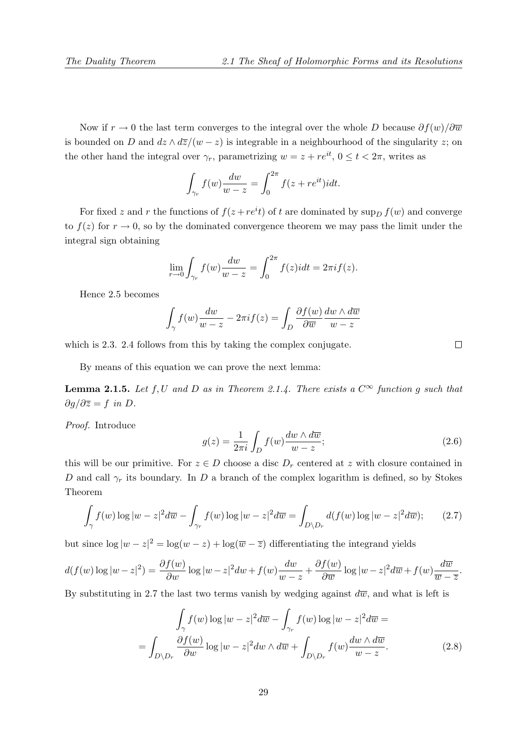Now if  $r \to 0$  the last term converges to the integral over the whole D because  $\partial f(w)/\partial \overline{w}$ is bounded on D and  $dz \wedge d\overline{z}/(w-z)$  is integrable in a neighbourhood of the singularity z; on the other hand the integral over  $\gamma_r$ , parametrizing  $w = z + re^{it}$ ,  $0 \le t < 2\pi$ , writes as

$$
\int_{\gamma_r} f(w) \frac{dw}{w - z} = \int_0^{2\pi} f(z + re^{it}) i dt.
$$

For fixed z and r the functions of  $f(z + re^i t)$  of t are dominated by  $\sup_D f(w)$  and converge to  $f(z)$  for  $r \to 0$ , so by the dominated convergence theorem we may pass the limit under the integral sign obtaining

$$
\lim_{r \to 0} \int_{\gamma_r} f(w) \frac{dw}{w - z} = \int_0^{2\pi} f(z) i dt = 2\pi i f(z).
$$

Hence 2.5 becomes

$$
\int_{\gamma} f(w) \frac{dw}{w - z} - 2\pi i f(z) = \int_{D} \frac{\partial f(w)}{\partial \overline{w}} \frac{dw \wedge d\overline{w}}{w - z}
$$

which is 2.3. 2.4 follows from this by taking the complex conjugate.

By means of this equation we can prove the next lemma:

**Lemma 2.1.5.** Let f, U and D as in Theorem 2.1.4. There exists a  $C^{\infty}$  function g such that  $\partial g/\partial \overline{z} = f$  in D.

Proof. Introduce

$$
g(z) = \frac{1}{2\pi i} \int_D f(w) \frac{dw \wedge d\overline{w}}{w - z};
$$
\n(2.6)

this will be our primitive. For  $z \in D$  choose a disc  $D<sub>r</sub>$  centered at z with closure contained in D and call  $\gamma_r$  its boundary. In D a branch of the complex logarithm is defined, so by Stokes Theorem

$$
\int_{\gamma} f(w) \log |w - z|^2 d\overline{w} - \int_{\gamma_r} f(w) \log |w - z|^2 d\overline{w} = \int_{D \backslash D_r} d(f(w) \log |w - z|^2 d\overline{w}); \qquad (2.7)
$$

but since  $\log |w - z|^2 = \log(w - z) + \log(\overline{w} - \overline{z})$  differentiating the integrand yields

$$
d(f(w)\log|w-z|^2) = \frac{\partial f(w)}{\partial w}\log|w-z|^2 dw + f(w)\frac{dw}{w-z} + \frac{\partial f(w)}{\partial \overline{w}}\log|w-z|^2 d\overline{w} + f(w)\frac{d\overline{w}}{\overline{w-z}}.
$$

By substituting in 2.7 the last two terms vanish by wedging against  $d\overline{w}$ , and what is left is

$$
\int_{\gamma} f(w) \log |w - z|^2 d\overline{w} - \int_{\gamma_r} f(w) \log |w - z|^2 d\overline{w} =
$$
\n
$$
= \int_{D \backslash D_r} \frac{\partial f(w)}{\partial w} \log |w - z|^2 dw \wedge d\overline{w} + \int_{D \backslash D_r} f(w) \frac{dw \wedge d\overline{w}}{w - z}.
$$
\n(2.8)

 $\Box$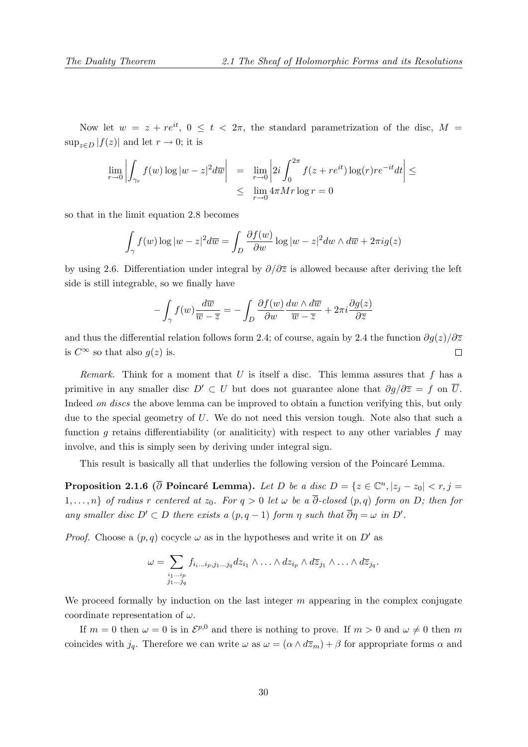Now let  $w = z + re^{it}$ ,  $0 \le t < 2\pi$ , the standard parametrization of the disc,  $M =$  $\sup_{z\in D} |f(z)|$  and let  $r \to 0$ ; it is

$$
\lim_{r \to 0} \left| \int_{\gamma_r} f(w) \log |w - z|^2 d\overline{w} \right| = \lim_{r \to 0} \left| 2i \int_0^{2\pi} f(z + re^{it}) \log(r) re^{-it} dt \right| \le
$$
  

$$
\leq \lim_{r \to 0} 4\pi M r \log r = 0
$$

so that in the limit equation 2.8 becomes

$$
\int_{\gamma} f(w) \log |w - z|^2 d\overline{w} = \int_{D} \frac{\partial f(w)}{\partial w} \log |w - z|^2 dw \wedge d\overline{w} + 2\pi i g(z)
$$

by using 2.6. Differentiation under integral by  $\partial/\partial\overline{z}$  is allowed because after deriving the left side is still integrable, so we finally have

$$
-\int_{\gamma} f(w) \frac{d\overline{w}}{\overline{w} - \overline{z}} = -\int_{D} \frac{\partial f(w)}{\partial w} \frac{dw \wedge d\overline{w}}{\overline{w} - \overline{z}} + 2\pi i \frac{\partial g(z)}{\partial \overline{z}}
$$

and thus the differential relation follows form 2.4; of course, again by 2.4 the function  $\partial q(z)/\partial \overline{z}$ is  $C^{\infty}$  so that also  $q(z)$  is.  $\Box$ 

*Remark.* Think for a moment that U is itself a disc. This lemma assures that f has a primitive in any smaller disc  $D' \subset U$  but does not guarantee alone that  $\partial g/\partial \overline{z} = f$  on  $\overline{U}$ . Indeed *on discs* the above lemma can be improved to obtain a function verifying this, but only due to the special geometry of U. We do not need this version tough. Note also that such a function g retains differentiability (or analiticity) with respect to any other variables f may involve, and this is simply seen by deriving under integral sign.

This result is basically all that underlies the following version of the Poincaré Lemma.

**Proposition 2.1.6** ( $\overline{\partial}$  Poincaré Lemma). Let D be a disc  $D = \{z \in \mathbb{C}^n, |z_j - z_0| < r, j = 1\}$ 1,...,n} of radius r centered at  $z_0$ . For  $q > 0$  let  $\omega$  be a  $\overline{\partial}$ -closed  $(p, q)$  form on D; then for any smaller disc  $D' \subset D$  there exists a  $(p, q - 1)$  form  $\eta$  such that  $\overline{\partial}\eta = \omega$  in  $D'$ .

*Proof.* Choose a  $(p, q)$  cocycle  $\omega$  as in the hypotheses and write it on D' as

$$
\omega = \sum_{\substack{i_1 \dots i_p \\ j_1 \dots j_q}} f_{i_i \dots i_p, j_1 \dots j_q} dz_{i_1} \wedge \dots \wedge dz_{i_p} \wedge d\overline{z}_{j_1} \wedge \dots \wedge d\overline{z}_{j_q}.
$$

We proceed formally by induction on the last integer  $m$  appearing in the complex conjugate coordinate representation of  $\omega$ .

If  $m = 0$  then  $\omega = 0$  is in  $\mathcal{E}^{p,0}$  and there is nothing to prove. If  $m > 0$  and  $\omega \neq 0$  then m coincides with  $j_q$ . Therefore we can write  $\omega$  as  $\omega = (\alpha \wedge d\overline{z}_m) + \beta$  for appropriate forms  $\alpha$  and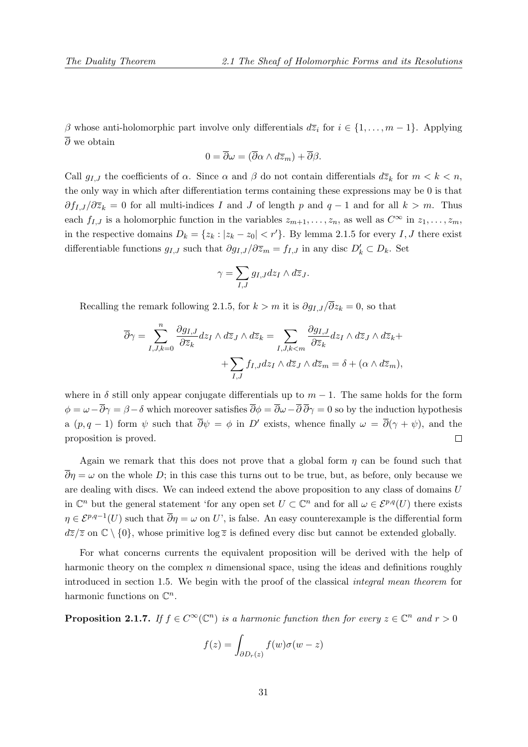β whose anti-holomorphic part involve only differentials  $d\overline{z}_i$  for  $i \in \{1, \ldots, m-1\}$ . Applying  $\overline{\partial}$  we obtain

$$
0 = \overline{\partial}\omega = (\overline{\partial}\alpha \wedge d\overline{z}_m) + \overline{\partial}\beta.
$$

Call  $g_{I,J}$  the coefficients of  $\alpha$ . Since  $\alpha$  and  $\beta$  do not contain differentials  $d\overline{z}_k$  for  $m < k < n$ , the only way in which after differentiation terms containing these expressions may be 0 is that  $\partial f_{I,J}/\partial \overline{z}_k = 0$  for all multi-indices I and J of length p and  $q-1$  and for all  $k > m$ . Thus each  $f_{I,J}$  is a holomorphic function in the variables  $z_{m+1}, \ldots, z_n$ , as well as  $C^{\infty}$  in  $z_1, \ldots, z_m$ , in the respective domains  $D_k = \{z_k : |z_k - z_0| < r'\}$ . By lemma 2.1.5 for every I, J there exist differentiable functions  $g_{I,J}$  such that  $\partial g_{I,J}/\partial \overline{z}_m = f_{I,J}$  in any disc  $D'_k \subset D_k$ . Set

$$
\gamma = \sum_{I,J} g_{I,J} dz_I \wedge d\overline{z}_J.
$$

Recalling the remark following 2.1.5, for  $k > m$  it is  $\partial g_{IJ}/\overline{\partial} z_k = 0$ , so that

$$
\overline{\partial}\gamma = \sum_{I,J,k=0}^{n} \frac{\partial g_{I,J}}{\partial \overline{z}_k} dz_I \wedge d\overline{z}_J \wedge d\overline{z}_k = \sum_{I,J,k
$$

where in  $\delta$  still only appear conjugate differentials up to  $m-1$ . The same holds for the form  $\phi = \omega - \overline{\partial}\gamma = \beta - \delta$  which moreover satisfies  $\overline{\partial}\phi = \overline{\partial}\omega - \overline{\partial}\overline{\partial}\gamma = 0$  so by the induction hypothesis a  $(p, q - 1)$  form  $\psi$  such that  $\overline{\partial}\psi = \phi$  in D' exists, whence finally  $\omega = \overline{\partial}(\gamma + \psi)$ , and the proposition is proved.  $\Box$ 

Again we remark that this does not prove that a global form  $\eta$  can be found such that  $\overline{\partial}\eta = \omega$  on the whole D; in this case this turns out to be true, but, as before, only because we are dealing with discs. We can indeed extend the above proposition to any class of domains U in  $\mathbb{C}^n$  but the general statement 'for any open set  $U \subset \mathbb{C}^n$  and for all  $\omega \in \mathcal{E}^{p,q}(U)$  there exists  $\eta \in \mathcal{E}^{p,q-1}(U)$  such that  $\overline{\partial}\eta = \omega$  on U', is false. An easy counterexample is the differential form  $d\overline{z}/\overline{z}$  on  $\mathbb{C}\setminus\{0\}$ , whose primitive log  $\overline{z}$  is defined every disc but cannot be extended globally.

For what concerns currents the equivalent proposition will be derived with the help of harmonic theory on the complex  $n$  dimensional space, using the ideas and definitions roughly introduced in section 1.5. We begin with the proof of the classical integral mean theorem for harmonic functions on  $\mathbb{C}^n$ .

**Proposition 2.1.7.** If  $f \in C^{\infty}(\mathbb{C}^n)$  is a harmonic function then for every  $z \in \mathbb{C}^n$  and  $r > 0$ 

$$
f(z) = \int_{\partial D_r(z)} f(w)\sigma(w - z)
$$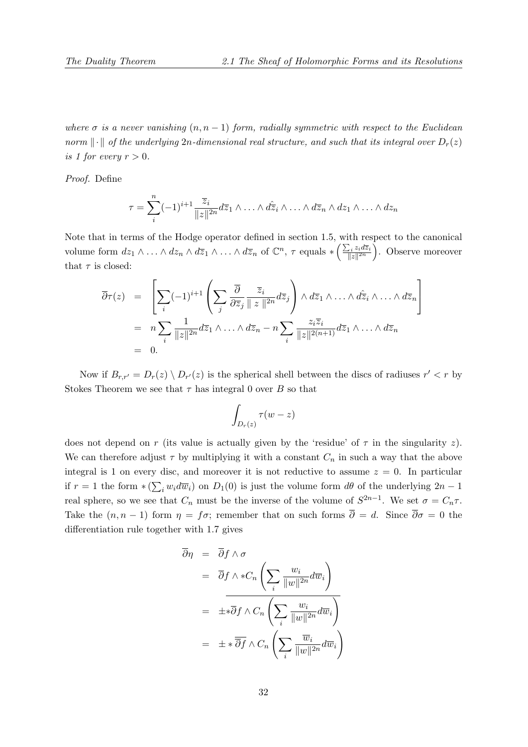where  $\sigma$  is a never vanishing  $(n, n - 1)$  form, radially symmetric with respect to the Euclidean norm  $\|\cdot\|$  of the underlying 2n-dimensional real structure, and such that its integral over  $D_r(z)$ is 1 for every  $r > 0$ .

Proof. Define

$$
\tau = \sum_{i}^{n} (-1)^{i+1} \frac{\overline{z}_{i}}{\|z\|^{2n}} d\overline{z}_{1} \wedge \ldots \wedge d\widehat{z}_{i} \wedge \ldots \wedge d\overline{z}_{n} \wedge dz_{1} \wedge \ldots \wedge dz_{n}
$$

Note that in terms of the Hodge operator defined in section 1.5, with respect to the canonical volume form  $dz_1 \wedge \ldots \wedge dz_n \wedge d\overline{z}_1 \wedge \ldots \wedge d\overline{z}_n$  of  $\mathbb{C}^n$ ,  $\tau$  equals  $* \left( \frac{\sum_i z_i d\overline{z}_i}{\|z\|^{2n}} \right)$  $\sum_{i} z_i d\overline{z}_i}{\Big).}$  Observe moreover that  $\tau$  is closed:

$$
\overline{\partial}\tau(z) = \left[\sum_{i} (-1)^{i+1} \left(\sum_{j} \frac{\overline{\partial}}{\partial \overline{z}_{j}} \frac{\overline{z}_{i}}{\|z\|^{2n}} d\overline{z}_{j}\right) \wedge d\overline{z}_{1} \wedge \dots \wedge d\overline{z}_{i} \wedge \dots \wedge d\overline{z}_{n}\right]
$$
  
\n
$$
= n \sum_{i} \frac{1}{\|z\|^{2n}} d\overline{z}_{1} \wedge \dots \wedge d\overline{z}_{n} - n \sum_{i} \frac{z_{i} \overline{z}_{i}}{\|z\|^{2(n+1)}} d\overline{z}_{1} \wedge \dots \wedge d\overline{z}_{n}
$$
  
\n
$$
= 0.
$$

Now if  $B_{r,r'} = D_r(z) \setminus D_{r'}(z)$  is the spherical shell between the discs of radiuses  $r' < r$  by Stokes Theorem we see that  $\tau$  has integral 0 over B so that

$$
\int_{D_r(z)} \tau(w-z)
$$

does not depend on r (its value is actually given by the 'residue' of  $\tau$  in the singularity z). We can therefore adjust  $\tau$  by multiplying it with a constant  $C_n$  in such a way that the above integral is 1 on every disc, and moreover it is not reductive to assume  $z = 0$ . In particular if  $r = 1$  the form  $*(\sum_i w_i d\overline{w}_i)$  on  $D_1(0)$  is just the volume form  $d\theta$  of the underlying  $2n - 1$ real sphere, so we see that  $C_n$  must be the inverse of the volume of  $S^{2n-1}$ . We set  $\sigma = C_n \tau$ . Take the  $(n, n-1)$  form  $\eta = f\sigma$ ; remember that on such forms  $\overline{\partial} = d$ . Since  $\overline{\partial}\sigma = 0$  the differentiation rule together with 1.7 gives

$$
\overline{\partial}\eta = \overline{\partial}f \wedge \sigma
$$
\n
$$
= \overline{\partial}f \wedge *C_n \left( \sum_i \frac{w_i}{\|w\|^{2n}} d\overline{w}_i \right)
$$
\n
$$
= \pm * \overline{\partial}f \wedge C_n \left( \sum_i \frac{w_i}{\|w\|^{2n}} d\overline{w}_i \right)
$$
\n
$$
= \pm * \overline{\partial}f \wedge C_n \left( \sum_i \frac{\overline{w}_i}{\|w\|^{2n}} d\overline{w}_i \right)
$$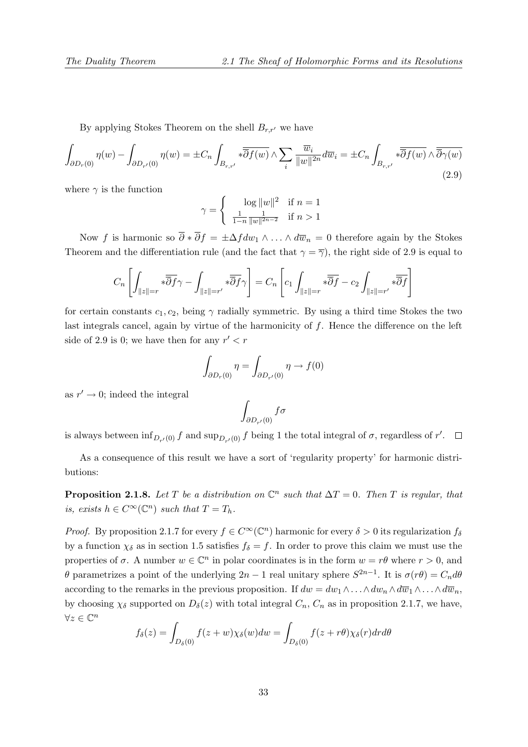By applying Stokes Theorem on the shell  $B_{r,r'}$  we have

$$
\int_{\partial D_r(0)} \eta(w) - \int_{\partial D_{r'}(0)} \eta(w) = \pm C_n \int_{B_{r,r'}} \sqrt[n]{\overline{\partial} f(w)} \wedge \sum_i \frac{\overline{w}_i}{\|w\|^{2n}} d\overline{w}_i = \pm C_n \int_{B_{r,r'}} \sqrt[n]{\overline{\partial} f(w)} \wedge \overline{\overline{\partial} \gamma(w)}\tag{2.9}
$$

where  $\gamma$  is the function

$$
\gamma = \begin{cases} \log \|w\|^2 & \text{if } n = 1\\ \frac{1}{1-n} \frac{1}{\|w\|^{2n-2}} & \text{if } n > 1 \end{cases}
$$

Now f is harmonic so  $\overline{\partial} * \overline{\partial} f = \pm \Delta f dw_1 \wedge \ldots \wedge d\overline{w}_n = 0$  therefore again by the Stokes Theorem and the differentiation rule (and the fact that  $\gamma = \overline{\gamma}$ ), the right side of 2.9 is equal to

$$
C_n\left[\int_{\|z\|=r}*\overline{\overline{\partial} f}\gamma-\int_{\|z\|=r'}*\overline{\overline{\partial} f}\gamma\right]=C_n\left[c_1\int_{\|z\|=r}*\overline{\overline{\partial} f}-c_2\int_{\|z\|=r'}*\overline{\overline{\partial} f}\right]
$$

for certain constants  $c_1, c_2$ , being  $\gamma$  radially symmetric. By using a third time Stokes the two last integrals cancel, again by virtue of the harmonicity of  $f$ . Hence the difference on the left side of 2.9 is 0; we have then for any  $r' < r$ 

$$
\int_{\partial D_r(0)} \eta = \int_{\partial D_{r'}(0)} \eta \to f(0)
$$

as  $r' \rightarrow 0$ ; indeed the integral

$$
\int_{\partial D_{r'}(0)} f \sigma
$$

is always between  $\inf_{D_{r}(0)} f$  and  $\sup_{D_{r}(0)} f$  being 1 the total integral of  $\sigma$ , regardless of r'.

As a consequence of this result we have a sort of 'regularity property' for harmonic distributions:

**Proposition 2.1.8.** Let T be a distribution on  $\mathbb{C}^n$  such that  $\Delta T = 0$ . Then T is regular, that is, exists  $h \in C^{\infty}(\mathbb{C}^n)$  such that  $T = T_h$ .

*Proof.* By proposition 2.1.7 for every  $f \in C^{\infty}(\mathbb{C}^n)$  harmonic for every  $\delta > 0$  its regularization  $f_{\delta}$ by a function  $\chi_{\delta}$  as in section 1.5 satisfies  $f_{\delta} = f$ . In order to prove this claim we must use the properties of  $\sigma$ . A number  $w \in \mathbb{C}^n$  in polar coordinates is in the form  $w = r\theta$  where  $r > 0$ , and θ parametrizes a point of the underlying 2*n* − 1 real unitary sphere  $S^{2n-1}$ . It is  $\sigma(rθ) = C_n dθ$ according to the remarks in the previous proposition. If  $dw = dw_1 \wedge ... \wedge dw_n \wedge d\overline{w}_1 \wedge ... \wedge d\overline{w}_n$ , by choosing  $\chi_{\delta}$  supported on  $D_{\delta}(z)$  with total integral  $C_n$ ,  $C_n$  as in proposition 2.1.7, we have,  $\forall z \in \mathbb{C}^n$ 

$$
f_{\delta}(z) = \int_{D_{\delta}(0)} f(z+w) \chi_{\delta}(w) dw = \int_{D_{\delta}(0)} f(z+r\theta) \chi_{\delta}(r) dr d\theta
$$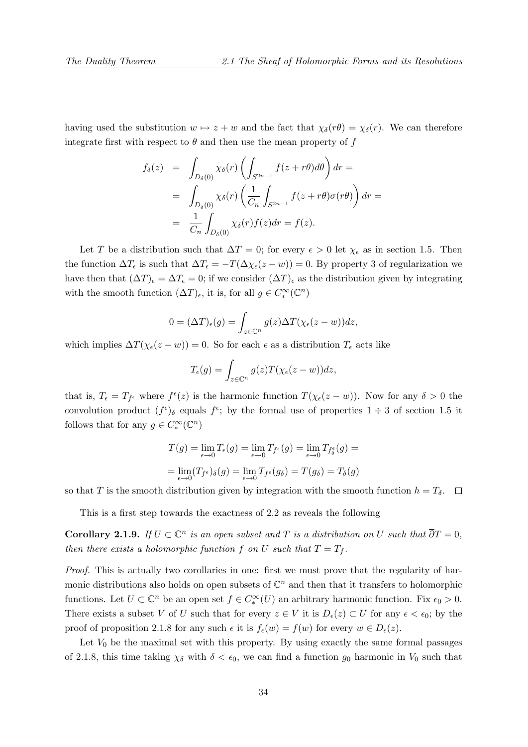having used the substitution  $w \mapsto z + w$  and the fact that  $\chi_{\delta}(r\theta) = \chi_{\delta}(r)$ . We can therefore integrate first with respect to  $\theta$  and then use the mean property of f

$$
f_{\delta}(z) = \int_{D_{\delta}(0)} \chi_{\delta}(r) \left( \int_{S^{2n-1}} f(z+r\theta) d\theta \right) dr =
$$
  
= 
$$
\int_{D_{\delta}(0)} \chi_{\delta}(r) \left( \frac{1}{C_n} \int_{S^{2n-1}} f(z+r\theta) \sigma(r\theta) \right) dr =
$$
  
= 
$$
\frac{1}{C_n} \int_{D_{\delta}(0)} \chi_{\delta}(r) f(z) dr = f(z).
$$

Let T be a distribution such that  $\Delta T = 0$ ; for every  $\epsilon > 0$  let  $\chi_{\epsilon}$  as in section 1.5. Then the function  $\Delta T_{\epsilon}$  is such that  $\Delta T_{\epsilon} = -T(\Delta \chi_{\epsilon}(z-w)) = 0$ . By property 3 of regularization we have then that  $(\Delta T)_{\epsilon} = \Delta T_{\epsilon} = 0$ ; if we consider  $(\Delta T)_{\epsilon}$  as the distribution given by integrating with the smooth function  $(\Delta T)_{\epsilon}$ , it is, for all  $g \in C_{*}^{\infty}(\mathbb{C}^{n})$ 

$$
0 = (\Delta T)_{\epsilon}(g) = \int_{z \in \mathbb{C}^n} g(z) \Delta T(\chi_{\epsilon}(z - w)) dz,
$$

which implies  $\Delta T(\chi_{\epsilon}(z-w)) = 0$ . So for each  $\epsilon$  as a distribution  $T_{\epsilon}$  acts like

$$
T_{\epsilon}(g) = \int_{z \in \mathbb{C}^n} g(z) T(\chi_{\epsilon}(z - w)) dz,
$$

that is,  $T_{\epsilon} = T_{f^{\epsilon}}$  where  $f^{\epsilon}(z)$  is the harmonic function  $T(\chi_{\epsilon}(z-w))$ . Now for any  $\delta > 0$  the convolution product  $(f^{\epsilon})_{\delta}$  equals  $f^{\epsilon}$ ; by the formal use of properties  $1 \div 3$  of section 1.5 it follows that for any  $g \in C_*^{\infty}(\mathbb{C}^n)$ 

$$
T(g) = \lim_{\epsilon \to 0} T_{\epsilon}(g) = \lim_{\epsilon \to 0} T_{f^{\epsilon}}(g) = \lim_{\epsilon \to 0} T_{f^{\epsilon}_{\delta}}(g) =
$$

$$
= \lim_{\epsilon \to 0} (T_{f^{\epsilon}})_{\delta}(g) = \lim_{\epsilon \to 0} T_{f^{\epsilon}}(g_{\delta}) = T(g_{\delta}) = T_{\delta}(g)
$$

so that T is the smooth distribution given by integration with the smooth function  $h = T_{\delta}$ .  $\Box$ 

This is a first step towards the exactness of 2.2 as reveals the following

**Corollary 2.1.9.** If  $U \subset \mathbb{C}^n$  is an open subset and T is a distribution on U such that  $\overline{\partial}T = 0$ , then there exists a holomorphic function f on U such that  $T = T_f$ .

Proof. This is actually two corollaries in one: first we must prove that the regularity of harmonic distributions also holds on open subsets of  $\mathbb{C}^n$  and then that it transfers to holomorphic functions. Let  $U \subset \mathbb{C}^n$  be an open set  $f \in C_*^{\infty}(U)$  an arbitrary harmonic function. Fix  $\epsilon_0 > 0$ . There exists a subset V of U such that for every  $z \in V$  it is  $D_{\epsilon}(z) \subset U$  for any  $\epsilon < \epsilon_0$ ; by the proof of proposition 2.1.8 for any such  $\epsilon$  it is  $f_{\epsilon}(w) = f(w)$  for every  $w \in D_{\epsilon}(z)$ .

Let  $V_0$  be the maximal set with this property. By using exactly the same formal passages of 2.1.8, this time taking  $\chi_{\delta}$  with  $\delta < \epsilon_0$ , we can find a function  $g_0$  harmonic in  $V_0$  such that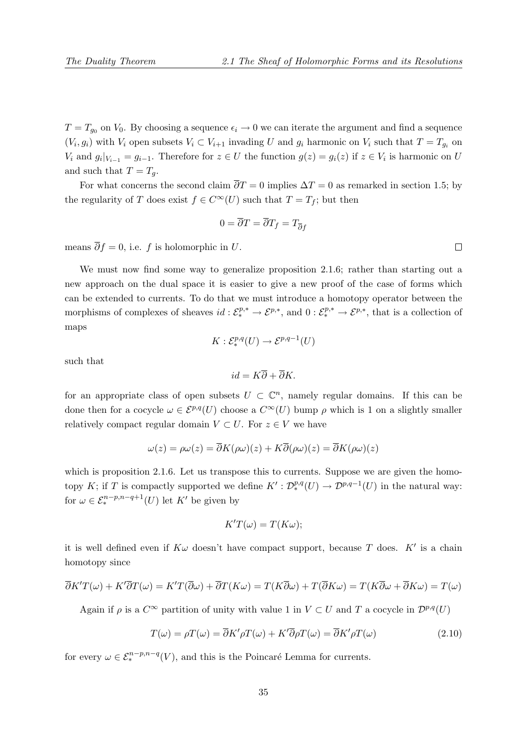$T = T_{g_0}$  on  $V_0$ . By choosing a sequence  $\epsilon_i \to 0$  we can iterate the argument and find a sequence  $(V_i, g_i)$  with  $V_i$  open subsets  $V_i \subset V_{i+1}$  invading U and  $g_i$  harmonic on  $V_i$  such that  $T = T_{g_i}$  on  $V_i$  and  $g_i|_{V_{i-1}} = g_{i-1}$ . Therefore for  $z \in U$  the function  $g(z) = g_i(z)$  if  $z \in V_i$  is harmonic on U and such that  $T = T_a$ .

For what concerns the second claim  $\overline{\partial}T = 0$  implies  $\Delta T = 0$  as remarked in section 1.5; by the regularity of T does exist  $f \in C^{\infty}(U)$  such that  $T = T_f$ ; but then

$$
0 = \partial T = \partial T_f = T_{\overline{\partial}f}
$$

means  $\overline{\partial} f = 0$ , i.e. f is holomorphic in U.

We must now find some way to generalize proposition 2.1.6; rather than starting out a new approach on the dual space it is easier to give a new proof of the case of forms which can be extended to currents. To do that we must introduce a homotopy operator between the morphisms of complexes of sheaves  $id: \mathcal{E}^{p,*}_* \to \mathcal{E}^{p,*}$ , and  $0: \mathcal{E}^{p,*}_* \to \mathcal{E}^{p,*}$ , that is a collection of maps

$$
K: \mathcal{E}^{p,q}_*(U) \to \mathcal{E}^{p,q-1}(U)
$$

such that

$$
id = K\overline{\partial} + \overline{\partial}K.
$$

for an appropriate class of open subsets  $U \subset \mathbb{C}^n$ , namely regular domains. If this can be done then for a cocycle  $\omega \in \mathcal{E}^{p,q}(U)$  choose a  $C^{\infty}(U)$  bump  $\rho$  which is 1 on a slightly smaller relatively compact regular domain  $V \subset U$ . For  $z \in V$  we have

$$
\omega(z) = \rho \omega(z) = \overline{\partial} K(\rho \omega)(z) + K \overline{\partial}(\rho \omega)(z) = \overline{\partial} K(\rho \omega)(z)
$$

which is proposition 2.1.6. Let us transpose this to currents. Suppose we are given the homotopy K; if T is compactly supported we define  $K':\mathcal{D}_{*}^{p,q}(U)\to\mathcal{D}^{p,q-1}(U)$  in the natural way: for  $\omega \in \mathcal{E}^{n-p,n-q+1}_*(U)$  let K' be given by

$$
K'T(\omega) = T(K\omega);
$$

it is well defined even if  $K\omega$  doesn't have compact support, because T does.  $K'$  is a chain homotopy since

$$
\overline{\partial}K'T(\omega) + K'\overline{\partial}T(\omega) = K'T(\overline{\partial}\omega) + \overline{\partial}T(K\omega) = T(K\overline{\partial}\omega) + T(\overline{\partial}K\omega) = T(K\overline{\partial}\omega + \overline{\partial}K\omega) = T(\omega)
$$

Again if  $\rho$  is a  $C^{\infty}$  partition of unity with value 1 in  $V \subset U$  and T a cocycle in  $\mathcal{D}^{p,q}(U)$ 

$$
T(\omega) = \rho T(\omega) = \overline{\partial} K' \rho T(\omega) + K' \overline{\partial} \rho T(\omega) = \overline{\partial} K' \rho T(\omega)
$$
\n(2.10)

for every  $\omega \in \mathcal{E}_{*}^{n-p,n-q}(V)$ , and this is the Poincaré Lemma for currents.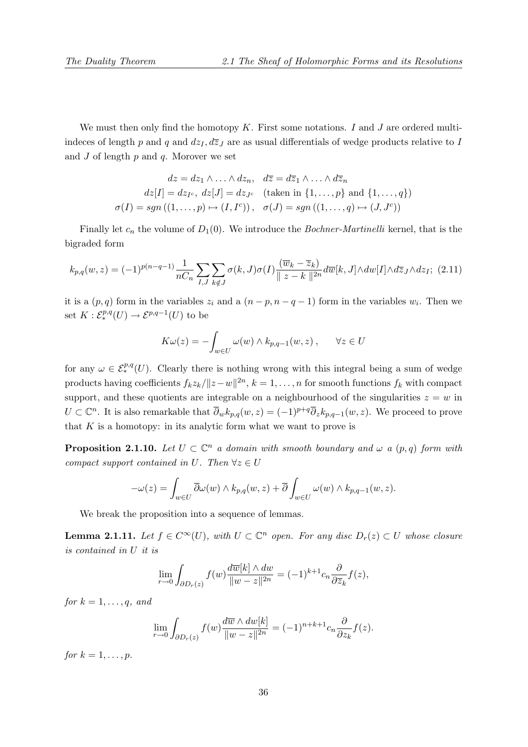We must then only find the homotopy  $K$ . First some notations. I and J are ordered multiindeces of length p and q and  $dz_I$ ,  $d\overline{z}_J$  are as usual differentials of wedge products relative to I and  $J$  of length  $p$  and  $q$ . Morover we set

$$
dz = dz_1 \wedge \ldots \wedge dz_n, \quad d\overline{z} = d\overline{z}_1 \wedge \ldots \wedge d\overline{z}_n
$$

$$
dz[I] = dz_{I^c}, \ dz[J] = dz_{J^c} \quad \text{(taken in } \{1, \ldots, p\} \text{ and } \{1, \ldots, q\})
$$

$$
\sigma(I) = sgn((1, \ldots, p) \mapsto (I, I^c)), \quad \sigma(J) = sgn((1, \ldots, q) \mapsto (J, J^c))
$$

Finally let  $c_n$  the volume of  $D_1(0)$ . We introduce the *Bochner-Martinelli* kernel, that is the bigraded form

$$
k_{p,q}(w,z) = (-1)^{p(n-q-1)} \frac{1}{nC_n} \sum_{I,J} \sum_{k \notin J} \sigma(k,J) \sigma(I) \frac{(\overline{w}_k - \overline{z}_k)}{\|z - k\|^{2n}} d\overline{w}[k,J] \wedge dw[I] \wedge d\overline{z}_J \wedge dz_I; \tag{2.11}
$$

it is a  $(p, q)$  form in the variables  $z_i$  and a  $(n - p, n - q - 1)$  form in the variables  $w_i$ . Then we set  $K: \mathcal{E}^{p,q}_*(U) \to \mathcal{E}^{p,q-1}(U)$  to be

$$
K\omega(z) = -\int_{w \in U} \omega(w) \wedge k_{p,q-1}(w, z) , \quad \forall z \in U
$$

for any  $\omega \in \mathcal{E}^{p,q}_*(U)$ . Clearly there is nothing wrong with this integral being a sum of wedge products having coefficients  $f_k z_k / ||z-w||^{2n}, k = 1, ..., n$  for smooth functions  $f_k$  with compact support, and these quotients are integrable on a neighbourhood of the singularities  $z = w$  in  $U \subset \mathbb{C}^n$ . It is also remarkable that  $\overline{\partial}_w k_{p,q}(w, z) = (-1)^{p+q} \overline{\partial}_z k_{p,q-1}(w, z)$ . We proceed to prove that  $K$  is a homotopy: in its analytic form what we want to prove is

**Proposition 2.1.10.** Let  $U \subset \mathbb{C}^n$  a domain with smooth boundary and  $\omega$  a  $(p,q)$  form with compact support contained in U. Then  $\forall z \in U$ 

$$
-\omega(z) = \int_{w \in U} \overline{\partial}\omega(w) \wedge k_{p,q}(w,z) + \overline{\partial} \int_{w \in U} \omega(w) \wedge k_{p,q-1}(w,z).
$$

We break the proposition into a sequence of lemmas.

**Lemma 2.1.11.** Let  $f \in C^{\infty}(U)$ , with  $U \subset \mathbb{C}^n$  open. For any disc  $D_r(z) \subset U$  whose closure is contained in U it is

$$
\lim_{r \to 0} \int_{\partial D_r(z)} f(w) \frac{d\overline{w}[k] \wedge dw}{\|w - z\|^{2n}} = (-1)^{k+1} c_n \frac{\partial}{\partial \overline{z}_k} f(z),
$$

for  $k = 1, \ldots, q$ , and

$$
\lim_{r \to 0} \int_{\partial D_r(z)} f(w) \frac{d\overline{w} \wedge dw[k]}{\|w - z\|^{2n}} = (-1)^{n+k+1} c_n \frac{\partial}{\partial z_k} f(z).
$$

for  $k = 1, \ldots, p$ .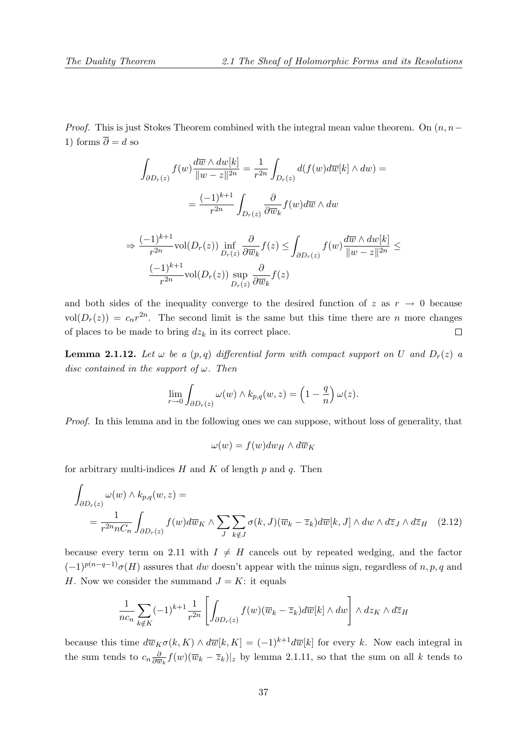*Proof.* This is just Stokes Theorem combined with the integral mean value theorem. On  $(n, n-$ 1) forms  $\overline{\partial} = d$  so

$$
\int_{\partial D_r(z)} f(w) \frac{d\overline{w} \wedge dw[k]}{\|w - z\|^{2n}} = \frac{1}{r^{2n}} \int_{D_r(z)} d(f(w) d\overline{w}[k] \wedge dw) =
$$
\n
$$
= \frac{(-1)^{k+1}}{r^{2n}} \int_{D_r(z)} \frac{\partial}{\partial \overline{w}_k} f(w) d\overline{w} \wedge dw
$$
\n(1)<sup>k+1</sup>

$$
\Rightarrow \frac{(-1)^{k+1}}{r^{2n}} \text{vol}(D_r(z)) \inf_{D_r(z)} \frac{\partial}{\partial \overline{w}_k} f(z) \le \int_{\partial D_r(z)} f(w) \frac{d\overline{w} \wedge dw[k]}{\|w - z\|^{2n}} \le
$$

$$
\frac{(-1)^{k+1}}{r^{2n}} \text{vol}(D_r(z)) \sup_{D_r(z)} \frac{\partial}{\partial \overline{w}_k} f(z)
$$

and both sides of the inequality converge to the desired function of  $z$  as  $r \rightarrow 0$  because  $vol(D_r(z)) = c_n r^{2n}$ . The second limit is the same but this time there are n more changes of places to be made to bring  $dz_k$  in its correct place.  $\Box$ 

**Lemma 2.1.12.** Let  $\omega$  be a  $(p,q)$  differential form with compact support on U and  $D_r(z)$  a disc contained in the support of  $\omega$ . Then

$$
\lim_{r \to 0} \int_{\partial D_r(z)} \omega(w) \wedge k_{p,q}(w, z) = \left(1 - \frac{q}{n}\right) \omega(z).
$$

Proof. In this lemma and in the following ones we can suppose, without loss of generality, that

$$
\omega(w) = f(w)dw_H \wedge d\overline{w}_K
$$

for arbitrary multi-indices  $H$  and  $K$  of length  $p$  and  $q$ . Then

$$
\int_{\partial D_r(z)} \omega(w) \wedge k_{p,q}(w, z) =
$$
\n
$$
= \frac{1}{r^{2n}nC_n} \int_{\partial D_r(z)} f(w) d\overline{w}_K \wedge \sum_J \sum_{k \notin J} \sigma(k, J) (\overline{w}_k - \overline{z}_k) d\overline{w}[k, J] \wedge dw \wedge d\overline{z}_J \wedge d\overline{z}_H \quad (2.12)
$$

because every term on 2.11 with  $I \neq H$  cancels out by repeated wedging, and the factor  $(-1)^{p(n-q-1)}\sigma(H)$  assures that dw doesn't appear with the minus sign, regardless of n, p, q and H. Now we consider the summand  $J = K$ : it equals

$$
\frac{1}{nc_n} \sum_{k \notin K} (-1)^{k+1} \frac{1}{r^{2n}} \left[ \int_{\partial D_r(z)} f(w) (\overline{w}_k - \overline{z}_k) d\overline{w}[k] \wedge dw \right] \wedge dz_K \wedge d\overline{z}_H
$$

because this time  $d\overline{w}_{K}\sigma(k,K) \wedge d\overline{w}[k,K] = (-1)^{k+1}d\overline{w}[k]$  for every k. Now each integral in the sum tends to  $c_n \frac{\partial}{\partial \overline{u}}$  $\frac{\partial}{\partial \overline{w}_k} f(w) (\overline{w}_k - \overline{z}_k)|_z$  by lemma 2.1.11, so that the sum on all k tends to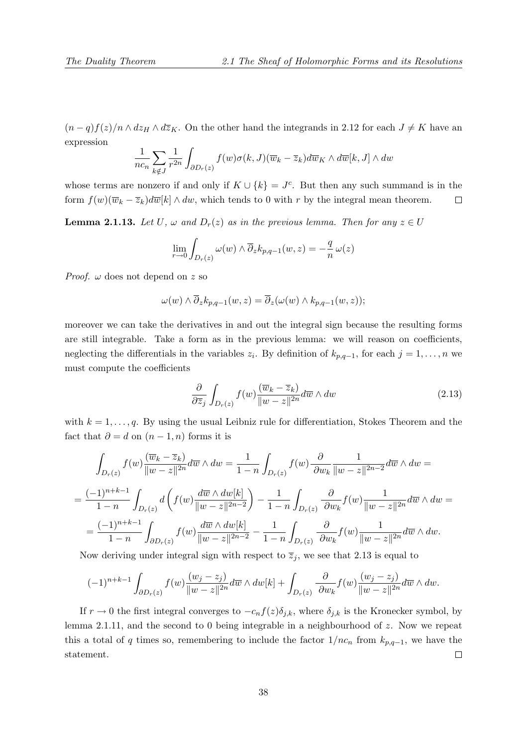$(n-q)f(z)/n \wedge dz_H \wedge d\overline{z}_K$ . On the other hand the integrands in 2.12 for each  $J \neq K$  have an expression

$$
\frac{1}{nc_n} \sum_{k \notin J} \frac{1}{r^{2n}} \int_{\partial D_r(z)} f(w) \sigma(k, J) (\overline{w}_k - \overline{z}_k) d\overline{w}_K \wedge d\overline{w}[k, J] \wedge dw
$$

whose terms are nonzero if and only if  $K \cup \{k\} = J^c$ . But then any such summand is in the form  $f(w)(\overline{w}_k - \overline{z}_k)d\overline{w}[k] \wedge dw$ , which tends to 0 with r by the integral mean theorem.  $\Box$ 

**Lemma 2.1.13.** Let U,  $\omega$  and  $D_r(z)$  as in the previous lemma. Then for any  $z \in U$ 

$$
\lim_{r \to 0} \int_{D_r(z)} \omega(w) \wedge \overline{\partial}_z k_{p,q-1}(w, z) = -\frac{q}{n} \omega(z)
$$

*Proof.*  $\omega$  does not depend on z so

$$
\omega(w) \wedge \overline{\partial}_z k_{p,q-1}(w,z) = \overline{\partial}_z(\omega(w) \wedge k_{p,q-1}(w,z));
$$

moreover we can take the derivatives in and out the integral sign because the resulting forms are still integrable. Take a form as in the previous lemma: we will reason on coefficients, neglecting the differentials in the variables  $z_i$ . By definition of  $k_{p,q-1}$ , for each  $j = 1, \ldots, n$  we must compute the coefficients

$$
\frac{\partial}{\partial \overline{z}_j} \int_{D_r(z)} f(w) \frac{(\overline{w}_k - \overline{z}_k)}{\|w - z\|^{2n}} d\overline{w} \wedge dw \tag{2.13}
$$

with  $k = 1, \ldots, q$ . By using the usual Leibniz rule for differentiation, Stokes Theorem and the fact that  $\partial = d$  on  $(n-1, n)$  forms it is

$$
\int_{D_r(z)} f(w) \frac{(\overline{w}_k - \overline{z}_k)}{\|w - z\|^{2n}} d\overline{w} \wedge dw = \frac{1}{1 - n} \int_{D_r(z)} f(w) \frac{\partial}{\partial w_k} \frac{1}{\|w - z\|^{2n - 2}} d\overline{w} \wedge dw =
$$
\n
$$
= \frac{(-1)^{n + k - 1}}{1 - n} \int_{D_r(z)} d\left( f(w) \frac{d\overline{w} \wedge dw[k]}{\|w - z\|^{2n - 2}} \right) - \frac{1}{1 - n} \int_{D_r(z)} \frac{\partial}{\partial w_k} f(w) \frac{1}{\|w - z\|^{2n}} d\overline{w} \wedge dw =
$$
\n
$$
= \frac{(-1)^{n + k - 1}}{1 - n} \int_{\partial D_r(z)} f(w) \frac{d\overline{w} \wedge dw[k]}{\|w - z\|^{2n - 2}} - \frac{1}{1 - n} \int_{D_r(z)} \frac{\partial}{\partial w_k} f(w) \frac{1}{\|w - z\|^{2n}} d\overline{w} \wedge dw.
$$

Now deriving under integral sign with respect to  $\overline{z}_j$ , we see that 2.13 is equal to

$$
(-1)^{n+k-1}\int_{\partial D_r(z)}f(w)\frac{(w_j-z_j)}{\|w-z\|^{2n}}d\overline{w}\wedge dw[k]+\int_{D_r(z)}\frac{\partial}{\partial w_k}f(w)\frac{(w_j-z_j)}{\|w-z\|^{2n}}d\overline{w}\wedge dw.
$$

If  $r \to 0$  the first integral converges to  $-c_n f(z) \delta_{j,k}$ , where  $\delta_{j,k}$  is the Kronecker symbol, by lemma 2.1.11, and the second to 0 being integrable in a neighbourhood of z. Now we repeat this a total of q times so, remembering to include the factor  $1/nc_n$  from  $k_{p,q-1}$ , we have the statement.  $\Box$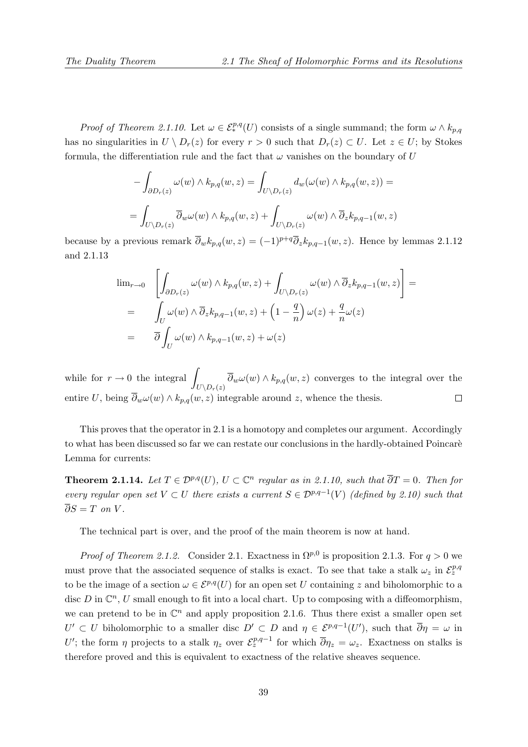*Proof of Theorem 2.1.10.* Let  $\omega \in \mathcal{E}^{p,q}_*(U)$  consists of a single summand; the form  $\omega \wedge k_{p,q}$ has no singularities in  $U \setminus D_r(z)$  for every  $r > 0$  such that  $D_r(z) \subset U$ . Let  $z \in U$ ; by Stokes formula, the differentiation rule and the fact that  $\omega$  vanishes on the boundary of U

$$
-\int_{\partial D_r(z)} \omega(w) \wedge k_{p,q}(w,z) = \int_{U \setminus D_r(z)} d_w(\omega(w) \wedge k_{p,q}(w,z)) =
$$
  
= 
$$
\int_{U \setminus D_r(z)} \overline{\partial}_w \omega(w) \wedge k_{p,q}(w,z) + \int_{U \setminus D_r(z)} \omega(w) \wedge \overline{\partial}_z k_{p,q-1}(w,z)
$$

because by a previous remark  $\overline{\partial}_w k_{p,q}(w, z) = (-1)^{p+q} \overline{\partial}_z k_{p,q-1}(w, z)$ . Hence by lemmas 2.1.12 and 2.1.13

$$
\lim_{r \to 0} \left[ \int_{\partial D_r(z)} \omega(w) \wedge k_{p,q}(w, z) + \int_{U \setminus D_r(z)} \omega(w) \wedge \overline{\partial}_z k_{p,q-1}(w, z) \right] =
$$
\n
$$
= \int_U \omega(w) \wedge \overline{\partial}_z k_{p,q-1}(w, z) + \left(1 - \frac{q}{n}\right) \omega(z) + \frac{q}{n} \omega(z)
$$
\n
$$
= \overline{\partial} \int_U \omega(w) \wedge k_{p,q-1}(w, z) + \omega(z)
$$

while for  $r \to 0$  the integral  $\overline{\partial}_w \omega(w) \wedge k_{p,q}(w,z)$  converges to the integral over the  $U\backslash D_r(z)$ entire U, being  $\overline{\partial}_w \omega(w) \wedge k_{p,q}(w, z)$  integrable around z, whence the thesis.  $\Box$ 

This proves that the operator in 2.1 is a homotopy and completes our argument. Accordingly to what has been discussed so far we can restate our conclusions in the hardly-obtained Poincarè Lemma for currents:

**Theorem 2.1.14.** Let  $T \in \mathcal{D}^{p,q}(U)$ ,  $U \subset \mathbb{C}^n$  regular as in 2.1.10, such that  $\overline{\partial}T = 0$ . Then for every regular open set  $V \subset U$  there exists a current  $S \in \mathcal{D}^{p,q-1}(V)$  (defined by 2.10) such that  $\overline{\partial}S = T$  on V.

The technical part is over, and the proof of the main theorem is now at hand.

*Proof of Theorem 2.1.2.* Consider 2.1. Exactness in  $\Omega^{p,0}$  is proposition 2.1.3. For  $q > 0$  we must prove that the associated sequence of stalks is exact. To see that take a stalk  $\omega_z$  in  $\mathcal{E}_z^{p,q}$ to be the image of a section  $\omega \in \mathcal{E}^{p,q}(U)$  for an open set U containing z and biholomorphic to a disc D in  $\mathbb{C}^n$ , U small enough to fit into a local chart. Up to composing with a diffeomorphism, we can pretend to be in  $\mathbb{C}^n$  and apply proposition 2.1.6. Thus there exist a smaller open set  $U' \subset U$  biholomorphic to a smaller disc  $D' \subset D$  and  $\eta \in \mathcal{E}^{p,q-1}(U')$ , such that  $\overline{\partial}\eta = \omega$  in U'; the form  $\eta$  projects to a stalk  $\eta_z$  over  $\mathcal{E}_z^{p,q-1}$  for which  $\overline{\partial}\eta_z=\omega_z$ . Exactness on stalks is therefore proved and this is equivalent to exactness of the relative sheaves sequence.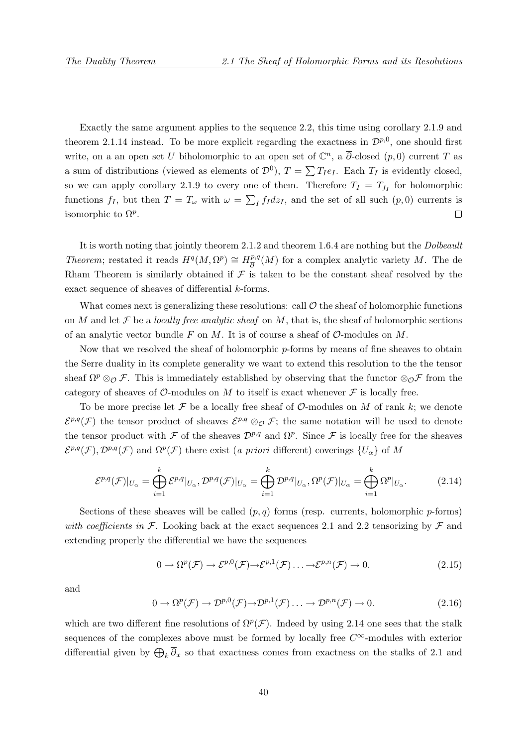Exactly the same argument applies to the sequence 2.2, this time using corollary 2.1.9 and theorem 2.1.14 instead. To be more explicit regarding the exactness in  $\mathcal{D}^{p,0}$ , one should first write, on a an open set U biholomorphic to an open set of  $\mathbb{C}^n$ , a  $\overline{\partial}$ -closed  $(p,0)$  current T as a sum of distributions (viewed as elements of  $\mathcal{D}^0$ ),  $T = \sum T_I e_I$ . Each  $T_I$  is evidently closed, so we can apply corollary 2.1.9 to every one of them. Therefore  $T_I = T_{f_I}$  for holomorphic functions  $f_I$ , but then  $T = T_\omega$  with  $\omega = \sum_I f_I dz_I$ , and the set of all such  $(p, 0)$  currents is isomorphic to  $\Omega^p$ .  $\Box$ 

It is worth noting that jointly theorem 2.1.2 and theorem 1.6.4 are nothing but the Dolbeault Theorem; restated it reads  $H^q(M, \Omega^p) \cong H^{p,q}_{\overline{p}}$  $\frac{p,q}{\partial}(M)$  for a complex analytic variety M. The de Rham Theorem is similarly obtained if  $\mathcal F$  is taken to be the constant sheaf resolved by the exact sequence of sheaves of differential k-forms.

What comes next is generalizing these resolutions: call  $\mathcal O$  the sheaf of holomorphic functions on M and let F be a locally free analytic sheaf on M, that is, the sheaf of holomorphic sections of an analytic vector bundle F on M. It is of course a sheaf of  $\mathcal{O}$ -modules on M.

Now that we resolved the sheaf of holomorphic  $p$ -forms by means of fine sheaves to obtain the Serre duality in its complete generality we want to extend this resolution to the the tensor sheaf  $\Omega^p \otimes_{\mathcal{O}} \mathcal{F}$ . This is immediately established by observing that the functor  $\otimes_{\mathcal{O}} \mathcal{F}$  from the category of sheaves of  $\mathcal{O}$ -modules on M to itself is exact whenever  $\mathcal F$  is locally free.

To be more precise let  $\mathcal F$  be a locally free sheaf of  $\mathcal O$ -modules on M of rank k; we denote  $\mathcal{E}^{p,q}(\mathcal{F})$  the tensor product of sheaves  $\mathcal{E}^{p,q} \otimes_{\mathcal{O}} \mathcal{F}$ ; the same notation will be used to denote the tensor product with F of the sheaves  $\mathcal{D}^{p,q}$  and  $\Omega^p$ . Since F is locally free for the sheaves  $\mathcal{E}^{p,q}(\mathcal{F}), \mathcal{D}^{p,q}(\mathcal{F})$  and  $\Omega^p(\mathcal{F})$  there exist (a priori different) coverings  $\{U_\alpha\}$  of M

$$
\mathcal{E}^{p,q}(\mathcal{F})|_{U_{\alpha}} = \bigoplus_{i=1}^{k} \mathcal{E}^{p,q}|_{U_{\alpha}}, \mathcal{D}^{p,q}(\mathcal{F})|_{U_{\alpha}} = \bigoplus_{i=1}^{k} \mathcal{D}^{p,q}|_{U_{\alpha}}, \Omega^{p}(\mathcal{F})|_{U_{\alpha}} = \bigoplus_{i=1}^{k} \Omega^{p}|_{U_{\alpha}}.
$$
 (2.14)

Sections of these sheaves will be called  $(p, q)$  forms (resp. currents, holomorphic p-forms) with coefficients in F. Looking back at the exact sequences 2.1 and 2.2 tensorizing by F and extending properly the differential we have the sequences

$$
0 \to \Omega^p(\mathcal{F}) \to \mathcal{E}^{p,0}(\mathcal{F}) \to \mathcal{E}^{p,1}(\mathcal{F}) \dots \to \mathcal{E}^{p,n}(\mathcal{F}) \to 0.
$$
 (2.15)

and

$$
0 \to \Omega^p(\mathcal{F}) \to \mathcal{D}^{p,0}(\mathcal{F}) \to \mathcal{D}^{p,1}(\mathcal{F}) \dots \to \mathcal{D}^{p,n}(\mathcal{F}) \to 0.
$$
 (2.16)

which are two different fine resolutions of  $\Omega^p(\mathcal{F})$ . Indeed by using 2.14 one sees that the stalk sequences of the complexes above must be formed by locally free  $C^{\infty}$ -modules with exterior differential given by  $\bigoplus_k \partial_x$  so that exactness comes from exactness on the stalks of 2.1 and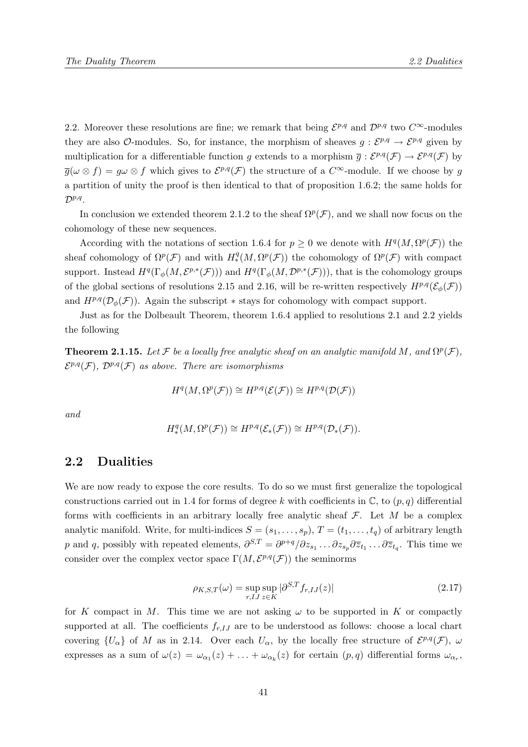2.2. Moreover these resolutions are fine; we remark that being  $\mathcal{E}^{p,q}$  and  $\mathcal{D}^{p,q}$  two  $C^{\infty}$ -modules they are also O-modules. So, for instance, the morphism of sheaves  $g: \mathcal{E}^{p,q} \to \mathcal{E}^{p,q}$  given by multiplication for a differentiable function g extends to a morphism  $\overline{g}: \mathcal{E}^{p,q}(\mathcal{F}) \to \mathcal{E}^{p,q}(\mathcal{F})$  by  $\overline{g}(\omega \otimes f) = g\omega \otimes f$  which gives to  $\mathcal{E}^{p,q}(\mathcal{F})$  the structure of a  $C^{\infty}$ -module. If we choose by g a partition of unity the proof is then identical to that of proposition 1.6.2; the same holds for  $\mathcal{D}^{p,q}$ .

In conclusion we extended theorem 2.1.2 to the sheaf  $\Omega^p(\mathcal{F})$ , and we shall now focus on the cohomology of these new sequences.

According with the notations of section 1.6.4 for  $p \geq 0$  we denote with  $H^q(M, \Omega^p(\mathcal{F}))$  the sheaf cohomology of  $\Omega^p(\mathcal{F})$  and with  $H^q_*(M, \Omega^p(\mathcal{F}))$  the cohomology of  $\Omega^p(\mathcal{F})$  with compact support. Instead  $H^q(\Gamma_\phi(M, \mathcal{E}^{p,*}(\mathcal{F})))$  and  $H^q(\Gamma_\phi(M, \mathcal{D}^{p,*}(\mathcal{F})))$ , that is the cohomology groups of the global sections of resolutions 2.15 and 2.16, will be re-written respectively  $H^{p,q}(\mathcal{E}_{\phi}(\mathcal{F}))$ and  $H^{p,q}(\mathcal{D}_{\phi}(\mathcal{F}))$ . Again the subscript  $*$  stays for cohomology with compact support.

Just as for the Dolbeault Theorem, theorem 1.6.4 applied to resolutions 2.1 and 2.2 yields the following

**Theorem 2.1.15.** Let F be a locally free analytic sheaf on an analytic manifold M, and  $\Omega^p(\mathcal{F})$ ,  $\mathcal{E}^{p,q}(\mathcal{F}), \mathcal{D}^{p,q}(\mathcal{F})$  as above. There are isomorphisms

$$
H^q(M, \Omega^p(\mathcal{F})) \cong H^{p,q}(\mathcal{E}(\mathcal{F})) \cong H^{p,q}(\mathcal{D}(\mathcal{F}))
$$

and

$$
H^q_*(M,\Omega^p(\mathcal{F}))\cong H^{p,q}(\mathcal{E}_*(\mathcal{F}))\cong H^{p,q}(\mathcal{D}_*(\mathcal{F})).
$$

## 2.2 Dualities

We are now ready to expose the core results. To do so we must first generalize the topological constructions carried out in 1.4 for forms of degree k with coefficients in  $\mathbb{C}$ , to  $(p, q)$  differential forms with coefficients in an arbitrary locally free analytic sheaf  $\mathcal F$ . Let M be a complex analytic manifold. Write, for multi-indices  $S = (s_1, \ldots, s_p)$ ,  $T = (t_1, \ldots, t_q)$  of arbitrary length p and q, possibly with repeated elements,  $\partial^{S,T} = \partial^{p+q}/\partial z_{s_1} \dots \partial z_{s_p} \partial \overline{z}_{t_1} \dots \partial \overline{z}_{t_q}$ . This time we consider over the complex vector space  $\Gamma(M, \mathcal{E}^{p,q}(\mathcal{F}))$  the seminorms

$$
\rho_{K,S,T}(\omega) = \sup_{r,J} \sup_{z \in K} |\partial^{S,T} f_{r,J}(z)| \tag{2.17}
$$

for K compact in M. This time we are not asking  $\omega$  to be supported in K or compactly supported at all. The coefficients  $f_{r,IJ}$  are to be understood as follows: choose a local chart covering  $\{U_{\alpha}\}\$  of M as in 2.14. Over each  $U_{\alpha}$ , by the locally free structure of  $\mathcal{E}^{p,q}(\mathcal{F})$ ,  $\omega$ expresses as a sum of  $\omega(z) = \omega_{\alpha_1}(z) + \ldots + \omega_{\alpha_k}(z)$  for certain  $(p, q)$  differential forms  $\omega_{\alpha_r}$ ,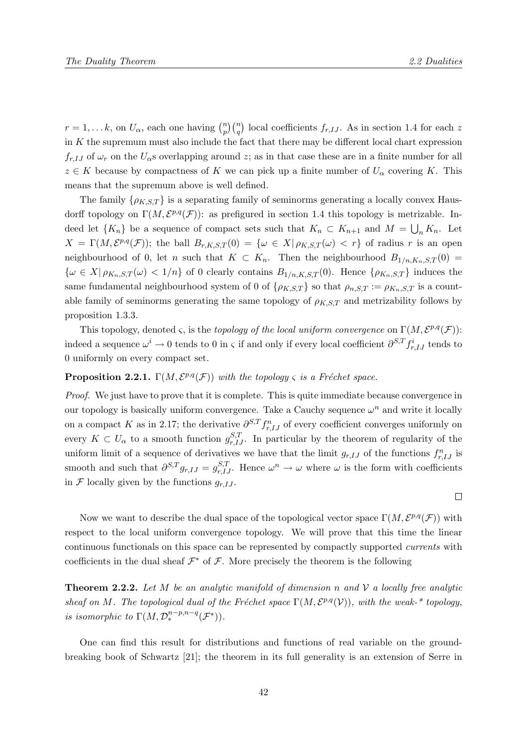$\Box$ 

 $r = 1, \dots k$ , on  $U_{\alpha}$ , each one having  $\binom{n}{n}$  $\binom{n}{p}\binom{n}{q}$  local coefficients  $f_{r,IJ}$ . As in section 1.4 for each z in  $K$  the supremum must also include the fact that there may be different local chart expression  $f_{r,IJ}$  of  $\omega_r$  on the  $U_{\alpha}$ s overlapping around z; as in that case these are in a finite number for all  $z \in K$  because by compactness of K we can pick up a finite number of  $U_{\alpha}$  covering K. This means that the supremum above is well defined.

The family  $\{\rho_{K,ST}\}\$ is a separating family of seminorms generating a locally convex Hausdorff topology on  $\Gamma(M, \mathcal{E}^{p,q}(\mathcal{F}))$ : as prefigured in section 1.4 this topology is metrizable. Indeed let  $\{K_n\}$  be a sequence of compact sets such that  $K_n \subset K_{n+1}$  and  $M = \bigcup_n K_n$ . Let  $X = \Gamma(M, \mathcal{E}^{p,q}(\mathcal{F}))$ ; the ball  $B_{r,K,S,T}(0) = \{ \omega \in X | \rho_{K,S,T}(\omega) < r \}$  of radius r is an open neighbourhood of 0, let n such that  $K \subset K_n$ . Then the neighbourhood  $B_{1/n,K_n,S,T}(0)$  ${\omega \in X \mid \rho_{K_n,S,T}(\omega) < 1/n}$  of 0 clearly contains  $B_{1/n,K,S,T}(0)$ . Hence  ${\rho_{K_n,S,T}}$  induces the same fundamental neighbourhood system of 0 of  $\{\rho_{K,S,T}\}$  so that  $\rho_{n,S,T} := \rho_{K_n,S,T}$  is a countable family of seminorms generating the same topology of  $\rho_{K,S,T}$  and metrizability follows by proposition 1.3.3.

This topology, denoted  $\varsigma$ , is the topology of the local uniform convergence on  $\Gamma(M, \mathcal{E}^{p,q}(\mathcal{F}))$ : indeed a sequence  $\omega^i \to 0$  tends to 0 in  $\varsigma$  if and only if every local coefficient  $\partial^{S,T} f^i_{r,IJ}$  tends to 0 uniformly on every compact set.

### **Proposition 2.2.1.**  $\Gamma(M, \mathcal{E}^{p,q}(\mathcal{F}))$  with the topology  $\varsigma$  is a Fréchet space.

*Proof.* We just have to prove that it is complete. This is quite immediate because convergence in our topology is basically uniform convergence. Take a Cauchy sequence  $\omega^n$  and write it locally on a compact K as in 2.17; the derivative  $\partial^{S,T} f_{r,IJ}^n$  of every coefficient converges uniformly on every  $K \subset U_\alpha$  to a smooth function  $g_{r,IJ}^{S,T}$ . In particular by the theorem of regularity of the uniform limit of a sequence of derivatives we have that the limit  $g_{r,IJ}$  of the functions  $f_{r,IJ}^n$  is smooth and such that  $\partial^{S,T} g_{r,IJ} = g_{r,IJ}^{S,T}$ . Hence  $\omega^n \to \omega$  where  $\omega$  is the form with coefficients in  $\mathcal F$  locally given by the functions  $g_{r,I,J}$ .

Now we want to describe the dual space of the topological vector space  $\Gamma(M, \mathcal{E}^{p,q}(\mathcal{F}))$  with respect to the local uniform convergence topology. We will prove that this time the linear continuous functionals on this space can be represented by compactly supported currents with coefficients in the dual sheaf  $\mathcal{F}^*$  of  $\mathcal{F}$ . More precisely the theorem is the following

**Theorem 2.2.2.** Let M be an analytic manifold of dimension n and V a locally free analytic sheaf on M. The topological dual of the Fréchet space  $\Gamma(M, \mathcal{E}^{p,q}(\mathcal{V}))$ , with the weak-\* topology, is isomorphic to  $\Gamma(M, \mathcal{D}^{n-p,n-q}_{*}(\mathcal{F}^*)).$ 

One can find this result for distributions and functions of real variable on the groundbreaking book of Schwartz [21]; the theorem in its full generality is an extension of Serre in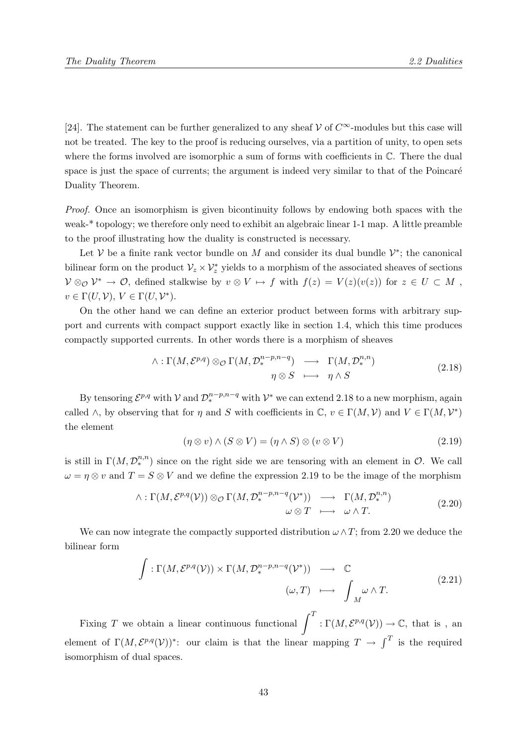[24]. The statement can be further generalized to any sheaf  $\mathcal V$  of  $C^{\infty}$ -modules but this case will not be treated. The key to the proof is reducing ourselves, via a partition of unity, to open sets where the forms involved are isomorphic a sum of forms with coefficients in  $\mathbb{C}$ . There the dual space is just the space of currents; the argument is indeed very similar to that of the Poincaré Duality Theorem.

Proof. Once an isomorphism is given bicontinuity follows by endowing both spaces with the weak-\* topology; we therefore only need to exhibit an algebraic linear 1-1 map. A little preamble to the proof illustrating how the duality is constructed is necessary.

Let V be a finite rank vector bundle on M and consider its dual bundle  $\mathcal{V}^*$ ; the canonical bilinear form on the product  $\mathcal{V}_z \times \mathcal{V}_z^*$  yields to a morphism of the associated sheaves of sections  $V \otimes_{\mathcal{O}} V^* \to \mathcal{O}$ , defined stalkwise by  $v \otimes V \mapsto f$  with  $f(z) = V(z)(v(z))$  for  $z \in U \subset M$ ,  $v \in \Gamma(U, V), V \in \Gamma(U, V^*)$ .

On the other hand we can define an exterior product between forms with arbitrary support and currents with compact support exactly like in section 1.4, which this time produces compactly supported currents. In other words there is a morphism of sheaves

$$
\wedge : \Gamma(M, \mathcal{E}^{p,q}) \otimes_{\mathcal{O}} \Gamma(M, \mathcal{D}_{*}^{n-p,n-q}) \longrightarrow \Gamma(M, \mathcal{D}_{*}^{n,n})
$$
\n
$$
\eta \otimes S \longrightarrow \eta \wedge S
$$
\n(2.18)

By tensoring  $\mathcal{E}^{p,q}$  with  $\mathcal{V}$  and  $\mathcal{D}^{n-p,n-q}_{*}$  with  $\mathcal{V}^{*}$  we can extend 2.18 to a new morphism, again called  $\wedge$ , by observing that for  $\eta$  and S with coefficients in  $\mathbb{C}, v \in \Gamma(M, \mathcal{V})$  and  $V \in \Gamma(M, \mathcal{V}^*)$ the element

$$
(\eta \otimes v) \wedge (S \otimes V) = (\eta \wedge S) \otimes (v \otimes V) \tag{2.19}
$$

is still in  $\Gamma(M, \mathcal{D}_{*}^{n,n})$  since on the right side we are tensoring with an element in  $\mathcal{O}$ . We call  $\omega = \eta \otimes v$  and  $T = S \otimes V$  and we define the expression 2.19 to be the image of the morphism

$$
\wedge : \Gamma(M, \mathcal{E}^{p,q}(\mathcal{V})) \otimes_{\mathcal{O}} \Gamma(M, \mathcal{D}_{*}^{n-p,n-q}(\mathcal{V}^{*})) \longrightarrow \Gamma(M, \mathcal{D}_{*}^{n,n})
$$
  

$$
\omega \otimes T \longmapsto \omega \wedge T.
$$
 (2.20)

We can now integrate the compactly supported distribution  $\omega \wedge T$ ; from 2.20 we deduce the bilinear form

$$
\int : \Gamma(M, \mathcal{E}^{p,q}(\mathcal{V})) \times \Gamma(M, \mathcal{D}_*^{n-p, n-q}(\mathcal{V}^*)) \longrightarrow \mathbb{C}
$$
\n
$$
(\omega, T) \longmapsto \int_M \omega \wedge T.
$$
\n(2.21)

Fixing T we obtain a linear continuous functional  $\int_0^T : \Gamma(M, \mathcal{E}^{p,q}(\mathcal{V})) \to \mathbb{C}$ , that is, an element of  $\Gamma(M, \mathcal{E}^{p,q}(\mathcal{V}))^*$ : our claim is that the linear mapping  $T \to \int^T$  is the required isomorphism of dual spaces.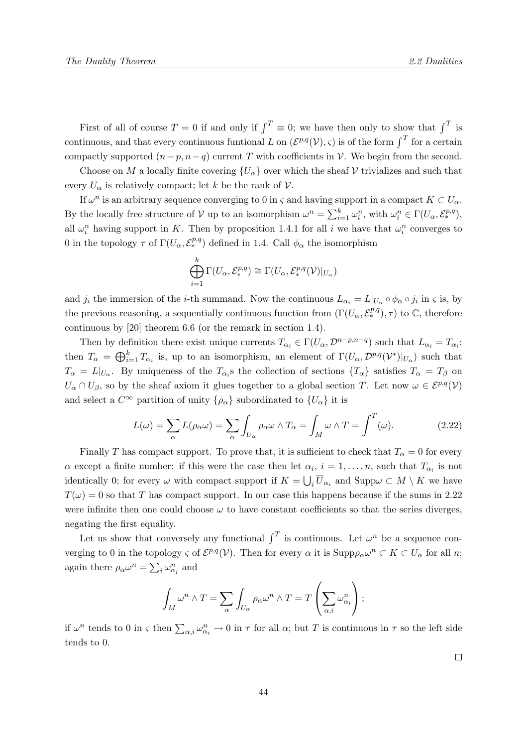First of all of course  $T = 0$  if and only if  $\int_0^T u f(x)$  is then only to show that  $\int_0^T u f(x)$ continuous, and that every continuous funtional L on  $(\mathcal{E}^{p,q}(\mathcal{V}), \varsigma)$  is of the form  $\int^T$  for a certain compactly supported  $(n-p, n-q)$  current T with coefficients in V. We begin from the second.

Choose on M a locally finite covering  $\{U_{\alpha}\}\$  over which the sheaf V trivializes and such that every  $U_{\alpha}$  is relatively compact; let k be the rank of V.

If  $\omega^n$  is an arbitrary sequence converging to 0 in  $\varsigma$  and having support in a compact  $K \subset U_\alpha$ . By the locally free structure of V up to an isomorphism  $\omega^n = \sum_{i=1}^k \omega_i^n$ , with  $\omega_i^n \in \Gamma(U_\alpha, \mathcal{E}_*^{p,q})$ , all  $\omega_i^n$  having support in K. Then by proposition 1.4.1 for all i we have that  $\omega_i^n$  converges to 0 in the topology  $\tau$  of  $\Gamma(U_{\alpha}, \mathcal{E}_{*}^{p,q})$  defined in 1.4. Call  $\phi_{\alpha}$  the isomorphism

$$
\bigoplus_{i=1}^k \Gamma(U_\alpha, \mathcal{E}^{p,q}_*) \cong \Gamma(U_\alpha, \mathcal{E}^{p,q}_*(\mathcal{V})|_{U_\alpha})
$$

and  $j_i$  the immersion of the *i*-th summand. Now the continuous  $L_{\alpha_i} = L|_{U_{\alpha}} \circ \phi_{\alpha} \circ j_i$  in  $\varsigma$  is, by the previous reasoning, a sequentially continuous function from  $(\Gamma(U_\alpha, \mathcal{E}^{p,q}_*), \tau)$  to  $\mathbb{C}$ , therefore continuous by [20] theorem 6.6 (or the remark in section 1.4).

Then by definition there exist unique currents  $T_{\alpha_i} \in \Gamma(U_\alpha, \mathcal{D}^{n-p,n-q})$  such that  $L_{\alpha_i} = T_{\alpha_i}$ ; then  $T_{\alpha} = \bigoplus_{i=1}^{k} T_{\alpha_i}$  is, up to an isomorphism, an element of  $\Gamma(U_{\alpha}, \mathcal{D}^{p,q}(\mathcal{V}^*)|_{U_{\alpha}})$  such that  $T_{\alpha} = L|_{U_{\alpha}}$ . By uniqueness of the  $T_{\alpha_i}$ s the collection of sections  $\{T_{\alpha}\}\$  satisfies  $T_{\alpha} = T_{\beta}$  on  $U_{\alpha} \cap U_{\beta}$ , so by the sheaf axiom it glues together to a global section T. Let now  $\omega \in \mathcal{E}^{p,q}(\mathcal{V})$ and select a  $C^{\infty}$  partition of unity  $\{\rho_{\alpha}\}\$  subordinated to  $\{U_{\alpha}\}\$ it is

$$
L(\omega) = \sum_{\alpha} L(\rho_{\alpha}\omega) = \sum_{\alpha} \int_{U_{\alpha}} \rho_{\alpha}\omega \wedge T_{\alpha} = \int_{M} \omega \wedge T = \int_{-\infty}^{T} (\omega). \tag{2.22}
$$

Finally T has compact support. To prove that, it is sufficient to check that  $T_{\alpha} = 0$  for every  $\alpha$  except a finite number: if this were the case then let  $\alpha_i$ ,  $i = 1, \ldots, n$ , such that  $T_{\alpha_i}$  is not identically 0; for every  $\omega$  with compact support if  $K = \bigcup_i \overline{U}_{\alpha_i}$  and  $\text{Supp}\omega \subset M \setminus K$  we have  $T(\omega) = 0$  so that T has compact support. In our case this happens because if the sums in 2.22 were infinite then one could choose  $\omega$  to have constant coefficients so that the series diverges. negating the first equality.

Let us show that conversely any functional  $\int^T$  is continuous. Let  $\omega^n$  be a sequence converging to 0 in the topology  $\varsigma$  of  $\mathcal{E}^{p,q}(\mathcal{V})$ . Then for every  $\alpha$  it is  $\text{Supp}\rho_{\alpha}\omega^n \subset K \subset U_{\alpha}$  for all n; again there  $\rho_{\alpha} \omega^n = \sum_i \omega_{\alpha_i}^n$  and

$$
\int_M \omega^n \wedge T = \sum_{\alpha} \int_{U_{\alpha}} \rho_{\alpha} \omega^n \wedge T = T \left( \sum_{\alpha, i} \omega_{\alpha_i}^n \right);
$$

if  $\omega^n$  tends to 0 in  $\varsigma$  then  $\sum_{\alpha,i}\omega_{\alpha_i}^n\to 0$  in  $\tau$  for all  $\alpha$ ; but T is continuous in  $\tau$  so the left side tends to 0.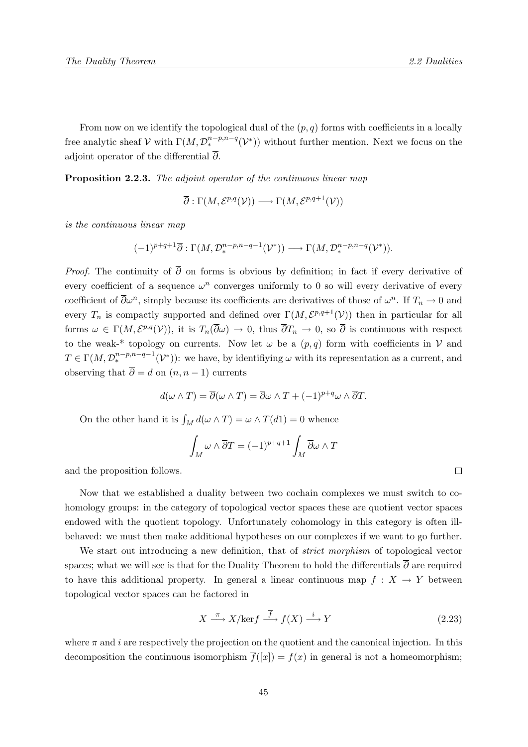From now on we identify the topological dual of the  $(p, q)$  forms with coefficients in a locally free analytic sheaf  $V$  with  $\Gamma(M, \mathcal{D}_{*}^{n-p,n-q}(\mathcal{V}_{*}))$  without further mention. Next we focus on the adjoint operator of the differential  $\overline{\partial}$ .

Proposition 2.2.3. The adjoint operator of the continuous linear map

 $\overline{\partial} : \Gamma(M, \mathcal{E}^{p,q}(\mathcal{V})) \longrightarrow \Gamma(M, \mathcal{E}^{p,q+1}(\mathcal{V}))$ 

is the continuous linear map

$$
(-1)^{p+q+1}\overline{\partial}:\Gamma(M,\mathcal{D}^{n-p,n-q-1}_{\ast}(\mathcal{V}^{\ast}))\longrightarrow \Gamma(M,\mathcal{D}^{n-p,n-q}_{\ast}(\mathcal{V}^{\ast})).
$$

*Proof.* The continuity of  $\overline{\partial}$  on forms is obvious by definition; in fact if every derivative of every coefficient of a sequence  $\omega^n$  converges uniformly to 0 so will every derivative of every coefficient of  $\overline{\partial}\omega^n$ , simply because its coefficients are derivatives of those of  $\omega^n$ . If  $T_n \to 0$  and every  $T_n$  is compactly supported and defined over  $\Gamma(M, \mathcal{E}^{p,q+1}(\mathcal{V}))$  then in particular for all forms  $\omega \in \Gamma(M, \mathcal{E}^{p,q}(\mathcal{V}))$ , it is  $T_n(\overline{\partial}\omega) \to 0$ , thus  $\overline{\partial} T_n \to 0$ , so  $\overline{\partial}$  is continuous with respect to the weak-\* topology on currents. Now let  $\omega$  be a  $(p, q)$  form with coefficients in V and  $T \in \Gamma(M, \mathcal{D}_{*}^{n-p,n-q-1}(\mathcal{V}_{*}))$ : we have, by identifiying  $\omega$  with its representation as a current, and observing that  $\overline{\partial} = d$  on  $(n, n - 1)$  currents

$$
d(\omega \wedge T) = \overline{\partial}(\omega \wedge T) = \overline{\partial}\omega \wedge T + (-1)^{p+q} \omega \wedge \overline{\partial}T.
$$

On the other hand it is  $\int_M d(\omega \wedge T) = \omega \wedge T(d1) = 0$  whence

$$
\int_M \omega \wedge \overline{\partial} T = (-1)^{p+q+1} \int_M \overline{\partial} \omega \wedge T
$$

and the proposition follows.

Now that we established a duality between two cochain complexes we must switch to cohomology groups: in the category of topological vector spaces these are quotient vector spaces endowed with the quotient topology. Unfortunately cohomology in this category is often illbehaved: we must then make additional hypotheses on our complexes if we want to go further.

We start out introducing a new definition, that of *strict morphism* of topological vector spaces; what we will see is that for the Duality Theorem to hold the differentials  $\overline{\partial}$  are required to have this additional property. In general a linear continuous map  $f: X \to Y$  between topological vector spaces can be factored in

$$
X \xrightarrow{\pi} X/\text{ker} f \xrightarrow{\overline{f}} f(X) \xrightarrow{i} Y
$$
 (2.23)

where  $\pi$  and i are respectively the projection on the quotient and the canonical injection. In this decomposition the continuous isomorphism  $\overline{f}([x]) = f(x)$  in general is not a homeomorphism;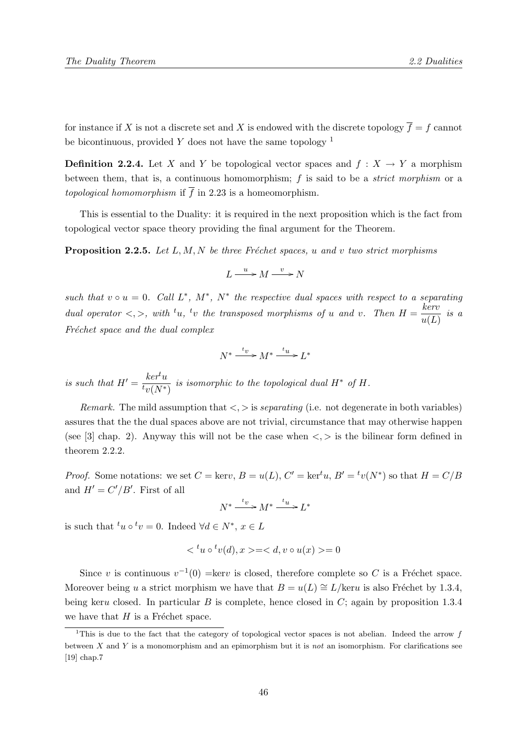for instance if X is not a discrete set and X is endowed with the discrete topology  $\overline{f} = f$  cannot be bicontinuous, provided  $Y$  does not have the same topology  $1$ 

**Definition 2.2.4.** Let X and Y be topological vector spaces and  $f: X \to Y$  a morphism between them, that is, a continuous homomorphism;  $f$  is said to be a *strict morphism* or a topological homomorphism if  $\overline{f}$  in 2.23 is a homeomorphism.

This is essential to the Duality: it is required in the next proposition which is the fact from topological vector space theory providing the final argument for the Theorem.

**Proposition 2.2.5.** Let L, M, N be three Fréchet spaces, u and v two strict morphisms

$$
L \xrightarrow{u} M \xrightarrow{v} N
$$

such that  $v \circ u = 0$ . Call  $L^*$ ,  $M^*$ ,  $N^*$  the respective dual spaces with respect to a separating dual operator  $\langle , \rangle$ , with  $u, v$  the transposed morphisms of u and v. Then  $H = \frac{keru}{\langle f, \rangle}$  $\frac{u}{u(L)}$  is a Fréchet space and the dual complex

$$
N^* \xrightarrow{t_v} M^* \xrightarrow{t_u} L^*
$$

is such that  $H' = \frac{ker^t u}{\sqrt{Nt}}$  $\frac{\kappa e\mu}{\hbar v(N^*)}$  is isomorphic to the topological dual  $H^*$  of  $H$ .

*Remark.* The mild assumption that  $\langle \cdot, \cdot \rangle$  is *separating* (i.e. not degenerate in both variables) assures that the the dual spaces above are not trivial, circumstance that may otherwise happen (see [3] chap. 2). Anyway this will not be the case when  $\langle \cdot, \cdot \rangle$  is the bilinear form defined in theorem 2.2.2.

*Proof.* Some notations: we set  $C = \text{ker}v$ ,  $B = u(L)$ ,  $C' = \text{ker}^t u$ ,  $B' = {}^t v(N^*)$  so that  $H = C/B$ and  $H' = C'/B'$ . First of all

$$
N^* \xrightarrow{t_v} M^* \xrightarrow{t_u} L^*
$$

is such that  $^t u \circ ^t v = 0$ . Indeed  $\forall d \in N^*$ ,  $x \in L$ 

$$
\langle u \circ u^t v(d), x \rangle = \langle d, v \circ u(x) \rangle = 0
$$

Since v is continuous  $v^{-1}(0) = \text{ker}v$  is closed, therefore complete so C is a Fréchet space. Moreover being u a strict morphism we have that  $B = u(L) \cong L/\text{ker}u$  is also Fréchet by 1.3.4, being keru closed. In particular B is complete, hence closed in  $C$ ; again by proposition 1.3.4 we have that  $H$  is a Fréchet space.

<sup>&</sup>lt;sup>1</sup>This is due to the fact that the category of topological vector spaces is not abelian. Indeed the arrow  $f$ between  $X$  and  $Y$  is a monomorphism and an epimorphism but it is not an isomorphism. For clarifications see [19] chap.7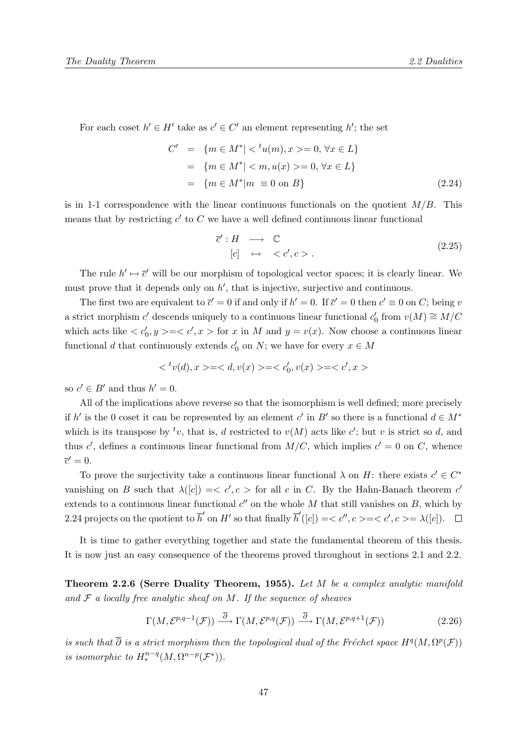For each coset  $h' \in H'$  take as  $c' \in C'$  an element representing h'; the set

$$
C' = \{m \in M^*| < {}^t u(m), x > = 0, \forall x \in L\}
$$
  
=  $\{m \in M^*| < m, u(x) > = 0, \forall x \in L\}$   
=  $\{m \in M^*| m \equiv 0 \text{ on } B\}$  (2.24)

is in 1-1 correspondence with the linear continuous functionals on the quotient  $M/B$ . This means that by restricting  $c'$  to  $C$  we have a well defined continuous linear functional

$$
\overline{c}' : H \longrightarrow \mathbb{C}
$$
  
[c]  $\mapsto \langle c', c \rangle$ . (2.25)

The rule  $h' \mapsto \bar{c}'$  will be our morphism of topological vector spaces; it is clearly linear. We must prove that it depends only on  $h'$ , that is injective, surjective and continuous.

The first two are equivalent to  $\bar{c}' = 0$  if and only if  $h' = 0$ . If  $\bar{c}' = 0$  then  $c' \equiv 0$  on C; being v a strict morphism  $c'$  descends uniquely to a continuous linear functional  $c'_0$  from  $v(M) \cong M/C$ which acts like  $\langle c'_0, y \rangle = \langle c', x \rangle$  for x in M and  $y = v(x)$ . Now choose a continuous linear functional d that continuously extends  $c'_0$  on  $N$ ; we have for every  $x \in M$ 

$$
\langle v'(d), x \rangle = \langle d, v(x) \rangle = \langle c'_0, v(x) \rangle = \langle c', x \rangle
$$

so  $c' \in B'$  and thus  $h' = 0$ .

All of the implications above reverse so that the isomorphism is well defined; more precisely if h' is the 0 coset it can be represented by an element c' in B' so there is a functional  $d \in M^*$ which is its transpose by  $^t v$ , that is, d restricted to  $v(M)$  acts like c'; but v is strict so d, and thus c', defines a continuous linear functional from  $M/C$ , which implies  $c' = 0$  on C, whence  $\overline{c}'=0.$ 

To prove the surjectivity take a continuous linear functional  $\lambda$  on H: there exists  $c' \in C^*$ vanishing on B such that  $\lambda([c]) = \langle c', c \rangle$  for all c in C. By the Hahn-Banach theorem c' extends to a continuous linear functional  $c''$  on the whole M that still vanishes on B, which by 2.24 projects on the quotient to  $\overline{h}'$  on  $H'$  so that finally  $\overline{h}'([c]) = \langle c'', c \rangle = \langle c', c \rangle = \lambda([c])$ .

It is time to gather everything together and state the fundamental theorem of this thesis. It is now just an easy consequence of the theorems proved throughout in sections 2.1 and 2.2.

Theorem 2.2.6 (Serre Duality Theorem, 1955). Let M be a complex analytic manifold and  $F$  a locally free analytic sheaf on  $M$ . If the sequence of sheaves

$$
\Gamma(M, \mathcal{E}^{p,q-1}(\mathcal{F})) \xrightarrow{\overline{\partial}} \Gamma(M, \mathcal{E}^{p,q}(\mathcal{F})) \xrightarrow{\overline{\partial}} \Gamma(M, \mathcal{E}^{p,q+1}(\mathcal{F}))
$$
\n(2.26)

is such that  $\overline{\partial}$  is a strict morphism then the topological dual of the Fréchet space  $H^q(M, \Omega^p(\mathcal{F}))$ is isomorphic to  $H^{n-q}_*(M, \Omega^{n-p}(\mathcal{F}^*))$ .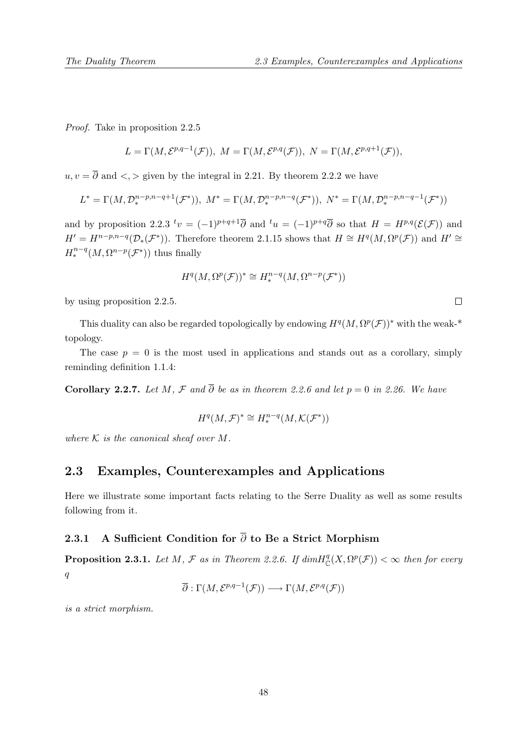Proof. Take in proposition 2.2.5

$$
L=\Gamma(M,\mathcal{E}^{p,q-1}(\mathcal{F})),\;M=\Gamma(M,\mathcal{E}^{p,q}(\mathcal{F})),\;N=\Gamma(M,\mathcal{E}^{p,q+1}(\mathcal{F})),
$$

 $u, v = \overline{\partial}$  and  $\langle v, \rangle$  given by the integral in 2.21. By theorem 2.2.2 we have

$$
L^* = \Gamma(M, \mathcal{D}_*^{n-p, n-q+1}(\mathcal{F}^*)), \ M^* = \Gamma(M, \mathcal{D}_*^{n-p, n-q}(\mathcal{F}^*)), \ N^* = \Gamma(M, \mathcal{D}_*^{n-p, n-q-1}(\mathcal{F}^*))
$$

and by proposition 2.2.3  $t_v = (-1)^{p+q+1} \overline{\partial}$  and  $t_u = (-1)^{p+q} \overline{\partial}$  so that  $H = H^{p,q}(\mathcal{E}(\mathcal{F}))$  and  $H' = H^{n-p,n-q}(\mathcal{D}_*(\mathcal{F}^*))$ . Therefore theorem 2.1.15 shows that  $H \cong H^q(M,\Omega^p(\mathcal{F}))$  and  $H' \cong$  $H^{n-q}_*(M, \Omega^{n-p}(\mathcal{F}^*))$  thus finally

$$
H^q(M, \Omega^p(\mathcal{F}))^* \cong H^{n-q}_*(M, \Omega^{n-p}(\mathcal{F}^*))
$$

by using proposition 2.2.5.

This duality can also be regarded topologically by endowing  $H^q(M, \Omega^p(\mathcal{F}))^*$  with the weak-\* topology.

The case  $p = 0$  is the most used in applications and stands out as a corollary, simply reminding definition 1.1.4:

Corollary 2.2.7. Let M, F and  $\overline{\partial}$  be as in theorem 2.2.6 and let  $p = 0$  in 2.26. We have

$$
H^q(M,\mathcal{F})^*\cong H^{n-q}_*(M,\mathcal{K}(\mathcal{F}^*))
$$

where  $K$  is the canonical sheaf over  $M$ .

## 2.3 Examples, Counterexamples and Applications

Here we illustrate some important facts relating to the Serre Duality as well as some results following from it.

## 2.3.1 A Sufficient Condition for  $\overline{\partial}$  to Be a Strict Morphism

**Proposition 2.3.1.** Let M, F as in Theorem 2.2.6. If  $dim H^q_{\mathbb{C}}(X, \Omega^p(\mathcal{F})) < \infty$  then for every  $q$ 

$$
\overline{\partial}:\Gamma(M,\mathcal{E}^{p,q-1}(\mathcal{F}))\longrightarrow \Gamma(M,\mathcal{E}^{p,q}(\mathcal{F}))
$$

is a strict morphism.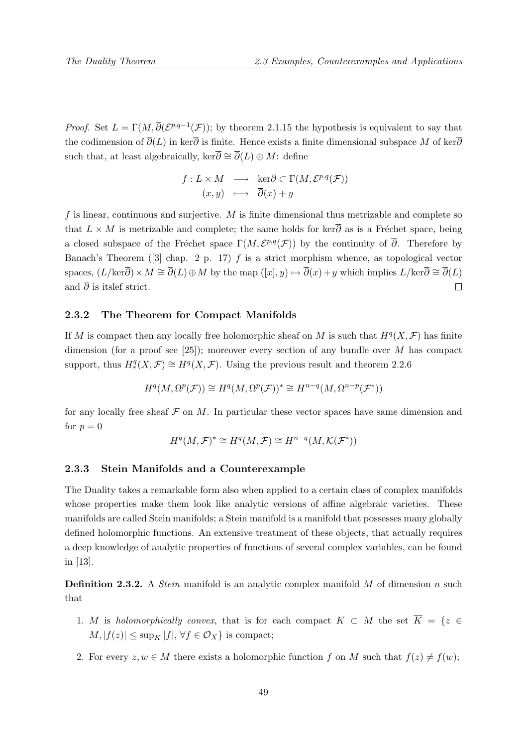*Proof.* Set  $L = \Gamma(M, \overline{\partial}(\mathcal{E}^{p,q-1}(\mathcal{F}))$ ; by theorem 2.1.15 the hypothesis is equivalent to say that the codimension of  $\overline{\partial}(L)$  in ker $\overline{\partial}$  is finite. Hence exists a finite dimensional subspace M of ker $\overline{\partial}$ such that, at least algebraically, ker $\overline{\partial} \cong \overline{\partial}(L) \oplus M$ : define

$$
f: L \times M \longrightarrow \ker \overline{\partial} \subset \Gamma(M, \mathcal{E}^{p,q}(\mathcal{F}))
$$

$$
(x, y) \longrightarrow \overline{\partial}(x) + y
$$

f is linear, continuous and surjective.  $M$  is finite dimensional thus metrizable and complete so that  $L \times M$  is metrizable and complete; the same holds for ker $\overline{\partial}$  as is a Fréchet space, being a closed subspace of the Fréchet space  $\Gamma(M, \mathcal{E}^{p,q}(\mathcal{F}))$  by the continuity of  $\overline{\partial}$ . Therefore by Banach's Theorem ([3] chap. 2 p. 17)  $f$  is a strict morphism whence, as topological vector spaces,  $(L/\text{ker}\overline{\partial})\times M \cong \overline{\partial}(L)\oplus M$  by the map  $([x], y) \mapsto \overline{\partial}(x)+y$  which implies  $L/\text{ker}\overline{\partial} \cong \overline{\partial}(L)$ and  $\overline{\partial}$  is itslef strict.  $\Box$ 

#### 2.3.2 The Theorem for Compact Manifolds

If M is compact then any locally free holomorphic sheaf on M is such that  $H^q(X, \mathcal{F})$  has finite dimension (for a proof see [25]); moreover every section of any bundle over  $M$  has compact support, thus  $H^q_*(X,\mathcal{F}) \cong H^q(X,\mathcal{F})$ . Using the previous result and theorem 2.2.6

$$
H^q(M, \Omega^p(\mathcal{F})) \cong H^q(M, \Omega^p(\mathcal{F}))^* \cong H^{n-q}(M, \Omega^{n-p}(\mathcal{F}^*))
$$

for any locally free sheaf  $\mathcal F$  on  $M$ . In particular these vector spaces have same dimension and for  $p = 0$ 

$$
H^q(M, \mathcal{F})^* \cong H^q(M, \mathcal{F}) \cong H^{n-q}(M, \mathcal{K}(\mathcal{F}^*))
$$

## 2.3.3 Stein Manifolds and a Counterexample

The Duality takes a remarkable form also when applied to a certain class of complex manifolds whose properties make them look like analytic versions of affine algebraic varieties. These manifolds are called Stein manifolds; a Stein manifold is a manifold that possesses many globally defined holomorphic functions. An extensive treatment of these objects, that actually requires a deep knowledge of analytic properties of functions of several complex variables, can be found in [13].

**Definition 2.3.2.** A *Stein* manifold is an analytic complex manifold M of dimension n such that

- 1. M is holomorphically convex, that is for each compact  $K \subset M$  the set  $\overline{K} = \{z \in$  $M, |f(z)| \leq \sup_K |f|, \forall f \in \mathcal{O}_X$  is compact;
- 2. For every  $z, w \in M$  there exists a holomorphic function f on M such that  $f(z) \neq f(w)$ ;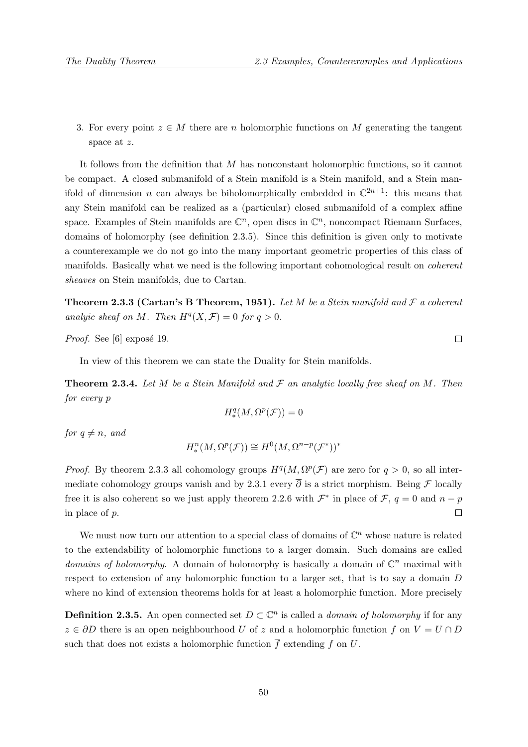3. For every point  $z \in M$  there are n holomorphic functions on M generating the tangent space at z.

It follows from the definition that M has nonconstant holomorphic functions, so it cannot be compact. A closed submanifold of a Stein manifold is a Stein manifold, and a Stein manifold of dimension *n* can always be biholomorphically embedded in  $\mathbb{C}^{2n+1}$ : this means that any Stein manifold can be realized as a (particular) closed submanifold of a complex affine space. Examples of Stein manifolds are  $\mathbb{C}^n$ , open discs in  $\mathbb{C}^n$ , noncompact Riemann Surfaces, domains of holomorphy (see definition 2.3.5). Since this definition is given only to motivate a counterexample we do not go into the many important geometric properties of this class of manifolds. Basically what we need is the following important cohomological result on *coherent* sheaves on Stein manifolds, due to Cartan.

**Theorem 2.3.3 (Cartan's B Theorem, 1951).** Let M be a Stein manifold and  $\mathcal F$  a coherent analyic sheaf on M. Then  $H^q(X, \mathcal{F}) = 0$  for  $q > 0$ .

*Proof.* See [6] exposé 19.

In view of this theorem we can state the Duality for Stein manifolds.

**Theorem 2.3.4.** Let M be a Stein Manifold and  $\mathcal F$  an analytic locally free sheaf on M. Then for every p

$$
H^q_*(M,\Omega^p(\mathcal{F}))=0
$$

for  $a \neq n$ , and

$$
H_*^n(M, \Omega^p(\mathcal{F})) \cong H^0(M, \Omega^{n-p}(\mathcal{F}^*))^*
$$

*Proof.* By theorem 2.3.3 all cohomology groups  $H^q(M, \Omega^p(\mathcal{F})$  are zero for  $q > 0$ , so all intermediate cohomology groups vanish and by 2.3.1 every  $\overline{\partial}$  is a strict morphism. Being  $\mathcal F$  locally free it is also coherent so we just apply theorem 2.2.6 with  $\mathcal{F}^*$  in place of  $\mathcal{F}, q = 0$  and  $n - p$ in place of p.  $\Box$ 

We must now turn our attention to a special class of domains of  $\mathbb{C}^n$  whose nature is related to the extendability of holomorphic functions to a larger domain. Such domains are called domains of holomorphy. A domain of holomorphy is basically a domain of  $\mathbb{C}^n$  maximal with respect to extension of any holomorphic function to a larger set, that is to say a domain D where no kind of extension theorems holds for at least a holomorphic function. More precisely

**Definition 2.3.5.** An open connected set  $D \subset \mathbb{C}^n$  is called a *domain of holomorphy* if for any  $z \in \partial D$  there is an open neighbourhood U of z and a holomorphic function f on  $V = U \cap D$ such that does not exists a holomorphic function  $\overline{f}$  extending f on U.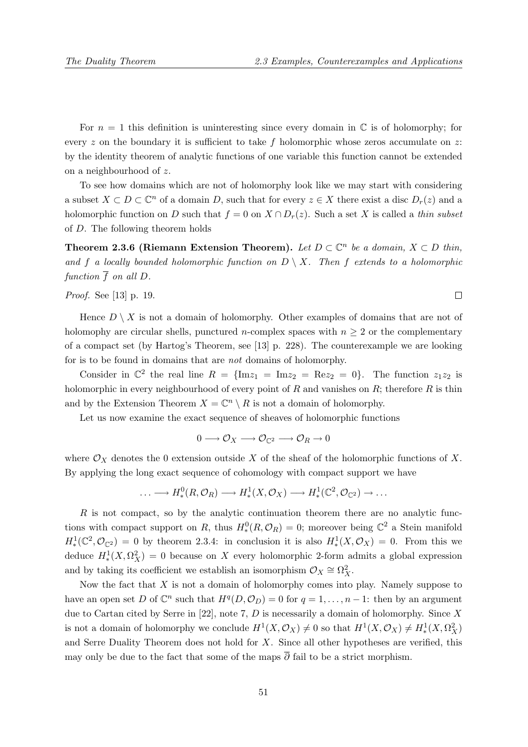For  $n = 1$  this definition is uninteresting since every domain in  $\mathbb C$  is of holomorphy; for every  $z$  on the boundary it is sufficient to take  $f$  holomorphic whose zeros accumulate on  $z$ : by the identity theorem of analytic functions of one variable this function cannot be extended on a neighbourhood of z.

To see how domains which are not of holomorphy look like we may start with considering a subset  $X \subset D \subset \mathbb{C}^n$  of a domain D, such that for every  $z \in X$  there exist a disc  $D_r(z)$  and a holomorphic function on D such that  $f = 0$  on  $X \cap D_r(z)$ . Such a set X is called a thin subset of D. The following theorem holds

Theorem 2.3.6 (Riemann Extension Theorem). Let  $D \subset \mathbb{C}^n$  be a domain,  $X \subset D$  thin, and f a locally bounded holomorphic function on  $D \setminus X$ . Then f extends to a holomorphic function  $\overline{f}$  on all D.

#### Proof. See [13] p. 19.

Hence  $D \setminus X$  is not a domain of holomorphy. Other examples of domains that are not of holomophy are circular shells, punctured *n*-complex spaces with  $n \geq 2$  or the complementary of a compact set (by Hartog's Theorem, see [13] p. 228). The counterexample we are looking for is to be found in domains that are not domains of holomorphy.

Consider in  $\mathbb{C}^2$  the real line  $R = \{ \text{Im} z_1 = \text{Im} z_2 = \text{Re} z_2 = 0 \}$ . The function  $z_1 z_2$  is holomorphic in every neighbourhood of every point of  $R$  and vanishes on  $R$ ; therefore  $R$  is thin and by the Extension Theorem  $X = \mathbb{C}^n \setminus R$  is not a domain of holomorphy.

Let us now examine the exact sequence of sheaves of holomorphic functions

$$
0\longrightarrow \mathcal{O}_X\longrightarrow \mathcal{O}_{\mathbb{C}^2}\longrightarrow \mathcal{O}_R\rightarrow 0
$$

where  $\mathcal{O}_X$  denotes the 0 extension outside X of the sheaf of the holomorphic functions of X. By applying the long exact sequence of cohomology with compact support we have

$$
\ldots \longrightarrow H^0_*(R,\mathcal{O}_R) \longrightarrow H^1_*(X,\mathcal{O}_X) \longrightarrow H^1_*(\mathbb{C}^2,\mathcal{O}_{\mathbb{C}^2}) \longrightarrow \ldots
$$

 $R$  is not compact, so by the analytic continuation theorem there are no analytic functions with compact support on R, thus  $H^0_*(R,\mathcal{O}_R) = 0$ ; moreover being  $\mathbb{C}^2$  a Stein manifold  $H^1_*(\mathbb{C}^2,\mathcal{O}_{\mathbb{C}^2}) = 0$  by theorem 2.3.4: in conclusion it is also  $H^1_*(X,\mathcal{O}_X) = 0$ . From this we deduce  $H^1_*(X,\Omega_X^2) = 0$  because on X every holomorphic 2-form admits a global expression and by taking its coefficient we establish an isomorphism  $\mathcal{O}_X \cong \Omega_X^2$ .

Now the fact that  $X$  is not a domain of holomorphy comes into play. Namely suppose to have an open set D of  $\mathbb{C}^n$  such that  $H^q(D, \mathcal{O}_D) = 0$  for  $q = 1, \ldots, n-1$ : then by an argument due to Cartan cited by Serre in [22], note 7,  $D$  is necessarily a domain of holomorphy. Since  $X$ is not a domain of holomorphy we conclude  $H^1(X, \mathcal{O}_X) \neq 0$  so that  $H^1(X, \mathcal{O}_X) \neq H^1_*(X, \Omega_X^2)$ and Serre Duality Theorem does not hold for  $X$ . Since all other hypotheses are verified, this may only be due to the fact that some of the maps  $\overline{\partial}$  fail to be a strict morphism.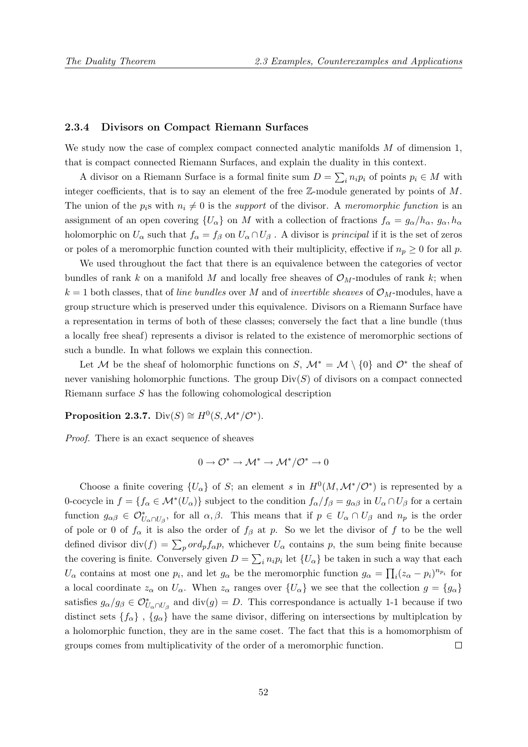#### 2.3.4 Divisors on Compact Riemann Surfaces

We study now the case of complex compact connected analytic manifolds M of dimension 1, that is compact connected Riemann Surfaces, and explain the duality in this context.

A divisor on a Riemann Surface is a formal finite sum  $D = \sum_i n_i p_i$  of points  $p_i \in M$  with integer coefficients, that is to say an element of the free Z-module generated by points of M. The union of the  $p_i$ s with  $n_i \neq 0$  is the support of the divisor. A meromorphic function is an assignment of an open covering  $\{U_{\alpha}\}\$  on M with a collection of fractions  $f_{\alpha} = g_{\alpha}/h_{\alpha}, g_{\alpha}, h_{\alpha}$ holomorphic on  $U_{\alpha}$  such that  $f_{\alpha} = f_{\beta}$  on  $U_{\alpha} \cap U_{\beta}$ . A divisor is *principal* if it is the set of zeros or poles of a meromorphic function counted with their multiplicity, effective if  $n_p \geq 0$  for all p.

We used throughout the fact that there is an equivalence between the categories of vector bundles of rank k on a manifold M and locally free sheaves of  $\mathcal{O}_M$ -modules of rank k; when  $k = 1$  both classes, that of line bundles over M and of invertible sheaves of  $\mathcal{O}_M$ -modules, have a group structure which is preserved under this equivalence. Divisors on a Riemann Surface have a representation in terms of both of these classes; conversely the fact that a line bundle (thus a locally free sheaf) represents a divisor is related to the existence of meromorphic sections of such a bundle. In what follows we explain this connection.

Let M be the sheaf of holomorphic functions on S,  $\mathcal{M}^* = \mathcal{M} \setminus \{0\}$  and  $\mathcal{O}^*$  the sheaf of never vanishing holomorphic functions. The group  $Div(S)$  of divisors on a compact connected Riemann surface S has the following cohomological description

## Proposition 2.3.7. Div $(S) \cong H^0(S, \mathcal{M}^*/\mathcal{O}^*)$ .

Proof. There is an exact sequence of sheaves

$$
0 \to \mathcal{O}^* \to \mathcal{M}^* \to \mathcal{M}^*/\mathcal{O}^* \to 0
$$

Choose a finite covering  $\{U_{\alpha}\}\$  of S; an element s in  $H^0(M, \mathcal{M}^*/\mathcal{O}^*)$  is represented by a 0-cocycle in  $f = \{f_{\alpha} \in \mathcal{M}^*(U_{\alpha})\}$  subject to the condition  $f_{\alpha}/f_{\beta} = g_{\alpha\beta}$  in  $U_{\alpha} \cap U_{\beta}$  for a certain function  $g_{\alpha\beta} \in \mathcal{O}_{U_{\alpha} \cap U_{\beta}}^*$ , for all  $\alpha, \beta$ . This means that if  $p \in U_{\alpha} \cap U_{\beta}$  and  $n_p$  is the order of pole or 0 of  $f_{\alpha}$  it is also the order of  $f_{\beta}$  at p. So we let the divisor of f to be the well defined divisor div(f) =  $\sum_{p} ord_{p}f_{\alpha}p$ , whichever  $U_{\alpha}$  contains p, the sum being finite because the covering is finite. Conversely given  $D = \sum_i n_i p_i$  let  $\{U_\alpha\}$  be taken in such a way that each  $U_{\alpha}$  contains at most one  $p_i$ , and let  $g_{\alpha}$  be the meromorphic function  $g_{\alpha} = \prod_i (z_{\alpha} - p_i)^{n_{p_i}}$  for a local coordinate  $z_\alpha$  on  $U_\alpha$ . When  $z_\alpha$  ranges over  $\{U_\alpha\}$  we see that the collection  $g = \{g_\alpha\}$ satisfies  $g_{\alpha}/g_{\beta} \in \mathcal{O}_{U_{\alpha} \cap U_{\beta}}^{*}$  and  $\text{div}(g) = D$ . This correspondance is actually 1-1 because if two distinct sets  ${f_{\alpha}}$ ,  ${g_{\alpha}}$  have the same divisor, differing on intersections by multiplcation by a holomorphic function, they are in the same coset. The fact that this is a homomorphism of groups comes from multiplicativity of the order of a meromorphic function.  $\Box$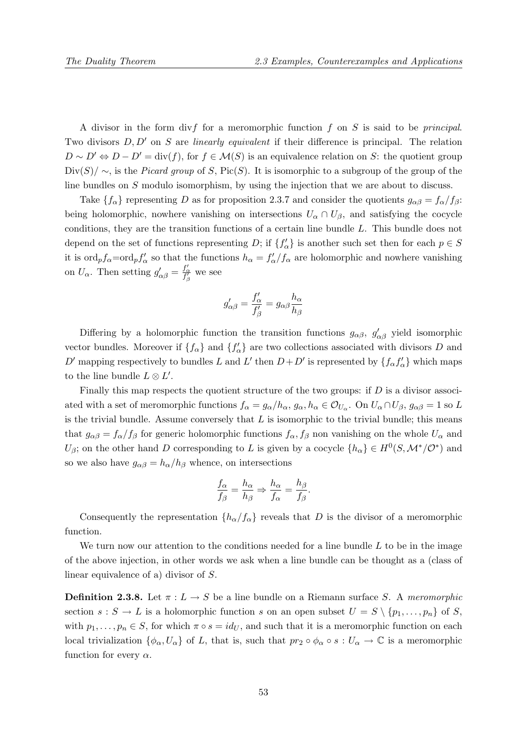A divisor in the form divf for a meromorphic function f on S is said to be *principal*. Two divisors  $D, D'$  on S are *linearly equivalent* if their difference is principal. The relation  $D \sim D' \Leftrightarrow D - D' = \text{div}(f)$ , for  $f \in \mathcal{M}(S)$  is an equivalence relation on S: the quotient group  $Div(S)/\sim$ , is the *Picard group* of S, Pic(S). It is isomorphic to a subgroup of the group of the line bundles on S modulo isomorphism, by using the injection that we are about to discuss.

Take  $\{f_{\alpha}\}\$  representing D as for proposition 2.3.7 and consider the quotients  $g_{\alpha\beta} = f_{\alpha}/f_{\beta}$ : being holomorphic, nowhere vanishing on intersections  $U_{\alpha} \cap U_{\beta}$ , and satisfying the cocycle conditions, they are the transition functions of a certain line bundle L. This bundle does not depend on the set of functions representing D; if  ${f'_{\alpha}}$  is another such set then for each  $p \in S$ it is  $\text{ord}_p f_\alpha = \text{ord}_p f'_\alpha$  so that the functions  $h_\alpha = f'_\alpha/f_\alpha$  are holomorphic and nowhere vanishing on  $U_{\alpha}$ . Then setting  $g'_{\alpha\beta} = \frac{f'_{\alpha}}{f'_{\beta}}$  we see

$$
g'_{\alpha\beta} = \frac{f'_\alpha}{f'_\beta} = g_{\alpha\beta} \frac{h_\alpha}{h_\beta}
$$

Differing by a holomorphic function the transition functions  $g_{\alpha\beta}$ ,  $g'_{\alpha\beta}$  yield isomorphic vector bundles. Moreover if  $\{f_{\alpha}\}\$ and  $\{f'_{\alpha}\}\$ are two collections associated with divisors D and D' mapping respectively to bundles L and L' then  $D+D'$  is represented by  $\{f_{\alpha}f_{\alpha}'\}$  which maps to the line bundle  $L \otimes L'$ .

Finally this map respects the quotient structure of the two groups: if  $D$  is a divisor associated with a set of meromorphic functions  $f_{\alpha} = g_{\alpha}/h_{\alpha}$ ,  $g_{\alpha}$ ,  $h_{\alpha} \in \mathcal{O}_{U_{\alpha}}$ . On  $U_{\alpha} \cap U_{\beta}$ ,  $g_{\alpha\beta} = 1$  so L is the trivial bundle. Assume conversely that  $L$  is isomorphic to the trivial bundle; this means that  $g_{\alpha\beta} = f_{\alpha}/f_{\beta}$  for generic holomorphic functions  $f_{\alpha}, f_{\beta}$  non vanishing on the whole  $U_{\alpha}$  and  $U_\beta$ ; on the other hand D corresponding to L is given by a cocycle  $\{h_\alpha\} \in H^0(S, \mathcal{M}^*/\mathcal{O}^*)$  and so we also have  $g_{\alpha\beta} = h_{\alpha}/h_{\beta}$  whence, on intersections

$$
\frac{f_{\alpha}}{f_{\beta}} = \frac{h_{\alpha}}{h_{\beta}} \Rightarrow \frac{h_{\alpha}}{f_{\alpha}} = \frac{h_{\beta}}{f_{\beta}}.
$$

Consequently the representation  $\{h_{\alpha}/f_{\alpha}\}\$  reveals that D is the divisor of a meromorphic function.

We turn now our attention to the conditions needed for a line bundle  $L$  to be in the image of the above injection, in other words we ask when a line bundle can be thought as a (class of linear equivalence of a) divisor of S.

**Definition 2.3.8.** Let  $\pi : L \to S$  be a line bundle on a Riemann surface S. A meromorphic section  $s : S \to L$  is a holomorphic function s on an open subset  $U = S \setminus \{p_1, \ldots, p_n\}$  of S, with  $p_1, \ldots, p_n \in S$ , for which  $\pi \circ s = id_U$ , and such that it is a meromorphic function on each local trivialization  $\{\phi_{\alpha}, U_{\alpha}\}$  of L, that is, such that  $pr_2 \circ \phi_{\alpha} \circ s : U_{\alpha} \to \mathbb{C}$  is a meromorphic function for every  $\alpha$ .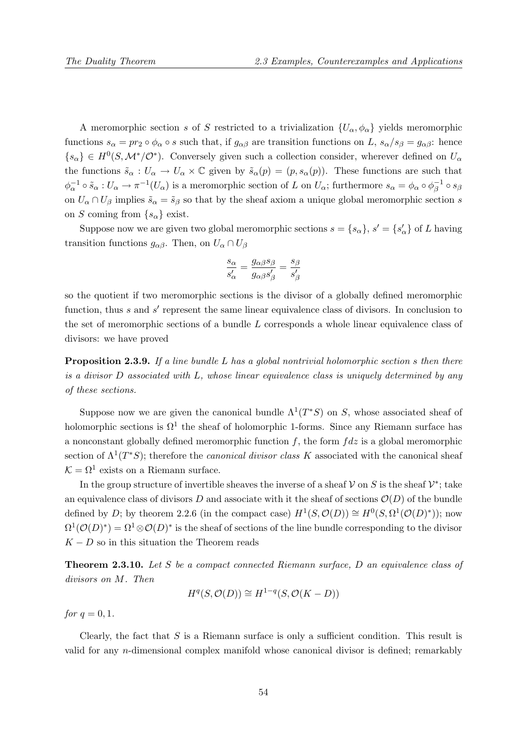A meromorphic section s of S restricted to a trivialization  $\{U_{\alpha}, \phi_{\alpha}\}\$  yields meromorphic functions  $s_{\alpha} = pr_2 \circ \phi_{\alpha} \circ s$  such that, if  $g_{\alpha\beta}$  are transition functions on L,  $s_{\alpha}/s_{\beta} = g_{\alpha\beta}$ : hence  ${s_{\alpha}} \in H^0(S, \mathcal{M}^*/\mathcal{O}^*)$ . Conversely given such a collection consider, wherever defined on  $U_{\alpha}$ the functions  $\tilde{s}_{\alpha}: U_{\alpha} \to U_{\alpha} \times \mathbb{C}$  given by  $\tilde{s}_{\alpha}(p) = (p, s_{\alpha}(p))$ . These functions are such that  $\phi_\alpha^{-1} \circ \tilde{s}_\alpha : U_\alpha \to \pi^{-1}(U_\alpha)$  is a meromorphic section of L on  $U_\alpha$ ; furthermore  $s_\alpha = \phi_\alpha \circ \phi_\beta^{-1}$  $\bar{\beta}^{-1} \circ s_{\beta}$ on  $U_{\alpha} \cap U_{\beta}$  implies  $\tilde{s}_{\alpha} = \tilde{s}_{\beta}$  so that by the sheaf axiom a unique global meromorphic section s on S coming from  $\{s_{\alpha}\}\$ exist.

Suppose now we are given two global meromorphic sections  $s = \{s_{\alpha}\}, s' = \{s'_{\alpha}\}\$  of L having transition functions  $g_{\alpha\beta}$ . Then, on  $U_{\alpha} \cap U_{\beta}$ 

$$
\frac{s_{\alpha}}{s'_{\alpha}} = \frac{g_{\alpha\beta}s_{\beta}}{g_{\alpha\beta}s'_{\beta}} = \frac{s_{\beta}}{s'_{\beta}}
$$

so the quotient if two meromorphic sections is the divisor of a globally defined meromorphic function, thus  $s$  and  $s'$  represent the same linear equivalence class of divisors. In conclusion to the set of meromorphic sections of a bundle L corresponds a whole linear equivalence class of divisors: we have proved

**Proposition 2.3.9.** If a line bundle L has a global nontrivial holomorphic section s then there is a divisor D associated with L, whose linear equivalence class is uniquely determined by any of these sections.

Suppose now we are given the canonical bundle  $\Lambda^1(T^*S)$  on S, whose associated sheaf of holomorphic sections is  $\Omega^1$  the sheaf of holomorphic 1-forms. Since any Riemann surface has a nonconstant globally defined meromorphic function  $f$ , the form  $fdz$  is a global meromorphic section of  $\Lambda^1(T^*S)$ ; therefore the *canonical divisor class* K associated with the canonical sheaf  $\mathcal{K} = \Omega^1$  exists on a Riemann surface.

In the group structure of invertible sheaves the inverse of a sheaf  $V$  on S is the sheaf  $V^*$ ; take an equivalence class of divisors D and associate with it the sheaf of sections  $\mathcal{O}(D)$  of the bundle defined by D; by theorem 2.2.6 (in the compact case)  $H^1(S, \mathcal{O}(D)) \cong H^0(S, \Omega^1(\mathcal{O}(D)^*))$ ; now  $\Omega^1(\mathcal{O}(D)^*) = \Omega^1 \otimes \mathcal{O}(D)^*$  is the sheaf of sections of the line bundle corresponding to the divisor  $K - D$  so in this situation the Theorem reads

**Theorem 2.3.10.** Let S be a compact connected Riemann surface, D an equivalence class of divisors on M. Then

$$
H^q(S, \mathcal{O}(D)) \cong H^{1-q}(S, \mathcal{O}(K - D))
$$

for  $q = 0, 1$ .

Clearly, the fact that  $S$  is a Riemann surface is only a sufficient condition. This result is valid for any n-dimensional complex manifold whose canonical divisor is defined; remarkably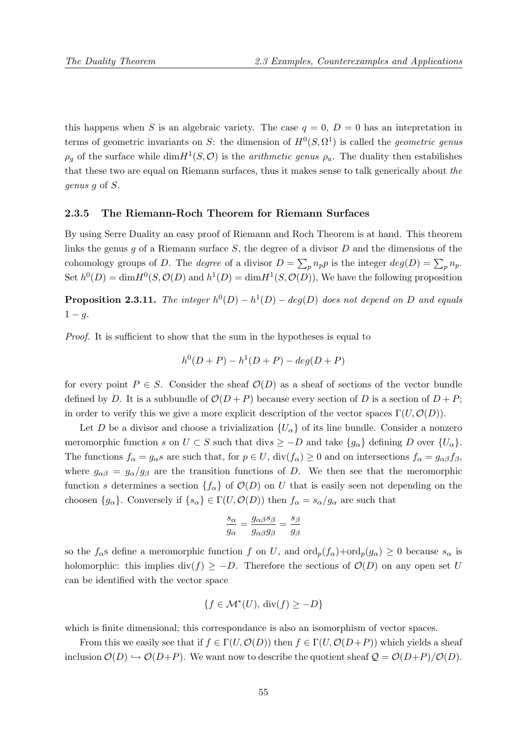this happens when S is an algebraic variety. The case  $q = 0$ ,  $D = 0$  has an intepretation in terms of geometric invariants on S: the dimension of  $H^0(S, \Omega^1)$  is called the *geometric genus*  $\rho_g$  of the surface while  $\dim H^1(S, \mathcal{O})$  is the *arithmetic genus*  $\rho_a$ . The duality then estabilishes that these two are equal on Riemann surfaces, thus it makes sense to talk generically about the genus g of S.

#### 2.3.5 The Riemann-Roch Theorem for Riemann Surfaces

By using Serre Duality an easy proof of Riemann and Roch Theorem is at hand. This theorem links the genus g of a Riemann surface  $S$ , the degree of a divisor  $D$  and the dimensions of the cohomology groups of D. The *degree* of a divisor  $D = \sum_p n_p p$  is the integer  $deg(D) = \sum_p n_p$ . Set  $h^0(D) = \dim H^0(S, \mathcal{O}(D))$  and  $h^1(D) = \dim H^1(S, \mathcal{O}(D))$ , We have the following proposition

**Proposition 2.3.11.** The integer  $h^0(D) - h^1(D) - deg(D)$  does not depend on D and equals  $1 - g$ .

Proof. It is sufficient to show that the sum in the hypotheses is equal to

$$
h^{0}(D+P) - h^{1}(D+P) - deg(D+P)
$$

for every point  $P \in S$ . Consider the sheaf  $\mathcal{O}(D)$  as a sheaf of sections of the vector bundle defined by D. It is a subbundle of  $\mathcal{O}(D + P)$  because every section of D is a section of  $D + P$ ; in order to verify this we give a more explicit description of the vector spaces  $\Gamma(U, \mathcal{O}(D)).$ 

Let D be a divisor and choose a trivialization  $\{U_{\alpha}\}\$  of its line bundle. Consider a nonzero meromorphic function s on  $U \subset S$  such that divs  $\geq -D$  and take  $\{g_{\alpha}\}\$  defining D over  $\{U_{\alpha}\}\$ . The functions  $f_{\alpha} = g_{\alpha}s$  are such that, for  $p \in U$ ,  $div(f_{\alpha}) \ge 0$  and on intersections  $f_{\alpha} = g_{\alpha\beta}f_{\beta}$ , where  $g_{\alpha\beta} = g_{\alpha}/g_{\beta}$  are the transition functions of D. We then see that the meromorphic function s determines a section  $\{f_{\alpha}\}\$  of  $\mathcal{O}(D)$  on U that is easily seen not depending on the choosen  $\{g_{\alpha}\}\$ . Conversely if  $\{s_{\alpha}\}\in \Gamma(U, \mathcal{O}(D))$  then  $f_{\alpha}=s_{\alpha}/g_{\alpha}$  are such that

$$
\frac{s_{\alpha}}{g_{\alpha}} = \frac{g_{\alpha\beta}s_{\beta}}{g_{\alpha\beta}g_{\beta}} = \frac{s_{\beta}}{g_{\beta}}
$$

so the  $f_{\alpha}$ s define a meromorphic function f on U, and  $\text{ord}_p(f_{\alpha})+\text{ord}_p(g_{\alpha})\geq 0$  because  $s_{\alpha}$  is holomorphic: this implies div(f)  $\geq -D$ . Therefore the sections of  $\mathcal{O}(D)$  on any open set U can be identified with the vector space

$$
\{f \in \mathcal{M}^*(U), \operatorname{div}(f) \ge -D\}
$$

which is finite dimensional; this correspondance is also an isomorphism of vector spaces.

From this we easily see that if  $f \in \Gamma(U, \mathcal{O}(D))$  then  $f \in \Gamma(U, \mathcal{O}(D+P))$  which yields a sheaf inclusion  $\mathcal{O}(D) \hookrightarrow \mathcal{O}(D+P)$ . We want now to describe the quotient sheaf  $\mathcal{Q} = \mathcal{O}(D+P)/\mathcal{O}(D)$ .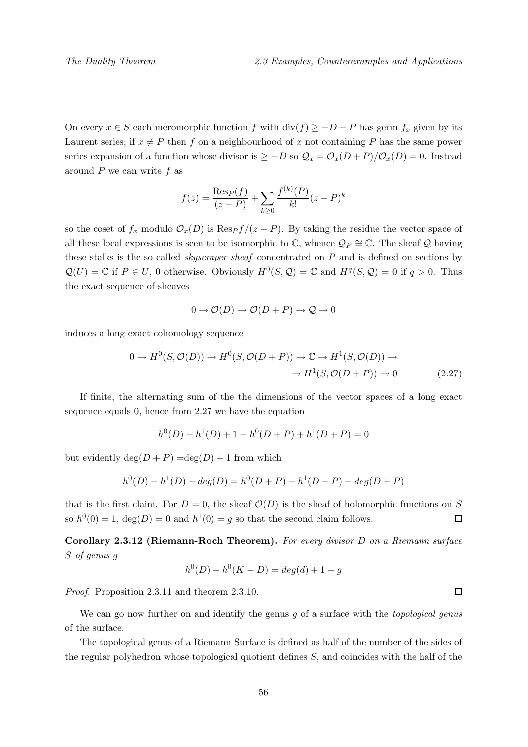On every  $x \in S$  each meromorphic function f with  $\text{div}(f) \ge -D - P$  has germ  $f_x$  given by its Laurent series; if  $x \neq P$  then f on a neighbourhood of x not containing P has the same power series expansion of a function whose divisor is  $\geq -D$  so  $\mathcal{Q}_x = \mathcal{O}_x(D+P)/\mathcal{O}_x(D) = 0$ . Instead around  $P$  we can write  $f$  as

$$
f(z) = \frac{\text{Res}_P(f)}{(z - P)} + \sum_{k \ge 0} \frac{f^{(k)}(P)}{k!} (z - P)^k
$$

so the coset of  $f_x$  modulo  $\mathcal{O}_x(D)$  is  $\text{Res}_P f/(z - P)$ . By taking the residue the vector space of all these local expressions is seen to be isomorphic to  $\mathbb{C}$ , whence  $\mathcal{Q}_P \cong \mathbb{C}$ . The sheaf  $\mathcal Q$  having these stalks is the so called skyscraper sheaf concentrated on P and is defined on sections by  $\mathcal{Q}(U) = \mathbb{C}$  if  $P \in U$ , 0 otherwise. Obviously  $H^0(S, \mathcal{Q}) = \mathbb{C}$  and  $H^q(S, \mathcal{Q}) = 0$  if  $q > 0$ . Thus the exact sequence of sheaves

$$
0 \to \mathcal{O}(D) \to \mathcal{O}(D+P) \to \mathcal{Q} \to 0
$$

induces a long exact cohomology sequence

$$
0 \to H^0(S, \mathcal{O}(D)) \to H^0(S, \mathcal{O}(D + P)) \to \mathbb{C} \to H^1(S, \mathcal{O}(D)) \to
$$
  

$$
\to H^1(S, \mathcal{O}(D + P)) \to 0
$$
 (2.27)

If finite, the alternating sum of the the dimensions of the vector spaces of a long exact sequence equals 0, hence from 2.27 we have the equation

$$
h^{0}(D) - h^{1}(D) + 1 - h^{0}(D + P) + h^{1}(D + P) = 0
$$

but evidently  $\deg(D + P) = \deg(D) + 1$  from which

$$
h^{0}(D) - h^{1}(D) - deg(D) = h^{0}(D + P) - h^{1}(D + P) - deg(D + P)
$$

that is the first claim. For  $D = 0$ , the sheaf  $\mathcal{O}(D)$  is the sheaf of holomorphic functions on S so  $h^0(0) = 1$ ,  $deg(D) = 0$  and  $h^1(0) = g$  so that the second claim follows.  $\Box$ 

Corollary 2.3.12 (Riemann-Roch Theorem). For every divisor D on a Riemann surface S of genus g

$$
h^{0}(D) - h^{0}(K - D) = deg(d) + 1 - g
$$

Proof. Proposition 2.3.11 and theorem 2.3.10.

We can go now further on and identify the genus  $g$  of a surface with the *topological genus* of the surface.

The topological genus of a Riemann Surface is defined as half of the number of the sides of the regular polyhedron whose topological quotient defines S, and coincides with the half of the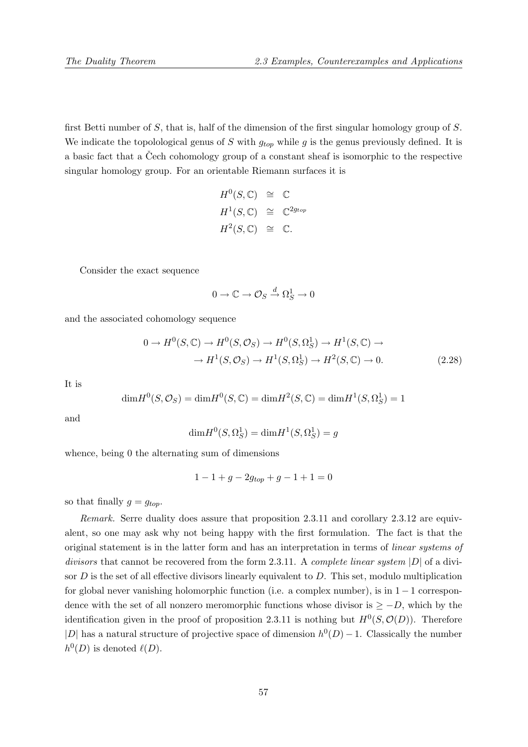first Betti number of S, that is, half of the dimension of the first singular homology group of S. We indicate the topolological genus of S with  $g_{top}$  while g is the genus previously defined. It is a basic fact that a Cech cohomology group of a constant sheaf is isomorphic to the respective singular homology group. For an orientable Riemann surfaces it is

$$
H^{0}(S, \mathbb{C}) \cong \mathbb{C}
$$
  

$$
H^{1}(S, \mathbb{C}) \cong \mathbb{C}^{2g_{top}}
$$
  

$$
H^{2}(S, \mathbb{C}) \cong \mathbb{C}.
$$

Consider the exact sequence

$$
0 \to \mathbb{C} \to \mathcal{O}_S \xrightarrow{d} \Omega^1_S \to 0
$$

and the associated cohomology sequence

$$
0 \to H^0(S, \mathbb{C}) \to H^0(S, \mathcal{O}_S) \to H^0(S, \Omega_S^1) \to H^1(S, \mathbb{C}) \to
$$
  

$$
\to H^1(S, \mathcal{O}_S) \to H^1(S, \Omega_S^1) \to H^2(S, \mathbb{C}) \to 0.
$$
 (2.28)

It is

$$
\mathrm{dim}H^{0}(S,\mathcal{O}_{S})=\mathrm{dim}H^{0}(S,\mathbb{C})=\mathrm{dim}H^{2}(S,\mathbb{C})=\mathrm{dim}H^{1}(S,\Omega_{S}^{1})=1
$$

and

$$
\dim H^0(S, \Omega_S^1) = \dim H^1(S, \Omega_S^1) = g
$$

whence, being 0 the alternating sum of dimensions

$$
1 - 1 + g - 2g_{top} + g - 1 + 1 = 0
$$

so that finally  $g = g_{top}$ .

Remark. Serre duality does assure that proposition 2.3.11 and corollary 2.3.12 are equivalent, so one may ask why not being happy with the first formulation. The fact is that the original statement is in the latter form and has an interpretation in terms of linear systems of divisors that cannot be recovered from the form 2.3.11. A complete linear system  $|D|$  of a divisor  $D$  is the set of all effective divisors linearly equivalent to  $D$ . This set, modulo multiplication for global never vanishing holomorphic function (i.e. a complex number), is in 1−1 correspondence with the set of all nonzero meromorphic functions whose divisor is  $\geq -D$ , which by the identification given in the proof of proposition 2.3.11 is nothing but  $H^0(S, \mathcal{O}(D))$ . Therefore |D| has a natural structure of projective space of dimension  $h^0(D) - 1$ . Classically the number  $h^0(D)$  is denoted  $\ell(D)$ .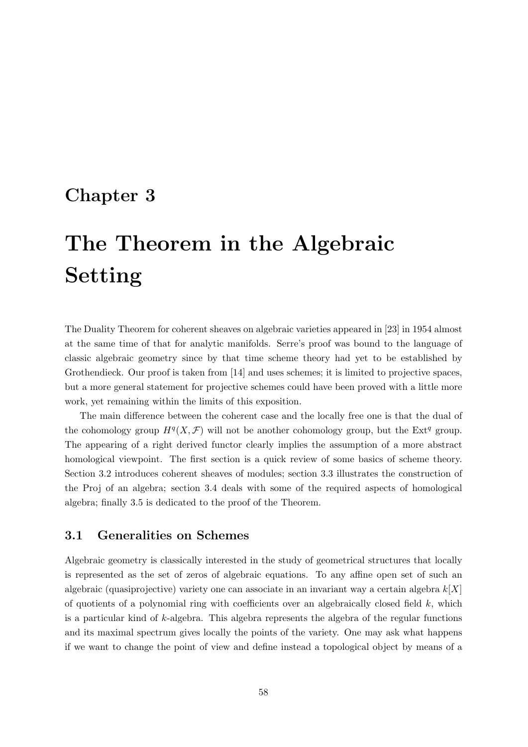## Chapter 3

# The Theorem in the Algebraic Setting

The Duality Theorem for coherent sheaves on algebraic varieties appeared in [23] in 1954 almost at the same time of that for analytic manifolds. Serre's proof was bound to the language of classic algebraic geometry since by that time scheme theory had yet to be established by Grothendieck. Our proof is taken from [14] and uses schemes; it is limited to projective spaces. but a more general statement for projective schemes could have been proved with a little more work, yet remaining within the limits of this exposition.

The main difference between the coherent case and the locally free one is that the dual of the cohomology group  $H^q(X, \mathcal{F})$  will not be another cohomology group, but the Ext<sup>q</sup> group. The appearing of a right derived functor clearly implies the assumption of a more abstract homological viewpoint. The first section is a quick review of some basics of scheme theory. Section 3.2 introduces coherent sheaves of modules; section 3.3 illustrates the construction of the Proj of an algebra; section 3.4 deals with some of the required aspects of homological algebra; finally 3.5 is dedicated to the proof of the Theorem.

## 3.1 Generalities on Schemes

Algebraic geometry is classically interested in the study of geometrical structures that locally is represented as the set of zeros of algebraic equations. To any affine open set of such an algebraic (quasiprojective) variety one can associate in an invariant way a certain algebra  $k[X]$ of quotients of a polynomial ring with coefficients over an algebraically closed field  $k$ , which is a particular kind of k-algebra. This algebra represents the algebra of the regular functions and its maximal spectrum gives locally the points of the variety. One may ask what happens if we want to change the point of view and define instead a topological object by means of a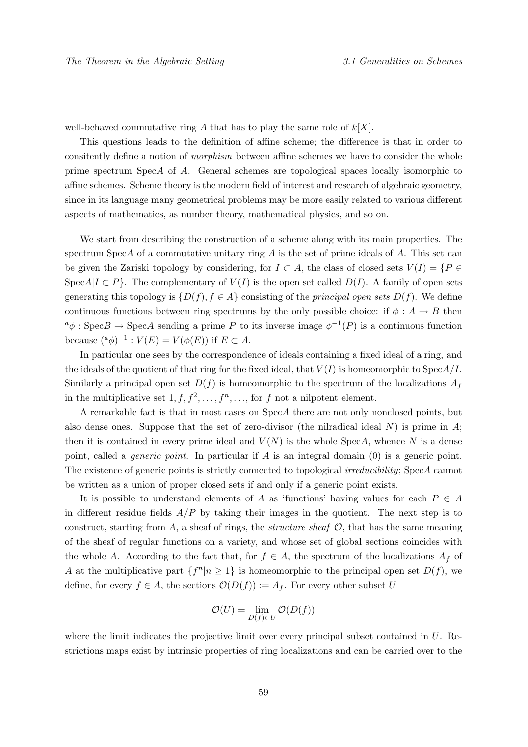well-behaved commutative ring A that has to play the same role of  $k[X]$ .

This questions leads to the definition of affine scheme; the difference is that in order to consitently define a notion of morphism between affine schemes we have to consider the whole prime spectrum SpecA of A. General schemes are topological spaces locally isomorphic to affine schemes. Scheme theory is the modern field of interest and research of algebraic geometry, since in its language many geometrical problems may be more easily related to various different aspects of mathematics, as number theory, mathematical physics, and so on.

We start from describing the construction of a scheme along with its main properties. The spectrum SpecA of a commutative unitary ring  $A$  is the set of prime ideals of  $A$ . This set can be given the Zariski topology by considering, for  $I \subset A$ , the class of closed sets  $V(I) = \{P \in$ SpecA|I  $\subset P$ . The complementary of  $V(I)$  is the open set called  $D(I)$ . A family of open sets generating this topology is  $\{D(f), f \in A\}$  consisting of the *principal open sets*  $D(f)$ . We define continuous functions between ring spectrums by the only possible choice: if  $\phi : A \to B$  then  $a_{\phi}$ : Spec $B \to \text{Spec} A$  sending a prime P to its inverse image  $\phi^{-1}(P)$  is a continuous function because  $({}^a\phi)^{-1}: V(E) = V(\phi(E))$  if  $E \subset A$ .

In particular one sees by the correspondence of ideals containing a fixed ideal of a ring, and the ideals of the quotient of that ring for the fixed ideal, that  $V(I)$  is homeomorphic to  $\text{Spec} A/I$ . Similarly a principal open set  $D(f)$  is homeomorphic to the spectrum of the localizations  $A_f$ in the multiplicative set  $1, f, f^2, \ldots, f^n, \ldots$ , for f not a nilpotent element.

A remarkable fact is that in most cases on SpecA there are not only nonclosed points, but also dense ones. Suppose that the set of zero-divisor (the nilradical ideal  $N$ ) is prime in  $A$ ; then it is contained in every prime ideal and  $V(N)$  is the whole SpecA, whence N is a dense point, called a generic point. In particular if A is an integral domain (0) is a generic point. The existence of generic points is strictly connected to topological *irreducibility*; SpecA cannot be written as a union of proper closed sets if and only if a generic point exists.

It is possible to understand elements of A as 'functions' having values for each  $P \in A$ in different residue fields  $A/P$  by taking their images in the quotient. The next step is to construct, starting from  $A$ , a sheaf of rings, the *structure sheaf*  $O$ , that has the same meaning of the sheaf of regular functions on a variety, and whose set of global sections coincides with the whole A. According to the fact that, for  $f \in A$ , the spectrum of the localizations  $A_f$  of A at the multiplicative part  $\{f^n | n \geq 1\}$  is homeomorphic to the principal open set  $D(f)$ , we define, for every  $f \in A$ , the sections  $\mathcal{O}(D(f)) := A_f$ . For every other subset U

$$
\mathcal{O}(U) = \lim_{D(f) \subset U} \mathcal{O}(D(f))
$$

where the limit indicates the projective limit over every principal subset contained in U. Restrictions maps exist by intrinsic properties of ring localizations and can be carried over to the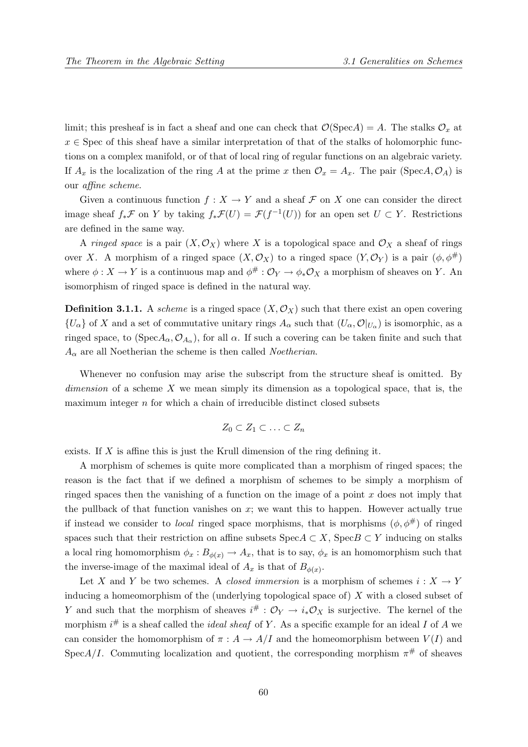limit; this presheaf is in fact a sheaf and one can check that  $\mathcal{O}(\text{Spec} A) = A$ . The stalks  $\mathcal{O}_x$  at  $x \in \text{Spec of this sheaf have a similar interpretation of that of the stalls of holomorphic func$ tions on a complex manifold, or of that of local ring of regular functions on an algebraic variety. If  $A_x$  is the localization of the ring A at the prime x then  $\mathcal{O}_x = A_x$ . The pair (SpecA,  $\mathcal{O}_A$ ) is our affine scheme.

Given a continuous function  $f : X \to Y$  and a sheaf F on X one can consider the direct image sheaf  $f_*\mathcal{F}$  on Y by taking  $f_*\mathcal{F}(U) = \mathcal{F}(f^{-1}(U))$  for an open set  $U \subset Y$ . Restrictions are defined in the same way.

A ringed space is a pair  $(X, \mathcal{O}_X)$  where X is a topological space and  $\mathcal{O}_X$  a sheaf of rings over X. A morphism of a ringed space  $(X, \mathcal{O}_X)$  to a ringed space  $(Y, \mathcal{O}_Y)$  is a pair  $(\phi, \phi^{\#})$ where  $\phi: X \to Y$  is a continuous map and  $\phi^{\#}: \mathcal{O}_Y \to \phi_* \mathcal{O}_X$  a morphism of sheaves on Y. An isomorphism of ringed space is defined in the natural way.

**Definition 3.1.1.** A scheme is a ringed space  $(X, \mathcal{O}_X)$  such that there exist an open covering  $\{U_\alpha\}$  of X and a set of commutative unitary rings  $A_\alpha$  such that  $(U_\alpha, \mathcal{O}|_{U_\alpha})$  is isomorphic, as a ringed space, to  $(Spec A_{\alpha}, \mathcal{O}_{A_{\alpha}})$ , for all  $\alpha$ . If such a covering can be taken finite and such that  $A_{\alpha}$  are all Noetherian the scheme is then called *Noetherian*.

Whenever no confusion may arise the subscript from the structure sheaf is omitted. By  $dimension of a scheme X$  we mean simply its dimension as a topological space, that is, the maximum integer  $n$  for which a chain of irreducible distinct closed subsets

$$
Z_0 \subset Z_1 \subset \ldots \subset Z_n
$$

exists. If  $X$  is affine this is just the Krull dimension of the ring defining it.

A morphism of schemes is quite more complicated than a morphism of ringed spaces; the reason is the fact that if we defined a morphism of schemes to be simply a morphism of ringed spaces then the vanishing of a function on the image of a point  $x$  does not imply that the pullback of that function vanishes on  $x$ ; we want this to happen. However actually true if instead we consider to *local* ringed space morphisms, that is morphisms  $(\phi, \phi^{\#})$  of ringed spaces such that their restriction on affine subsets  $\text{Spec} A \subset X$ ,  $\text{Spec} B \subset Y$  inducing on stalks a local ring homomorphism  $\phi_x : B_{\phi(x)} \to A_x$ , that is to say,  $\phi_x$  is an homomorphism such that the inverse-image of the maximal ideal of  $A_x$  is that of  $B_{\phi(x)}$ .

Let X and Y be two schemes. A *closed immersion* is a morphism of schemes  $i: X \to Y$ inducing a homeomorphism of the (underlying topological space of) X with a closed subset of Y and such that the morphism of sheaves  $i^{\#}: \mathcal{O}_Y \to i_* \mathcal{O}_X$  is surjective. The kernel of the morphism  $i^{\#}$  is a sheaf called the *ideal sheaf* of Y. As a specific example for an ideal I of A we can consider the homomorphism of  $\pi : A \to A/I$  and the homeomorphism between  $V(I)$  and SpecA/I. Commuting localization and quotient, the corresponding morphism  $\pi^{\#}$  of sheaves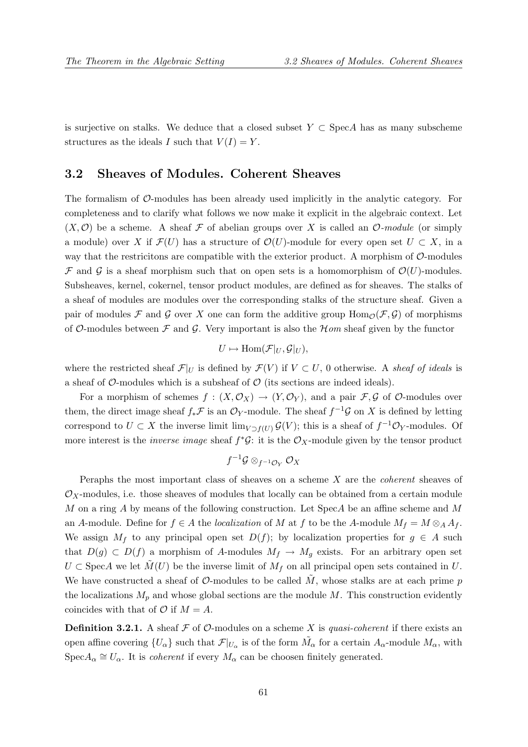is surjective on stalks. We deduce that a closed subset  $Y \subset \text{Spec} A$  has as many subscheme structures as the ideals I such that  $V(I) = Y$ .

## 3.2 Sheaves of Modules. Coherent Sheaves

The formalism of O-modules has been already used implicitly in the analytic category. For completeness and to clarify what follows we now make it explicit in the algebraic context. Let  $(X, \mathcal{O})$  be a scheme. A sheaf F of abelian groups over X is called an  $\mathcal{O}\text{-module}$  (or simply a module) over X if  $\mathcal{F}(U)$  has a structure of  $\mathcal{O}(U)$ -module for every open set  $U \subset X$ , in a way that the restricitons are compatible with the exterior product. A morphism of  $\mathcal{O}$ -modules F and G is a sheaf morphism such that on open sets is a homomorphism of  $\mathcal{O}(U)$ -modules. Subsheaves, kernel, cokernel, tensor product modules, are defined as for sheaves. The stalks of a sheaf of modules are modules over the corresponding stalks of the structure sheaf. Given a pair of modules F and G over X one can form the additive group  $\text{Hom}_{\mathcal{O}}(\mathcal{F}, \mathcal{G})$  of morphisms of O-modules between  $\mathcal F$  and  $\mathcal G$ . Very important is also the  $\mathcal Hom$  sheaf given by the functor

$$
U \mapsto \text{Hom}(\mathcal{F}|_U,\mathcal{G}|_U),
$$

where the restricted sheaf  $\mathcal{F}|_U$  is defined by  $\mathcal{F}(V)$  if  $V \subset U$ , 0 otherwise. A sheaf of ideals is a sheaf of  $\mathcal{O}$ -modules which is a subsheaf of  $\mathcal{O}$  (its sections are indeed ideals).

For a morphism of schemes  $f : (X, \mathcal{O}_X) \to (Y, \mathcal{O}_Y)$ , and a pair  $\mathcal{F}, \mathcal{G}$  of  $\mathcal{O}\text{-modules over}$ them, the direct image sheaf  $f_*\mathcal{F}$  is an  $\mathcal{O}_Y$ -module. The sheaf  $f^{-1}\mathcal{G}$  on X is defined by letting correspond to  $U \subset X$  the inverse limit  $\lim_{V \supset f(U)} \mathcal{G}(V)$ ; this is a sheaf of  $f^{-1}\mathcal{O}_Y$ -modules. Of more interest is the *inverse image* sheaf  $f^*\mathcal{G}$ : it is the  $\mathcal{O}_X$ -module given by the tensor product

$$
f^{-1}\mathcal{G} \otimes_{f^{-1}\mathcal{O}_Y} \mathcal{O}_X
$$

Peraphs the most important class of sheaves on a scheme  $X$  are the *coherent* sheaves of  $\mathcal{O}_X$ -modules, i.e. those sheaves of modules that locally can be obtained from a certain module  $M$  on a ring  $A$  by means of the following construction. Let Spec $A$  be an affine scheme and  $M$ an A-module. Define for  $f \in A$  the localization of M at f to be the A-module  $M_f = M \otimes_A A_f$ . We assign  $M_f$  to any principal open set  $D(f)$ ; by localization properties for  $g \in A$  such that  $D(g) \subset D(f)$  a morphism of A-modules  $M_f \to M_g$  exists. For an arbitrary open set  $U \subset \text{Spec} A$  we let  $\tilde{M}(U)$  be the inverse limit of  $M_f$  on all principal open sets contained in U. We have constructed a sheaf of O-modules to be called  $\tilde{M}$ , whose stalks are at each prime p the localizations  $M_p$  and whose global sections are the module M. This construction evidently coincides with that of  $\mathcal{O}$  if  $M = A$ .

**Definition 3.2.1.** A sheaf  $\mathcal F$  of  $\mathcal O$ -modules on a scheme X is quasi-coherent if there exists an open affine covering  $\{U_\alpha\}$  such that  $\mathcal{F}|_{U_\alpha}$  is of the form  $\tilde{M}_\alpha$  for a certain  $A_\alpha$ -module  $M_\alpha$ , with  $Spec A_{\alpha} \cong U_{\alpha}$ . It is *coherent* if every  $M_{\alpha}$  can be choosen finitely generated.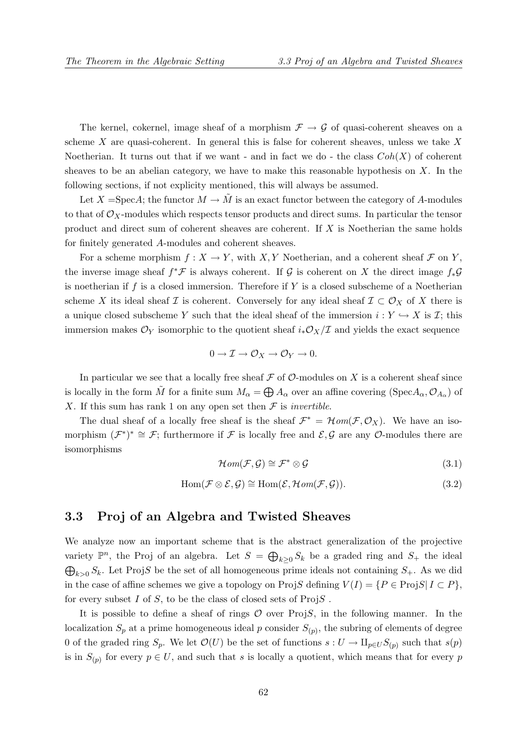The kernel, cokernel, image sheaf of a morphism  $\mathcal{F} \to \mathcal{G}$  of quasi-coherent sheaves on a scheme  $X$  are quasi-coherent. In general this is false for coherent sheaves, unless we take  $X$ Noetherian. It turns out that if we want - and in fact we do - the class  $Coh(X)$  of coherent sheaves to be an abelian category, we have to make this reasonable hypothesis on  $X$ . In the following sections, if not explicity mentioned, this will always be assumed.

Let X =SpecA; the functor  $M \to \tilde{M}$  is an exact functor between the category of A-modules to that of  $\mathcal{O}_X$ -modules which respects tensor products and direct sums. In particular the tensor product and direct sum of coherent sheaves are coherent. If X is Noetherian the same holds for finitely generated A-modules and coherent sheaves.

For a scheme morphism  $f: X \to Y$ , with X, Y Noetherian, and a coherent sheaf F on Y. the inverse image sheaf  $f^*\mathcal{F}$  is always coherent. If G is coherent on X the direct image  $f_*\mathcal{G}$ is noetherian if f is a closed immersion. Therefore if  $Y$  is a closed subscheme of a Noetherian scheme X its ideal sheaf I is coherent. Conversely for any ideal sheaf  $\mathcal{I} \subset \mathcal{O}_X$  of X there is a unique closed subscheme Y such that the ideal sheaf of the immersion  $i: Y \hookrightarrow X$  is  $\mathcal{I}$ ; this immersion makes  $\mathcal{O}_Y$  isomorphic to the quotient sheaf  $i_*\mathcal{O}_X/\mathcal{I}$  and yields the exact sequence

$$
0 \to \mathcal{I} \to \mathcal{O}_X \to \mathcal{O}_Y \to 0.
$$

In particular we see that a locally free sheaf  $\mathcal F$  of  $\mathcal O$ -modules on X is a coherent sheaf since is locally in the form  $\tilde{M}$  for a finite sum  $M_{\alpha} = \bigoplus A_{\alpha}$  over an affine covering (Spec $A_{\alpha}, \mathcal{O}_{A_{\alpha}}$ ) of X. If this sum has rank 1 on any open set then  $\mathcal F$  is *invertible*.

The dual sheaf of a locally free sheaf is the sheaf  $\mathcal{F}^* = \mathcal{H}om(\mathcal{F}, \mathcal{O}_X)$ . We have an isomorphism  $(\mathcal{F}^*)^* \cong \mathcal{F}$ ; furthermore if  $\mathcal F$  is locally free and  $\mathcal{E}, \mathcal{G}$  are any  $\mathcal{O}$ -modules there are isomorphisms

$$
\mathcal{H}om(\mathcal{F}, \mathcal{G}) \cong \mathcal{F}^* \otimes \mathcal{G}
$$
\n(3.1)

$$
Hom(\mathcal{F}\otimes\mathcal{E},\mathcal{G})\cong Hom(\mathcal{E},\mathcal{H}om(\mathcal{F},\mathcal{G})).
$$
\n(3.2)

## 3.3 Proj of an Algebra and Twisted Sheaves

We analyze now an important scheme that is the abstract generalization of the projective variety  $\mathbb{P}^n$ , the Proj of an algebra. Let  $S = \bigoplus_{k \geq 0} S_k$  be a graded ring and  $S_+$  the ideal  $\bigoplus_{k>0} S_k$ . Let ProjS be the set of all homogeneous prime ideals not containing  $S_+$ . As we did in the case of affine schemes we give a topology on ProjS defining  $V(I) = \{P \in \text{ProjS} | I \subset P\}$ , for every subset I of S, to be the class of closed sets of  $ProjS$ .

It is possible to define a sheaf of rings  $O$  over Proj $S$ , in the following manner. In the localization  $S_p$  at a prime homogeneous ideal p consider  $S_{(p)}$ , the subring of elements of degree 0 of the graded ring  $S_p$ . We let  $\mathcal{O}(U)$  be the set of functions  $s: U \to \amalg_{p \in U} S_{(p)}$  such that  $s(p)$ is in  $S_{(p)}$  for every  $p \in U$ , and such that s is locally a quotient, which means that for every p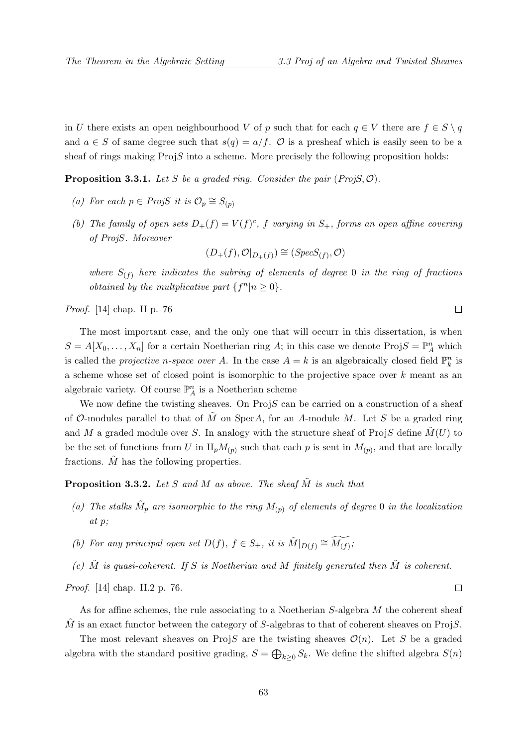in U there exists an open neighbourhood V of p such that for each  $q \in V$  there are  $f \in S \setminus q$ and  $a \in S$  of same degree such that  $s(q) = a/f$ .  $\mathcal O$  is a presheaf which is easily seen to be a sheaf of rings making ProjS into a scheme. More precisely the following proposition holds:

**Proposition 3.3.1.** Let S be a graded ring. Consider the pair  $(Proj S, \mathcal{O})$ .

- (a) For each  $p \in ProjS$  it is  $\mathcal{O}_p \cong S_{(p)}$
- (b) The family of open sets  $D_+(f) = V(f)^c$ , f varying in  $S_+$ , forms an open affine covering of ProjS. Moreover

 $(D_{+}(f), \mathcal{O}|_{D_{+}(f)}) \cong (Spec S_{(f)}, \mathcal{O})$ 

where  $S_{(f)}$  here indicates the subring of elements of degree 0 in the ring of fractions *obtained by the multplicative part*  $\{f^n | n \geq 0\}.$ 

Proof. [14] chap. II p. 76

The most important case, and the only one that will occurr in this dissertation, is when  $S = A[X_0, \ldots, X_n]$  for a certain Noetherian ring A; in this case we denote  $\text{Proj } S = \mathbb{P}_A^n$  which is called the *projective n-space over A*. In the case  $A = k$  is an algebraically closed field  $\mathbb{P}_k^n$  is a scheme whose set of closed point is isomorphic to the projective space over k meant as an algebraic variety. Of course  $\mathbb{P}^n_A$  is a Noetherian scheme

We now define the twisting sheaves. On  $ProjS$  can be carried on a construction of a sheaf of  $\mathcal{O}\text{-modules parallel to that of }M$  on SpecA, for an A-module M. Let S be a graded ring and M a graded module over S. In analogy with the structure sheaf of ProjS define  $M(U)$  to be the set of functions from U in  $\mathbb{L}_p M_{(p)}$  such that each p is sent in  $M_{(p)}$ , and that are locally fractions.  $\tilde{M}$  has the following properties.

**Proposition 3.3.2.** Let S and M as above. The sheaf  $\tilde{M}$  is such that

- (a) The stalks  $\tilde{M}_p$  are isomorphic to the ring  $M_{(p)}$  of elements of degree 0 in the localization at p;
- (b) For any principal open set  $D(f)$ ,  $f \in S_+$ , it is  $\tilde{M}|_{D(f)} \cong \widetilde{M(f)}$ ;
- (c)  $\tilde{M}$  is quasi-coherent. If S is Noetherian and M finitely generated then  $\tilde{M}$  is coherent.

Proof. [14] chap. II.2 p. 76.

As for affine schemes, the rule associating to a Noetherian S-algebra M the coherent sheaf  $\tilde{M}$  is an exact functor between the category of S-algebras to that of coherent sheaves on ProjS.

The most relevant sheaves on ProjS are the twisting sheaves  $\mathcal{O}(n)$ . Let S be a graded algebra with the standard positive grading,  $S = \bigoplus_{k \geq 0} S_k$ . We define the shifted algebra  $S(n)$ 

 $\Box$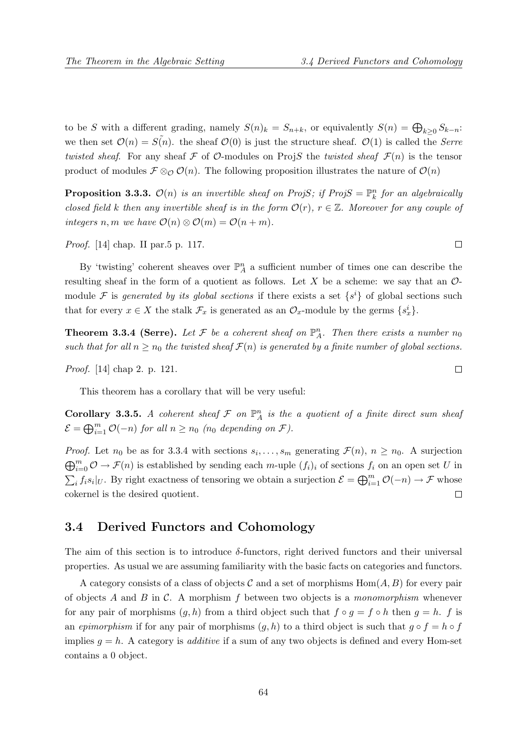to be S with a different grading, namely  $S(n)_k = S_{n+k}$ , or equivalently  $S(n) = \bigoplus_{k \geq 0} S_{k-n}$ : we then set  $\mathcal{O}(n) = S(n)$ . the sheaf  $\mathcal{O}(0)$  is just the structure sheaf.  $\mathcal{O}(1)$  is called the *Serre* twisted sheaf. For any sheaf F of O-modules on ProjS the twisted sheaf  $\mathcal{F}(n)$  is the tensor product of modules  $\mathcal{F} \otimes_{\mathcal{O}} \mathcal{O}(n)$ . The following proposition illustrates the nature of  $\mathcal{O}(n)$ 

**Proposition 3.3.3.**  $\mathcal{O}(n)$  is an invertible sheaf on ProjS; if ProjS =  $\mathbb{P}_k^n$  for an algebraically closed field k then any invertible sheaf is in the form  $\mathcal{O}(r)$ ,  $r \in \mathbb{Z}$ . Moreover for any couple of integers n, m we have  $\mathcal{O}(n) \otimes \mathcal{O}(m) = \mathcal{O}(n+m)$ .

Proof. [14] chap. II par.5 p. 117.

By 'twisting' coherent sheaves over  $\mathbb{P}_{A}^{n}$  a sufficient number of times one can describe the resulting sheaf in the form of a quotient as follows. Let X be a scheme: we say that an  $\mathcal{O}$ module F is generated by its global sections if there exists a set  $\{s^i\}$  of global sections such that for every  $x \in X$  the stalk  $\mathcal{F}_x$  is generated as an  $\mathcal{O}_x$ -module by the germs  $\{s_x^i\}$ .

**Theorem 3.3.4 (Serre).** Let F be a coherent sheaf on  $\mathbb{P}_A^n$ . Then there exists a number  $n_0$ such that for all  $n \geq n_0$  the twisted sheaf  $\mathcal{F}(n)$  is generated by a finite number of global sections.

Proof. [14] chap 2. p. 121.

This theorem has a corollary that will be very useful:

Corollary 3.3.5. A coherent sheaf  $\mathcal F$  on  $\mathbb P^n_A$  is the a quotient of a finite direct sum sheaf  $\mathcal{E} = \bigoplus_{i=1}^m \mathcal{O}(-n)$  for all  $n \ge n_0$  (n<sub>0</sub> depending on  $\mathcal{F}$ ).

*Proof.* Let  $n_0$  be as for 3.3.4 with sections  $s_i, \ldots, s_m$  generating  $\mathcal{F}(n)$ ,  $n \geq n_0$ . A surjection  $\bigoplus_{i=0}^m \mathcal{O} \to \mathcal{F}(n)$  is established by sending each m-uple  $(f_i)_i$  of sections  $f_i$  on an open set U in  $\sum_i f_i s_i|_U$ . By right exactness of tensoring we obtain a surjection  $\mathcal{E} = \bigoplus_{i=1}^m \mathcal{O}(-n) \to \mathcal{F}$  whose  $\Box$ cokernel is the desired quotient.

## 3.4 Derived Functors and Cohomology

The aim of this section is to introduce  $\delta$ -functors, right derived functors and their universal properties. As usual we are assuming familiarity with the basic facts on categories and functors.

A category consists of a class of objects C and a set of morphisms  $Hom(A, B)$  for every pair of objects A and B in C. A morphism f between two objects is a monomorphism whenever for any pair of morphisms  $(g, h)$  from a third object such that  $f \circ g = f \circ h$  then  $g = h$ . f is an epimorphism if for any pair of morphisms  $(q, h)$  to a third object is such that  $q \circ f = h \circ f$ implies  $q = h$ . A category is *additive* if a sum of any two objects is defined and every Hom-set contains a 0 object.

 $\Box$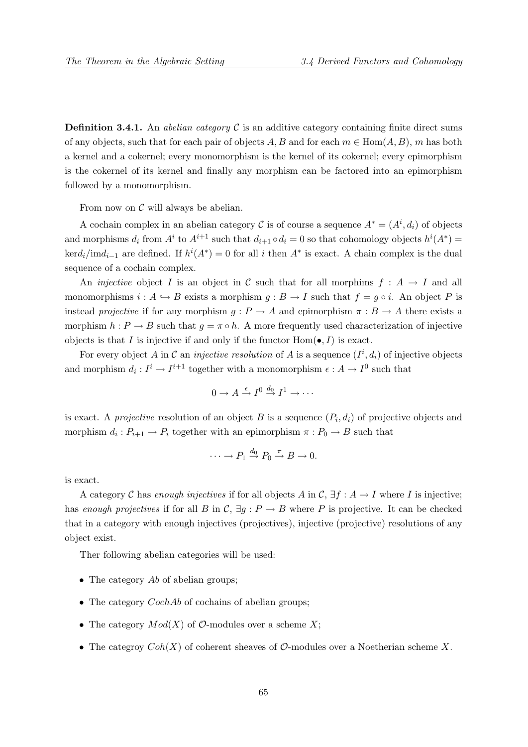**Definition 3.4.1.** An *abelian category*  $\mathcal{C}$  is an additive category containing finite direct sums of any objects, such that for each pair of objects A, B and for each  $m \in Hom(A, B)$ , m has both a kernel and a cokernel; every monomorphism is the kernel of its cokernel; every epimorphism is the cokernel of its kernel and finally any morphism can be factored into an epimorphism followed by a monomorphism.

From now on  $\mathcal C$  will always be abelian.

A cochain complex in an abelian category C is of course a sequence  $A^* = (A^i, d_i)$  of objects and morphisms  $d_i$  from  $A^i$  to  $A^{i+1}$  such that  $d_{i+1} \circ d_i = 0$  so that cohomology objects  $h^i(A^*) =$  $\mathrm{ker}d_i/\mathrm{im}d_{i-1}$  are defined. If  $h^i(A^*)=0$  for all i then  $A^*$  is exact. A chain complex is the dual sequence of a cochain complex.

An *injective* object I is an object in C such that for all morphims  $f : A \to I$  and all monomorphisms  $i : A \hookrightarrow B$  exists a morphism  $g : B \to I$  such that  $f = g \circ i$ . An object P is instead projective if for any morphism  $g: P \to A$  and epimorphism  $\pi: B \to A$  there exists a morphism  $h : P \to B$  such that  $q = \pi \circ h$ . A more frequently used characterization of injective objects is that I is injective if and only if the functor  $Hom(\bullet, I)$  is exact.

For every object A in C an *injective resolution* of A is a sequence  $(I^i, d_i)$  of injective objects and morphism  $d_i: I^i \to I^{i+1}$  together with a monomorphism  $\epsilon: A \to I^0$  such that

$$
0 \to A \xrightarrow{\epsilon} I^0 \xrightarrow{d_0} I^1 \to \cdots
$$

is exact. A *projective* resolution of an object B is a sequence  $(P_i, d_i)$  of projective objects and morphism  $d_i: P_{i+1} \to P_i$  together with an epimorphism  $\pi: P_0 \to B$  such that

$$
\cdots \to P_1 \stackrel{d_0}{\to} P_0 \stackrel{\pi}{\to} B \to 0.
$$

is exact.

A category C has enough injectives if for all objects A in C,  $\exists f : A \rightarrow I$  where I is injective; has enough projectives if for all B in C,  $\exists g : P \to B$  where P is projective. It can be checked that in a category with enough injectives (projectives), injective (projective) resolutions of any object exist.

Ther following abelian categories will be used:

- The category  $Ab$  of abelian groups:
- The category  $CochAb$  of cochains of abelian groups;
- The category  $Mod(X)$  of  $\mathcal{O}\text{-modules}$  over a scheme X;
- The categroy  $Coh(X)$  of coherent sheaves of  $\mathcal{O}\text{-modules}$  over a Noetherian scheme X.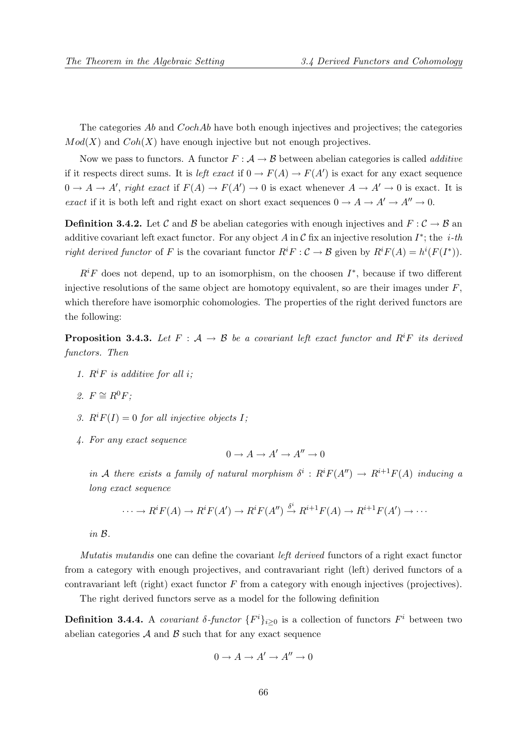The categories Ab and CochAb have both enough injectives and projectives; the categories  $Mod(X)$  and  $Coh(X)$  have enough injective but not enough projectives.

Now we pass to functors. A functor  $F : A \to B$  between abelian categories is called *additive* if it respects direct sums. It is *left exact* if  $0 \to F(A) \to F(A')$  is exact for any exact sequence  $0 \to A \to A'$ , right exact if  $F(A) \to F(A') \to 0$  is exact whenever  $A \to A' \to 0$  is exact. It is exact if it is both left and right exact on short exact sequences  $0 \to A \to A' \to A'' \to 0$ .

**Definition 3.4.2.** Let C and B be abelian categories with enough injectives and  $F : C \to B$  and additive covariant left exact functor. For any object A in C fix an injective resolution  $I^*$ ; the *i-th* right derived functor of F is the covariant functor  $R^i F : C \to B$  given by  $R^i F(A) = h^i(F(I^*))$ .

 $R<sup>i</sup>F$  does not depend, up to an isomorphism, on the choosen  $I^*$ , because if two different injective resolutions of the same object are homotopy equivalent, so are their images under  $F$ , which therefore have isomorphic cohomologies. The properties of the right derived functors are the following:

**Proposition 3.4.3.** Let  $F : A \rightarrow B$  be a covariant left exact functor and  $R^iF$  its derived functors. Then

- 1.  $R^iF$  is additive for all i;
- 2.  $F \cong R^0 F$ :
- 3.  $R^i F(I) = 0$  for all injective objects I;
- 4. For any exact sequence

$$
0 \to A \to A' \to A'' \to 0
$$

in A there exists a family of natural morphism  $\delta^i : R^i F(A'') \to R^{i+1} F(A)$  inducing a long exact sequence

$$
\cdots \to R^i F(A) \to R^i F(A') \to R^i F(A'') \xrightarrow{\delta^i} R^{i+1} F(A) \to R^{i+1} F(A') \to \cdots
$$

in B.

Mutatis mutandis one can define the covariant left derived functors of a right exact functor from a category with enough projectives, and contravariant right (left) derived functors of a contravariant left (right) exact functor  $F$  from a category with enough injectives (projectives).

The right derived functors serve as a model for the following definition

**Definition 3.4.4.** A covariant  $\delta$ -functor  $\{F^i\}_{i\geq 0}$  is a collection of functors  $F^i$  between two abelian categories  $A$  and  $B$  such that for any exact sequence

$$
0 \to A \to A' \to A'' \to 0
$$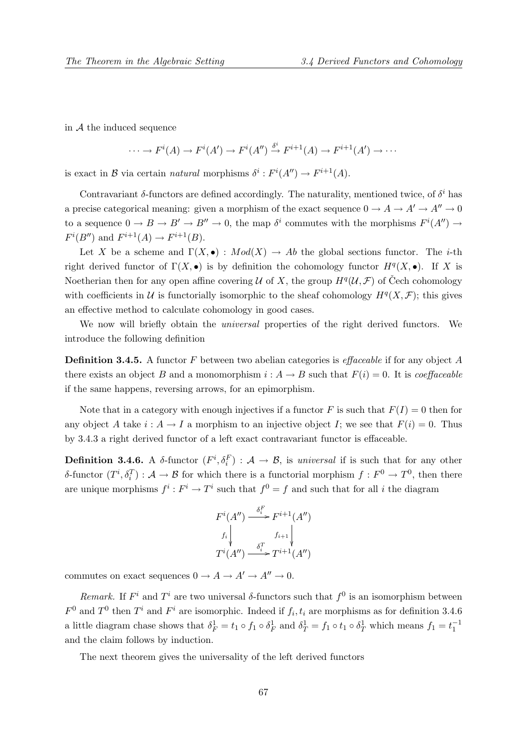in  $A$  the induced sequence

$$
\cdots \to F^{i}(A) \to F^{i}(A') \to F^{i}(A'') \xrightarrow{\delta^{i}} F^{i+1}(A) \to F^{i+1}(A') \to \cdots
$$

is exact in B via certain *natural* morphisms  $\delta^i : F^i(A'') \to F^{i+1}(A)$ .

Contravariant  $\delta$ -functors are defined accordingly. The naturality, mentioned twice, of  $\delta^i$  has a precise categorical meaning: given a morphism of the exact sequence  $0 \to A \to A' \to A'' \to 0$ to a sequence  $0 \to B \to B' \to B'' \to 0$ , the map  $\delta^i$  commutes with the morphisms  $F^i(A'') \to$  $F^{i}(B'')$  and  $F^{i+1}(A) \to F^{i+1}(B)$ .

Let X be a scheme and  $\Gamma(X, \bullet) : Mod(X) \to Ab$  the global sections functor. The *i*-th right derived functor of  $\Gamma(X, \bullet)$  is by definition the cohomology functor  $H^q(X, \bullet)$ . If X is Noetherian then for any open affine covering U of X, the group  $H^q(\mathcal{U}, \mathcal{F})$  of Čech cohomology with coefficients in U is functorially isomorphic to the sheaf cohomology  $H^q(X, \mathcal{F})$ ; this gives an effective method to calculate cohomology in good cases.

We now will briefly obtain the universal properties of the right derived functors. We introduce the following definition

**Definition 3.4.5.** A functor F between two abelian categories is *effaceable* if for any object A there exists an object B and a monomorphism  $i : A \to B$  such that  $F(i) = 0$ . It is *coeffaceable* if the same happens, reversing arrows, for an epimorphism.

Note that in a category with enough injectives if a functor F is such that  $F(I) = 0$  then for any object A take  $i : A \to I$  a morphism to an injective object I; we see that  $F(i) = 0$ . Thus by 3.4.3 a right derived functor of a left exact contravariant functor is effaceable.

**Definition 3.4.6.** A  $\delta$ -functor  $(F^i, \delta_i^F) : A \to B$ , is universal if is such that for any other δ-functor  $(T^i, \delta_i^T) : A \to B$  for which there is a functorial morphism  $f : F^0 \to T^0$ , then there are unique morphisms  $f^i : F^i \to T^i$  such that  $f^0 = f$  and such that for all i the diagram

$$
F^{i}(A'') \xrightarrow{\delta_i^F} F^{i+1}(A'')
$$
  
\n
$$
f_i \downarrow \qquad f_{i+1} \downarrow
$$
  
\n
$$
T^{i}(A'') \xrightarrow{\delta_i^T} T^{i+1}(A'')
$$

commutes on exact sequences  $0 \to A \to A' \to A'' \to 0$ .

Remark. If  $F^i$  and  $T^i$  are two universal  $\delta$ -functors such that  $f^0$  is an isomorphism between  $F^0$  and  $T^0$  then  $T^i$  and  $F^i$  are isomorphic. Indeed if  $f_i, t_i$  are morphisms as for definition 3.4.6 a little diagram chase shows that  $\delta_F^1 = t_1 \circ f_1 \circ \delta_F^1$  and  $\delta_T^1 = f_1 \circ t_1 \circ \delta_T^1$  which means  $f_1 = t_1^{-1}$ and the claim follows by induction.

The next theorem gives the universality of the left derived functors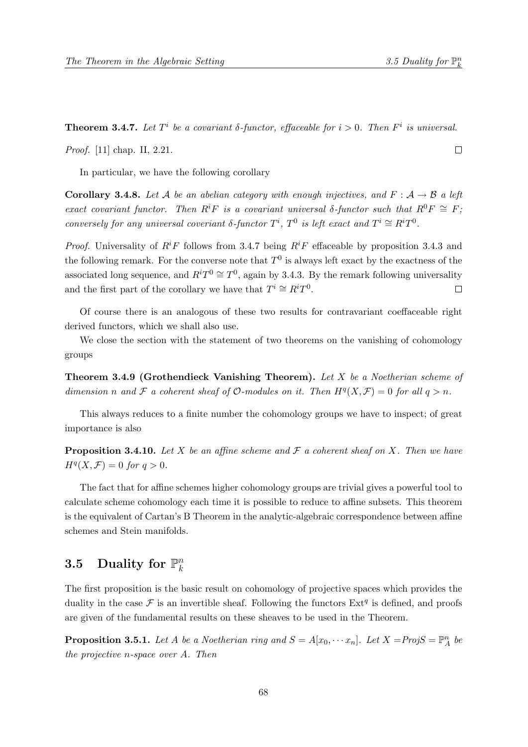Proof. [11] chap. II, 2.21.

 $\Box$ 

In particular, we have the following corollary

**Corollary 3.4.8.** Let A be an abelian category with enough injectives, and  $F : A \rightarrow B$  a left exact covariant functor. Then  $R^iF$  is a covariant universal δ-functor such that  $R^0F \cong F$ ; conversely for any universal coveriant  $\delta$ -functor  $T^i$ ,  $T^0$  is left exact and  $T^i \cong R^i T^0$ .

**Theorem 3.4.7.** Let  $T^i$  be a covariant  $\delta$ -functor, effaceable for  $i > 0$ . Then  $F^i$  is universal.

*Proof.* Universality of  $R^iF$  follows from 3.4.7 being  $R^iF$  effaceable by proposition 3.4.3 and the following remark. For the converse note that  $T^0$  is always left exact by the exactness of the associated long sequence, and  $R^i T^0 \cong T^0$ , again by 3.4.3. By the remark following universality and the first part of the corollary we have that  $T^i \cong R^i T^0$ .  $\Box$ 

Of course there is an analogous of these two results for contravariant coeffaceable right derived functors, which we shall also use.

We close the section with the statement of two theorems on the vanishing of cohomology groups

Theorem 3.4.9 (Grothendieck Vanishing Theorem). Let X be a Noetherian scheme of dimension n and F a coherent sheaf of  $\mathcal O$ -modules on it. Then  $H^q(X, \mathcal F) = 0$  for all  $q > n$ .

This always reduces to a finite number the cohomology groups we have to inspect; of great importance is also

**Proposition 3.4.10.** Let X be an affine scheme and  $\mathcal F$  a coherent sheaf on X. Then we have  $H^q(X, \mathcal{F}) = 0$  for  $q > 0$ .

The fact that for affine schemes higher cohomology groups are trivial gives a powerful tool to calculate scheme cohomology each time it is possible to reduce to affine subsets. This theorem is the equivalent of Cartan's B Theorem in the analytic-algebraic correspondence between affine schemes and Stein manifolds.

## 3.5 Duality for  $\mathbb{P}_k^n$ k

The first proposition is the basic result on cohomology of projective spaces which provides the duality in the case  $\mathcal F$  is an invertible sheaf. Following the functors  $Ext^q$  is defined, and proofs are given of the fundamental results on these sheaves to be used in the Theorem.

**Proposition 3.5.1.** Let A be a Noetherian ring and  $S = A[x_0, \cdots x_n]$ . Let  $X = ProjS = \mathbb{P}_A^n$  be the projective n-space over A. Then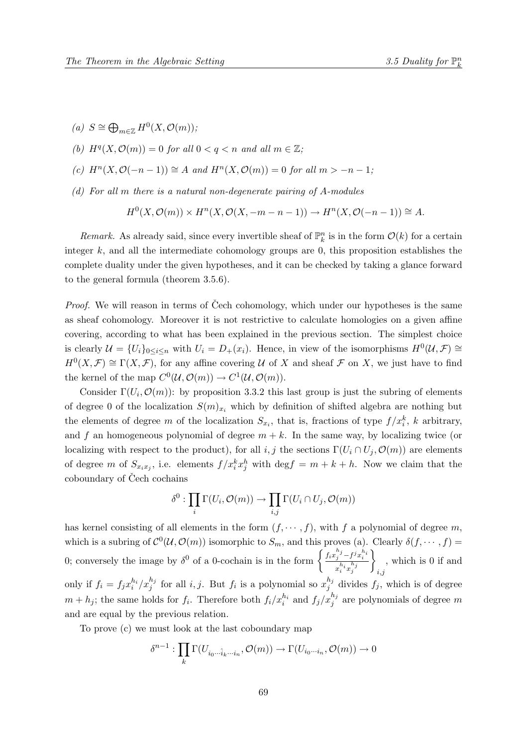- (a)  $S \cong \bigoplus_{m \in \mathbb{Z}} H^0(X, \mathcal{O}(m));$
- (b)  $H^q(X, \mathcal{O}(m)) = 0$  for all  $0 < q < n$  and all  $m \in \mathbb{Z}$ ;
- (c)  $H<sup>n</sup>(X, \mathcal{O}(-n-1)) \cong A$  and  $H<sup>n</sup>(X, \mathcal{O}(m)) = 0$  for all  $m > -n-1$ ;
- (d) For all m there is a natural non-degenerate pairing of A-modules

$$
H^{0}(X, \mathcal{O}(m)) \times H^{n}(X, \mathcal{O}(X, -m-n-1)) \to H^{n}(X, \mathcal{O}(-n-1)) \cong A.
$$

Remark. As already said, since every invertible sheaf of  $\mathbb{P}_k^n$  is in the form  $\mathcal{O}(k)$  for a certain integer  $k$ , and all the intermediate cohomology groups are 0, this proposition establishes the complete duality under the given hypotheses, and it can be checked by taking a glance forward to the general formula (theorem 3.5.6).

*Proof.* We will reason in terms of Čech cohomology, which under our hypotheses is the same as sheaf cohomology. Moreover it is not restrictive to calculate homologies on a given affine covering, according to what has been explained in the previous section. The simplest choice is clearly  $\mathcal{U} = \{U_i\}_{0 \leq i \leq n}$  with  $U_i = D_+(x_i)$ . Hence, in view of the isomorphisms  $H^0(\mathcal{U}, \mathcal{F}) \cong$  $H^0(X,\mathcal{F}) \cong \Gamma(X,\mathcal{F})$ , for any affine covering U of X and sheaf F on X, we just have to find the kernel of the map  $C^0(\mathcal{U}, \mathcal{O}(m)) \to C^1(\mathcal{U}, \mathcal{O}(m)).$ 

Consider  $\Gamma(U_i, \mathcal{O}(m))$ : by proposition 3.3.2 this last group is just the subring of elements of degree 0 of the localization  $S(m)_{x_i}$  which by definition of shifted algebra are nothing but the elements of degree m of the localization  $S_{x_i}$ , that is, fractions of type  $f/x_i^k$ , k arbitrary, and f an homogeneous polynomial of degree  $m + k$ . In the same way, by localizing twice (or localizing with respect to the product), for all i, j the sections  $\Gamma(U_i \cap U_j, \mathcal{O}(m))$  are elements of degree m of  $S_{x_ix_j}$ , i.e. elements  $f/x_i^kx_j^h$  with  $\deg f = m + k + h$ . Now we claim that the coboundary of Čech cochains

$$
\delta^0: \prod_i \Gamma(U_i, \mathcal{O}(m)) \to \prod_{i,j} \Gamma(U_i \cap U_j, \mathcal{O}(m))
$$

has kernel consisting of all elements in the form  $(f, \dots, f)$ , with f a polynomial of degree m, which is a subring of  $\mathcal{C}^0(\mathcal{U}, \mathcal{O}(m))$  isomorphic to  $S_m$ , and this proves (a). Clearly  $\delta(f, \dots, f)$  = 0; conversely the image by  $\delta^0$  of a 0-cochain is in the form  $\begin{cases} \frac{f_i x_j^{h_j} - f^j x_i^{h_i}}{h_i - h_i} \end{cases}$  $x_i^{h_i}x_j^{h_j}$  $\mathcal{L}$  $i,j$ , which is 0 if and only if  $f_i = f_j x_i^{h_i}/x_j^{h_j}$  for all  $i, j$ . But  $f_i$  is a polynomial so  $x_j^{h_j}$  $j_j^{u_j}$  divides  $f_j$ , which is of degree  $m + h_j$ ; the same holds for  $f_i$ . Therefore both  $f_i/x_i^{h_i}$  and  $f_j/x_j^{h_j}$  are polynomials of degree m and are equal by the previous relation.

To prove (c) we must look at the last coboundary map

$$
\delta^{n-1}: \prod_k \Gamma(U_{i_0\cdots \hat{i}_k\cdots i_n}, \mathcal{O}(m)) \to \Gamma(U_{i_0\cdots i_n}, \mathcal{O}(m)) \to 0
$$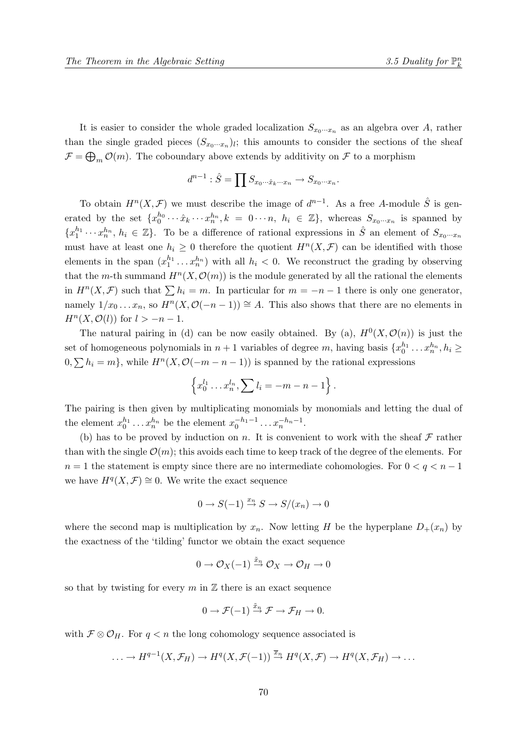It is easier to consider the whole graded localization  $S_{x_0\cdots x_n}$  as an algebra over A, rather than the single graded pieces  $(S_{x_0\cdots x_n})_l$ ; this amounts to consider the sections of the sheaf  $\mathcal{F} = \bigoplus_m \mathcal{O}(m)$ . The coboundary above extends by additivity on  $\mathcal{F}$  to a morphism

$$
d^{n-1} : \hat{S} = \prod S_{x_0 \cdots \hat{x}_k \cdots x_n} \rightarrow S_{x_0 \cdots x_n}.
$$

To obtain  $H^{n}(X,\mathcal{F})$  we must describe the image of  $d^{n-1}$ . As a free A-module  $\hat{S}$  is generated by the set  $\{x_0^{h_0}\cdots \hat{x}_k\cdots x_n^{h_n}, k = 0\cdots n, h_i \in \mathbb{Z}\}$ , whereas  $S_{x_0\cdots x_n}$  is spanned by  ${x_1^{h_1} \cdots x_n^{h_n}, h_i \in \mathbb{Z}}$ . To be a difference of rational expressions in  $\hat{S}$  an element of  $S_{x_0 \cdots x_n}$ must have at least one  $h_i \geq 0$  therefore the quotient  $H^n(X, \mathcal{F})$  can be identified with those elements in the span  $(x_1^{h_1} \ldots x_n^{h_n})$  with all  $h_i < 0$ . We reconstruct the grading by observing that the m-th summand  $H^{n}(X, \mathcal{O}(m))$  is the module generated by all the rational the elements in  $H^{n}(X,\mathcal{F})$  such that  $\sum h_i = m$ . In particular for  $m = -n-1$  there is only one generator, namely  $1/x_0 \ldots x_n$ , so  $H^n(X, \mathcal{O}(-n-1)) \cong A$ . This also shows that there are no elements in  $H^n(X, \mathcal{O}(l))$  for  $l > -n-1$ .

The natural pairing in (d) can be now easily obtained. By (a),  $H^0(X, \mathcal{O}(n))$  is just the set of homogeneous polynomials in  $n+1$  variables of degree m, having basis  $\{x_0^{h_1} \dots x_n^{h_n}, h_i \geq$  $0, \sum h_i = m$ , while  $H^n(X, \mathcal{O}(-m - n - 1))$  is spanned by the rational expressions

$$
\left\{x_0^{l_1}\ldots x_n^{l_n},\sum l_i=-m-n-1\right\}.
$$

The pairing is then given by multiplicating monomials by monomials and letting the dual of the element  $x_0^{h_1} \dots x_n^{h_n}$  be the element  $x_0^{-h_1-1} \dots x_n^{-h_n-1}$ .

(b) has to be proved by induction on n. It is convenient to work with the sheaf  $\mathcal F$  rather than with the single  $\mathcal{O}(m)$ ; this avoids each time to keep track of the degree of the elements. For  $n = 1$  the statement is empty since there are no intermediate cohomologies. For  $0 < q < n - 1$ we have  $H^q(X, \mathcal{F}) \cong 0$ . We write the exact sequence

$$
0 \to S(-1) \xrightarrow{x_n} S \to S/(x_n) \to 0
$$

where the second map is multiplication by  $x_n$ . Now letting H be the hyperplane  $D_+(x_n)$  by the exactness of the 'tilding' functor we obtain the exact sequence

$$
0 \to \mathcal{O}_X(-1) \xrightarrow{\tilde{x}_n} \mathcal{O}_X \to \mathcal{O}_H \to 0
$$

so that by twisting for every m in  $\mathbb Z$  there is an exact sequence

$$
0 \to \mathcal{F}(-1) \xrightarrow{\tilde{x}_n} \mathcal{F} \to \mathcal{F}_H \to 0.
$$

with  $\mathcal{F} \otimes \mathcal{O}_H$ . For  $q < n$  the long cohomology sequence associated is

$$
\ldots \to H^{q-1}(X,\mathcal{F}_H) \to H^q(X,\mathcal{F}(-1)) \xrightarrow{\overline{x}_n} H^q(X,\mathcal{F}) \to H^q(X,\mathcal{F}_H) \to \ldots
$$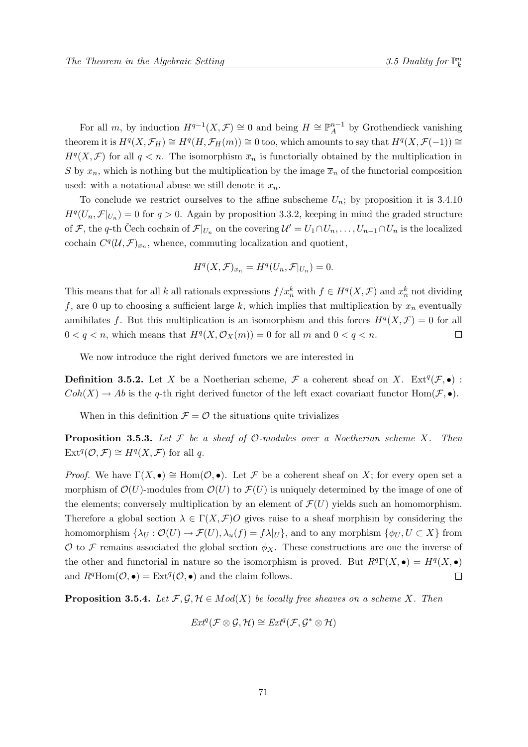For all m, by induction  $H^{q-1}(X,\mathcal{F}) \cong 0$  and being  $H \cong \mathbb{P}_{A}^{n-1}$  $_A^{n-1}$  by Grothendieck vanishing theorem it is  $H^q(X, \mathcal{F}_H) \cong H^q(H, \mathcal{F}_H(m)) \cong 0$  too, which amounts to say that  $H^q(X, \mathcal{F}(-1)) \cong$  $H^q(X, \mathcal{F})$  for all  $q < n$ . The isomorphism  $\bar{x}_n$  is functorially obtained by the multiplication in S by  $x_n$ , which is nothing but the multiplication by the image  $\overline{x}_n$  of the functorial composition used: with a notational abuse we still denote it  $x_n$ .

To conclude we restrict ourselves to the affine subscheme  $U_n$ ; by proposition it is 3.4.10  $H^q(U_n, \mathcal{F}|_{U_n}) = 0$  for  $q > 0$ . Again by proposition 3.3.2, keeping in mind the graded structure of F, the q-th Čech cochain of  $\mathcal{F}|_{U_n}$  on the covering  $\mathcal{U}'=U_1\cap U_n,\ldots,U_{n-1}\cap U_n$  is the localized cochain  $C^q(\mathcal{U}, \mathcal{F})_{x_n}$ , whence, commuting localization and quotient,

$$
H^{q}(X,\mathcal{F})_{x_n} = H^{q}(U_n,\mathcal{F}|_{U_n}) = 0.
$$

This means that for all k all rationals expressions  $f/x_n^k$  with  $f \in H^q(X, \mathcal{F})$  and  $x_n^k$  not dividing f, are 0 up to choosing a sufficient large k, which implies that multiplication by  $x_n$  eventually annihilates f. But this multiplication is an isomorphism and this forces  $H^q(X, \mathcal{F}) = 0$  for all  $0 < q < n$ , which means that  $H<sup>q</sup>(X, \mathcal{O}_X(m)) = 0$  for all m and  $0 < q < n$ .  $\Box$ 

We now introduce the right derived functors we are interested in

**Definition 3.5.2.** Let X be a Noetherian scheme,  $\mathcal{F}$  a coherent sheaf on X. Ext<sup>q</sup>( $\mathcal{F}, \bullet$ ) :  $Coh(X) \to Ab$  is the q-th right derived functor of the left exact covariant functor  $Hom(\mathcal{F}, \bullet)$ .

When in this definition  $\mathcal{F} = \mathcal{O}$  the situations quite trivializes

**Proposition 3.5.3.** Let  $\mathcal F$  be a sheaf of  $\mathcal O$ -modules over a Noetherian scheme X. Then  $\text{Ext}^q(\mathcal{O}, \mathcal{F}) \cong H^q(X, \mathcal{F})$  for all q.

*Proof.* We have  $\Gamma(X, \bullet) \cong \text{Hom}(\mathcal{O}, \bullet)$ . Let F be a coherent sheaf on X; for every open set a morphism of  $\mathcal{O}(U)$ -modules from  $\mathcal{O}(U)$  to  $\mathcal{F}(U)$  is uniquely determined by the image of one of the elements; conversely multiplication by an element of  $\mathcal{F}(U)$  yields such an homomorphism. Therefore a global section  $\lambda \in \Gamma(X, \mathcal{F})$  gives raise to a sheaf morphism by considering the homomorphism  $\{\lambda_U : \mathcal{O}(U) \to \mathcal{F}(U), \lambda_u(f) = f\lambda|_U\}$ , and to any morphism  $\{\phi_U, U \subset X\}$  from O to F remains associated the global section  $\phi_X$ . These constructions are one the inverse of the other and functorial in nature so the isomorphism is proved. But  $R^q\Gamma(X, \bullet) = H^q(X, \bullet)$ and  $R^q \text{Hom}(\mathcal{O}, \bullet) = \text{Ext}^q(\mathcal{O}, \bullet)$  and the claim follows.  $\Box$ 

**Proposition 3.5.4.** Let  $\mathcal{F}, \mathcal{G}, \mathcal{H} \in Mod(X)$  be locally free sheaves on a scheme X. Then

$$
Ext^q(\mathcal{F} \otimes \mathcal{G}, \mathcal{H}) \cong Ext^q(\mathcal{F}, \mathcal{G}^* \otimes \mathcal{H})
$$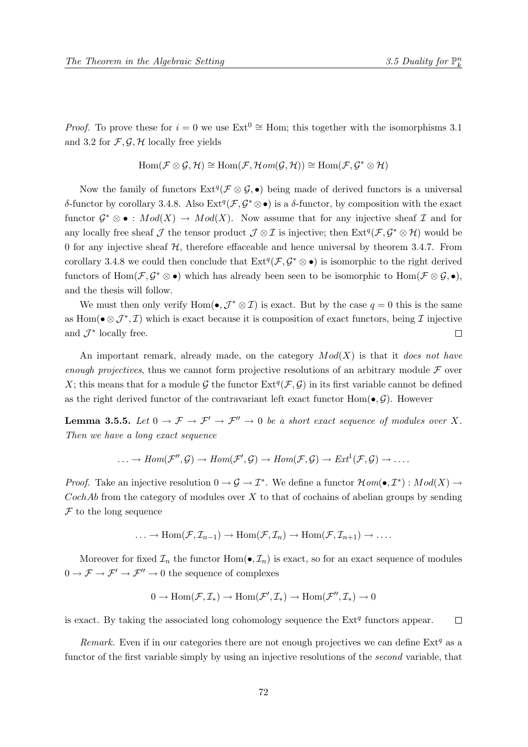*Proof.* To prove these for  $i = 0$  we use Ext<sup>0</sup> ≅ Hom; this together with the isomorphisms 3.1 and 3.2 for  $\mathcal{F}, \mathcal{G}, \mathcal{H}$  locally free yields

$$
\operatorname{Hom}(\mathcal{F}\otimes\mathcal{G},\mathcal{H})\cong \operatorname{Hom}(\mathcal{F},\mathcal{H}\mathit{om}(\mathcal{G},\mathcal{H}))\cong \operatorname{Hom}(\mathcal{F},\mathcal{G}^*\otimes\mathcal{H})
$$

Now the family of functors  $Ext^q(\mathcal{F} \otimes \mathcal{G}, \bullet)$  being made of derived functors is a universal δ-functor by corollary 3.4.8. Also  $Ext^q(\mathcal{F}, \mathcal{G}^* \otimes \bullet)$  is a δ-functor, by composition with the exact functor  $\mathcal{G}^* \otimes \bullet : Mod(X) \to Mod(X)$ . Now assume that for any injective sheaf  $\mathcal{I}$  and for any locally free sheaf  $\mathcal J$  the tensor product  $\mathcal J \otimes \mathcal I$  is injective; then  $\text{Ext}^q(\mathcal F, \mathcal G^* \otimes \mathcal H)$  would be 0 for any injective sheaf  $H$ , therefore effaceable and hence universal by theorem 3.4.7. From corollary 3.4.8 we could then conclude that  $Ext^q(\mathcal{F}, \mathcal{G}^* \otimes \bullet)$  is isomorphic to the right derived functors of  $\text{Hom}(\mathcal{F}, \mathcal{G}^* \otimes \bullet)$  which has already been seen to be isomorphic to  $\text{Hom}(\mathcal{F} \otimes \mathcal{G}, \bullet)$ , and the thesis will follow.

We must then only verify  $Hom(\bullet, \mathcal{J}^* \otimes \mathcal{I})$  is exact. But by the case  $q = 0$  this is the same as Hom( $\bullet \otimes \mathcal{J}^*, \mathcal{I}$ ) which is exact because it is composition of exact functors, being  $\mathcal{I}$  injective and  $\mathcal{J}^*$  locally free.  $\Box$ 

An important remark, already made, on the category  $Mod(X)$  is that it does not have enough projectives, thus we cannot form projective resolutions of an arbitrary module  $\mathcal F$  over X; this means that for a module G the functor  $\text{Ext}^q(\mathcal{F}, \mathcal{G})$  in its first variable cannot be defined as the right derived functor of the contravariant left exact functor  $Hom(\bullet, \mathcal{G})$ . However

**Lemma 3.5.5.** Let  $0 \to \mathcal{F} \to \mathcal{F}' \to \mathcal{F}'' \to 0$  be a short exact sequence of modules over X. Then we have a long exact sequence

$$
\ldots \to Hom(\mathcal{F}'',\mathcal{G}) \to Hom(\mathcal{F}',\mathcal{G}) \to Hom(\mathcal{F},\mathcal{G}) \to Ext^1(\mathcal{F},\mathcal{G}) \to \ldots.
$$

*Proof.* Take an injective resolution  $0 \to \mathcal{G} \to \mathcal{I}^*$ . We define a functor  $\mathcal{H}om(\bullet, \mathcal{I}^*) : Mod(X) \to$  $CochAb$  from the category of modules over X to that of cochains of abelian groups by sending  $\mathcal F$  to the long sequence

$$
\ldots \to \operatorname{Hom}(\mathcal{F}, \mathcal{I}_{n-1}) \to \operatorname{Hom}(\mathcal{F}, \mathcal{I}_{n}) \to \operatorname{Hom}(\mathcal{F}, \mathcal{I}_{n+1}) \to \ldots.
$$

Moreover for fixed  $\mathcal{I}_n$  the functor  $\text{Hom}(\bullet, \mathcal{I}_n)$  is exact, so for an exact sequence of modules  $0 \to \mathcal{F} \to \mathcal{F}' \to \mathcal{F}'' \to 0$  the sequence of complexes

$$
0 \to \operatorname{Hom}(\mathcal{F}, \mathcal{I}_*) \to \operatorname{Hom}(\mathcal{F}', \mathcal{I}_*) \to \operatorname{Hom}(\mathcal{F}'', \mathcal{I}_*) \to 0
$$

is exact. By taking the associated long cohomology sequence the  $Ext<sup>q</sup>$  functors appear.  $\Box$ 

Remark. Even if in our categories there are not enough projectives we can define  $Ext<sup>q</sup>$  as a functor of the first variable simply by using an injective resolutions of the *second* variable, that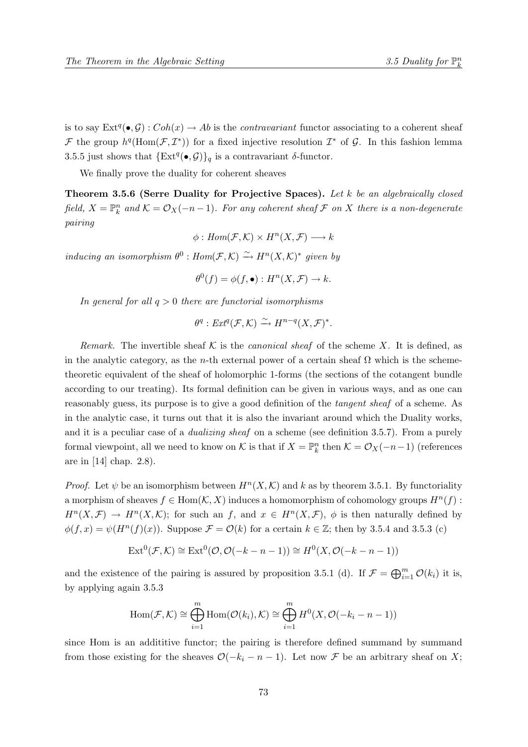is to say  $\text{Ext}^q(\bullet, \mathcal{G}): Coh(x) \to Ab$  is the *contravariant* functor associating to a coherent sheaf F the group  $h^q(\text{Hom}(\mathcal{F},\mathcal{I}^*))$  for a fixed injective resolution  $\mathcal{I}^*$  of G. In this fashion lemma 3.5.5 just shows that  $\{\text{Ext}^q(\bullet, \mathcal{G})\}_q$  is a contravariant  $\delta$ -functor.

We finally prove the duality for coherent sheaves

Theorem 3.5.6 (Serre Duality for Projective Spaces). Let k be an algebraically closed field,  $X = \mathbb{P}_k^n$  and  $\mathcal{K} = \mathcal{O}_X(-n-1)$ . For any coherent sheaf  $\mathcal F$  on  $X$  there is a non-degenerate pairing

$$
\phi: Hom(\mathcal{F}, \mathcal{K}) \times H^n(X, \mathcal{F}) \longrightarrow k
$$

inducing an isomorphism  $\theta^0$ :  $Hom(\mathcal{F}, \mathcal{K}) \stackrel{\sim}{\rightarrow} H^n(X, \mathcal{K})^*$  given by

$$
\theta^0(f) = \phi(f, \bullet) : H^n(X, \mathcal{F}) \to k.
$$

In general for all  $q > 0$  there are functorial isomorphisms

$$
\theta^q: Ext^q(\mathcal{F}, \mathcal{K}) \xrightarrow{\sim} H^{n-q}(X, \mathcal{F})^*.
$$

Remark. The invertible sheaf K is the *canonical sheaf* of the scheme X. It is defined, as in the analytic category, as the *n*-th external power of a certain sheaf  $\Omega$  which is the schemetheoretic equivalent of the sheaf of holomorphic 1-forms (the sections of the cotangent bundle according to our treating). Its formal definition can be given in various ways, and as one can reasonably guess, its purpose is to give a good definition of the tangent sheaf of a scheme. As in the analytic case, it turns out that it is also the invariant around which the Duality works, and it is a peculiar case of a *dualizing sheaf* on a scheme (see definition 3.5.7). From a purely formal viewpoint, all we need to know on K is that if  $X = \mathbb{P}_k^n$  then  $\mathcal{K} = \mathcal{O}_X(-n-1)$  (references are in [14] chap. 2.8).

*Proof.* Let  $\psi$  be an isomorphism between  $H^n(X, \mathcal{K})$  and k as by theorem 3.5.1. By functoriality a morphism of sheaves  $f \in \text{Hom}(\mathcal{K}, X)$  induces a homomorphism of cohomology groups  $H^n(f)$ :  $H^n(X,\mathcal{F}) \to H^n(X,\mathcal{K})$ ; for such an f, and  $x \in H^n(X,\mathcal{F})$ ,  $\phi$  is then naturally defined by  $\phi(f,x) = \psi(H^n(f)(x))$ . Suppose  $\mathcal{F} = \mathcal{O}(k)$  for a certain  $k \in \mathbb{Z}$ ; then by 3.5.4 and 3.5.3 (c)

$$
Ext^{0}(\mathcal{F},\mathcal{K}) \cong Ext^{0}(\mathcal{O},\mathcal{O}(-k-n-1)) \cong H^{0}(X,\mathcal{O}(-k-n-1))
$$

and the existence of the pairing is assured by proposition 3.5.1 (d). If  $\mathcal{F} = \bigoplus_{i=1}^m \mathcal{O}(k_i)$  it is, by applying again 3.5.3

$$
\operatorname{Hom}(\mathcal{F}, \mathcal{K}) \cong \bigoplus_{i=1}^{m} \operatorname{Hom}(\mathcal{O}(k_i), \mathcal{K}) \cong \bigoplus_{i=1}^{m} H^0(X, \mathcal{O}(-k_i - n - 1))
$$

since Hom is an addititive functor; the pairing is therefore defined summand by summand from those existing for the sheaves  $\mathcal{O}(-k_i - n - 1)$ . Let now  $\mathcal F$  be an arbitrary sheaf on X;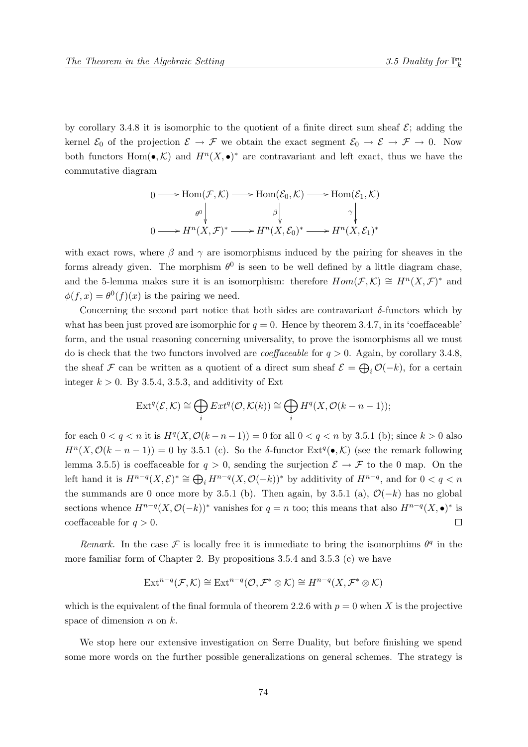by corollary 3.4.8 it is isomorphic to the quotient of a finite direct sum sheaf  $\mathcal{E}$ ; adding the kernel  $\mathcal{E}_0$  of the projection  $\mathcal{E} \to \mathcal{F}$  we obtain the exact segment  $\mathcal{E}_0 \to \mathcal{E} \to \mathcal{F} \to 0$ . Now both functors Hom( $\bullet$ , K) and  $H^n(X, \bullet)^*$  are contravariant and left exact, thus we have the commutative diagram

$$
0 \longrightarrow \text{Hom}(\mathcal{F}, \mathcal{K}) \longrightarrow \text{Hom}(\mathcal{E}_0, \mathcal{K}) \longrightarrow \text{Hom}(\mathcal{E}_1, \mathcal{K})
$$

$$
\begin{array}{c} \theta^0 \downarrow & \beta \downarrow & \gamma \downarrow \\ 0 \longrightarrow H^n(X, \mathcal{F})^* \longrightarrow H^n(X, \mathcal{E}_0)^* \longrightarrow H^n(X, \mathcal{E}_1)^* \end{array}
$$

with exact rows, where  $\beta$  and  $\gamma$  are isomorphisms induced by the pairing for sheaves in the forms already given. The morphism  $\theta^0$  is seen to be well defined by a little diagram chase, and the 5-lemma makes sure it is an isomorphism: therefore  $Hom(\mathcal{F},\mathcal{K}) \cong H^n(X,\mathcal{F})^*$  and  $\phi(f, x) = \theta^{0}(f)(x)$  is the pairing we need.

Concerning the second part notice that both sides are contravariant  $\delta$ -functors which by what has been just proved are isomorphic for  $q = 0$ . Hence by theorem 3.4.7, in its 'coeffaceable' form, and the usual reasoning concerning universality, to prove the isomorphisms all we must do is check that the two functors involved are *coeffaceable* for  $q > 0$ . Again, by corollary 3.4.8, the sheaf F can be written as a quotient of a direct sum sheaf  $\mathcal{E} = \bigoplus_i \mathcal{O}(-k)$ , for a certain integer  $k > 0$ . By 3.5.4, 3.5.3, and additivity of Ext

$$
\operatorname{Ext}^q(\mathcal{E}, \mathcal{K}) \cong \bigoplus_i \operatorname{Ext}^q(\mathcal{O}, \mathcal{K}(k)) \cong \bigoplus_i H^q(X, \mathcal{O}(k - n - 1));
$$

for each  $0 < q < n$  it is  $H<sup>q</sup>(X, \mathcal{O}(k-n-1)) = 0$  for all  $0 < q < n$  by 3.5.1 (b); since  $k > 0$  also  $H^{n}(X, \mathcal{O}(k-n-1)) = 0$  by 3.5.1 (c). So the δ-functor  $\text{Ext}^{q}(\bullet, \mathcal{K})$  (see the remark following lemma 3.5.5) is coeffaceable for  $q > 0$ , sending the surjection  $\mathcal{E} \to \mathcal{F}$  to the 0 map. On the left hand it is  $H^{n-q}(X,\mathcal{E})^* \cong \bigoplus_i H^{n-q}(X,\mathcal{O}(-k))^*$  by additivity of  $H^{n-q}$ , and for  $0 < q < n$ the summands are 0 once more by 3.5.1 (b). Then again, by 3.5.1 (a),  $\mathcal{O}(-k)$  has no global sections whence  $H^{n-q}(X, \mathcal{O}(-k))^*$  vanishes for  $q = n$  too; this means that also  $H^{n-q}(X, \bullet)^*$  is coeffaceable for  $q > 0$ .  $\Box$ 

Remark. In the case  $\mathcal F$  is locally free it is immediate to bring the isomorphims  $\theta^q$  in the more familiar form of Chapter 2. By propositions 3.5.4 and 3.5.3 (c) we have

$$
\text{Ext}^{n-q}(\mathcal{F},\mathcal{K})\cong\text{Ext}^{n-q}(\mathcal{O},\mathcal{F}^*\otimes\mathcal{K})\cong H^{n-q}(X,\mathcal{F}^*\otimes\mathcal{K})
$$

which is the equivalent of the final formula of theorem 2.2.6 with  $p = 0$  when X is the projective space of dimension  $n$  on  $k$ .

We stop here our extensive investigation on Serre Duality, but before finishing we spend some more words on the further possible generalizations on general schemes. The strategy is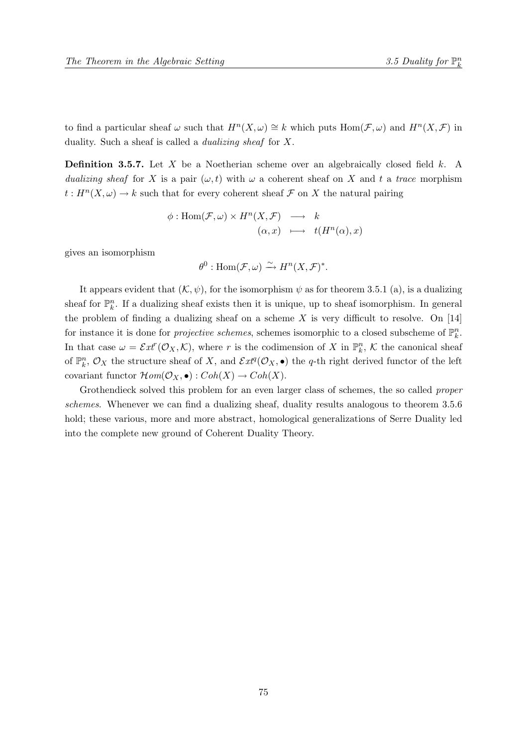to find a particular sheaf  $\omega$  such that  $H^n(X, \omega) \cong k$  which puts  $\text{Hom}(\mathcal{F}, \omega)$  and  $H^n(X, \mathcal{F})$  in duality. Such a sheaf is called a dualizing sheaf for X.

**Definition 3.5.7.** Let X be a Noetherian scheme over an algebraically closed field  $k$ . A dualizing sheaf for X is a pair  $(\omega, t)$  with  $\omega$  a coherent sheaf on X and t a trace morphism  $t: H<sup>n</sup>(X, \omega) \to k$  such that for every coherent sheaf  $\mathcal F$  on X the natural pairing

$$
\begin{array}{rcl}\n\phi: \mathrm{Hom}(\mathcal{F}, \omega) \times H^n(X, \mathcal{F}) & \longrightarrow & k \\
(\alpha, x) & \longmapsto & t(H^n(\alpha), x)\n\end{array}
$$

gives an isomorphism

$$
\theta^0: \text{Hom}(\mathcal{F}, \omega) \xrightarrow{\sim} H^n(X, \mathcal{F})^*.
$$

It appears evident that  $(K, \psi)$ , for the isomorphism  $\psi$  as for theorem 3.5.1 (a), is a dualizing sheaf for  $\mathbb{P}_k^n$ . If a dualizing sheaf exists then it is unique, up to sheaf isomorphism. In general the problem of finding a dualizing sheaf on a scheme X is very difficult to resolve. On  $[14]$ for instance it is done for *projective schemes*, schemes isomorphic to a closed subscheme of  $\mathbb{P}_k^n$ . In that case  $\omega = \mathcal{E}xt^r(\mathcal{O}_X,\mathcal{K})$ , where r is the codimension of X in  $\mathbb{P}_k^n$ , K the canonical sheaf of  $\mathbb{P}_k^n$ ,  $\mathcal{O}_X$  the structure sheaf of X, and  $\mathcal{E}xt^q(\mathcal{O}_X,\bullet)$  the q-th right derived functor of the left covariant functor  $\mathcal{H}\mathit{om}(\mathcal{O}_X,\bullet): \mathit{Coh}(X) \to \mathit{Coh}(X).$ 

Grothendieck solved this problem for an even larger class of schemes, the so called *proper* schemes. Whenever we can find a dualizing sheaf, duality results analogous to theorem 3.5.6 hold; these various, more and more abstract, homological generalizations of Serre Duality led into the complete new ground of Coherent Duality Theory.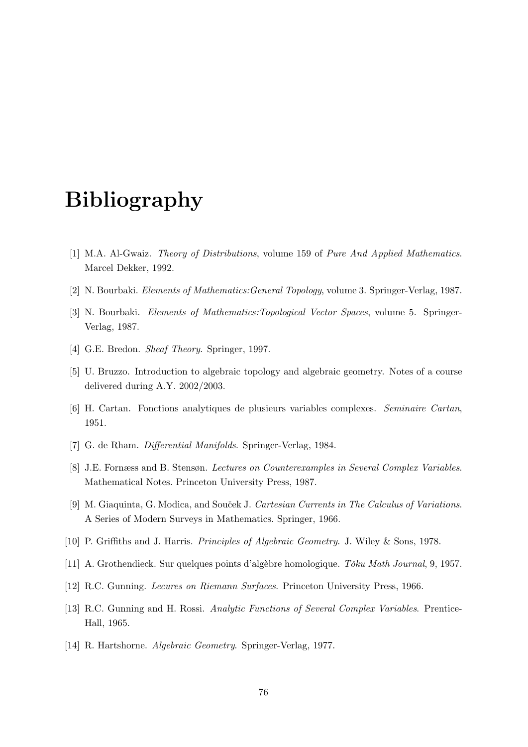## Bibliography

- [1] M.A. Al-Gwaiz. Theory of Distributions, volume 159 of Pure And Applied Mathematics. Marcel Dekker, 1992.
- [2] N. Bourbaki. Elements of Mathematics:General Topology, volume 3. Springer-Verlag, 1987.
- [3] N. Bourbaki. Elements of Mathematics:Topological Vector Spaces, volume 5. Springer-Verlag, 1987.
- [4] G.E. Bredon. Sheaf Theory. Springer, 1997.
- [5] U. Bruzzo. Introduction to algebraic topology and algebraic geometry. Notes of a course delivered during A.Y. 2002/2003.
- [6] H. Cartan. Fonctions analytiques de plusieurs variables complexes. Seminaire Cartan, 1951.
- [7] G. de Rham. Differential Manifolds. Springer-Verlag, 1984.
- [8] J.E. Fornæss and B. Stensøn. Lectures on Counterexamples in Several Complex Variables. Mathematical Notes. Princeton University Press, 1987.
- [9] M. Giaquinta, G. Modica, and Souček J. Cartesian Currents in The Calculus of Variations. A Series of Modern Surveys in Mathematics. Springer, 1966.
- [10] P. Griffiths and J. Harris. Principles of Algebraic Geometry. J. Wiley & Sons, 1978.
- [11] A. Grothendieck. Sur quelques points d'algèbre homologique. Tôku Math Journal, 9, 1957.
- [12] R.C. Gunning. Lecures on Riemann Surfaces. Princeton University Press, 1966.
- [13] R.C. Gunning and H. Rossi. Analytic Functions of Several Complex Variables. Prentice-Hall, 1965.
- [14] R. Hartshorne. Algebraic Geometry. Springer-Verlag, 1977.